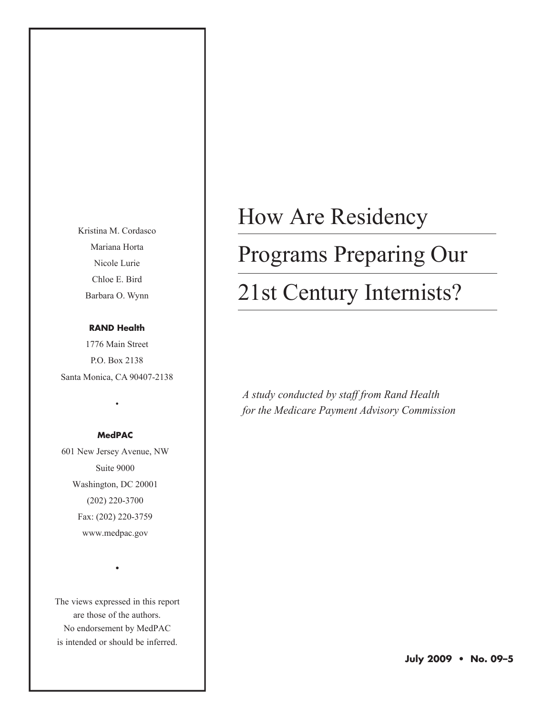Kristina M. Cordasco Mariana Horta Nicole Lurie Chloe E. Bird Barbara O. Wynn

#### **RAND Health**

1776 Main Street P.O. Box 2138 Santa Monica, CA 90407-2138

#### **MedPAC**

•

601 New Jersey Avenue, NW Suite 9000 Washington, DC 20001 (202) 220-3700 Fax: (202) 220-3759 www.medpac.gov

The views expressed in this report are those of the authors. No endorsement by MedPAC is intended or should be inferred.

•

# How Are Residency

## Programs Preparing Our

## 21st Century Internists?

*A study conducted by staff from Rand Health for the Medicare Payment Advisory Commission*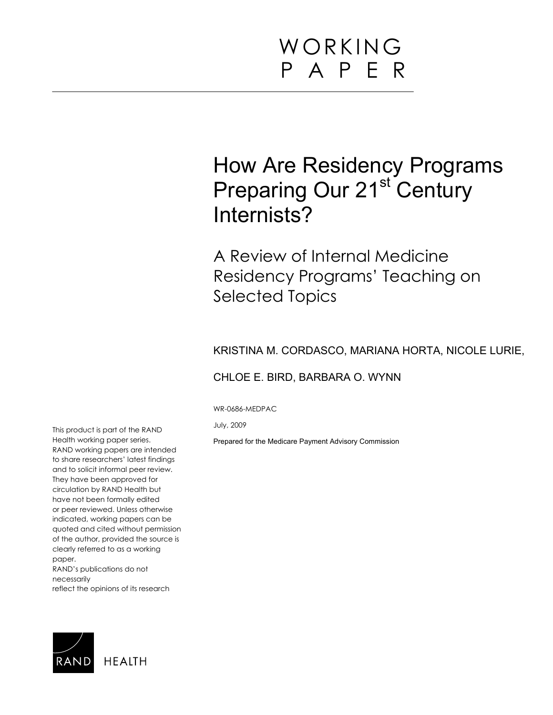## How Are Residency Programs Preparing Our 21<sup>st</sup> Century Internists?

A Review of Internal Medicine Residency Programs' Teaching on Selected Topics

#### KRISTINA M. CORDASCO, MARIANA HORTA, NICOLE LURIE,

#### CHLOE E. BIRD, BARBARA O. WYNN

WR-0686-MEDPAC

July, 2009

Prepared for the Medicare Payment Advisory Commission

This product is part of the RAND Health working paper series. RAND working papers are intended to share researchers' latest findings and to solicit informal peer review. They have been approved for circulation by RAND Health but have not been formally edited or peer reviewed. Unless otherwise indicated, working papers can be quoted and cited without permission of the author, provided the source is clearly referred to as a working paper.

RAND's publications do not necessarily reflect the opinions of its research

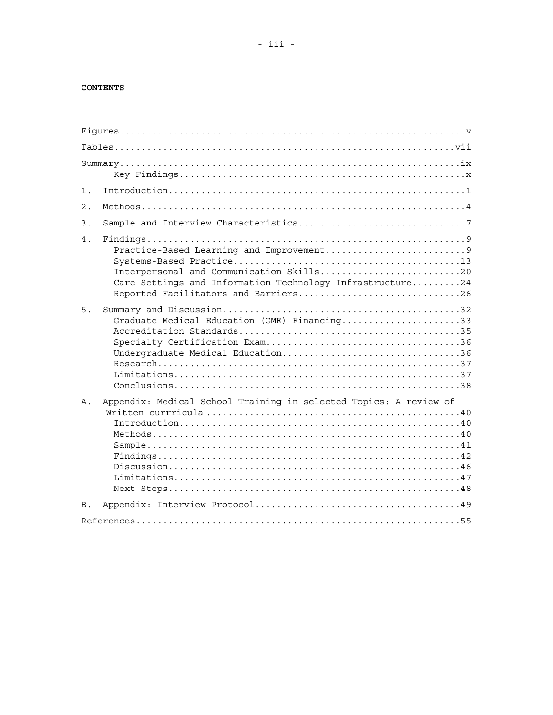#### **CONTENTS**

| $1$ .      |                                                                                                                                               |
|------------|-----------------------------------------------------------------------------------------------------------------------------------------------|
| 2.         |                                                                                                                                               |
| 3.         |                                                                                                                                               |
| 4.         | Interpersonal and Communication Skills20<br>Care Settings and Information Technology Infrastructure24<br>Reported Facilitators and Barriers26 |
| 5.         | Graduate Medical Education (GME) Financing33<br>Undergraduate Medical Education36                                                             |
| Α.         | Appendix: Medical School Training in selected Topics: A review of                                                                             |
| <b>B</b> . |                                                                                                                                               |
|            |                                                                                                                                               |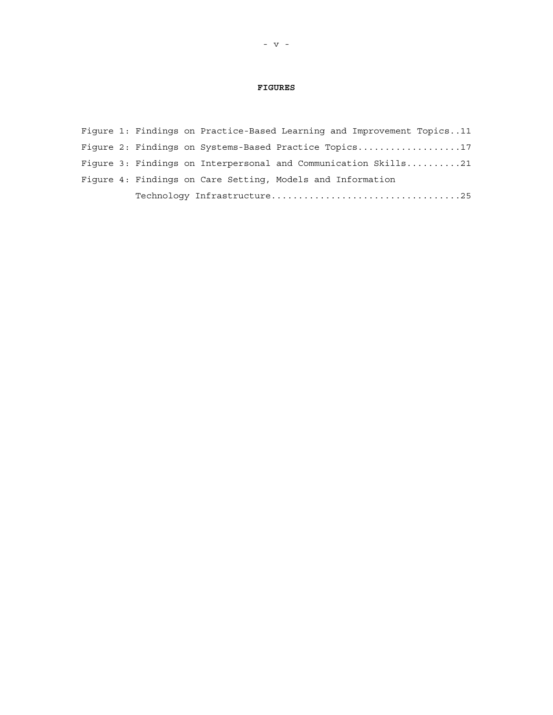#### **FIGURES**

<span id="page-4-0"></span>

|  | Fiqure 1: Findings on Practice-Based Learning and Improvement Topics11 |  |  |
|--|------------------------------------------------------------------------|--|--|
|  | Fiqure 2: Findings on Systems-Based Practice Topics17                  |  |  |
|  | Figure 3: Findings on Interpersonal and Communication $Skills$ 21      |  |  |
|  | Figure 4: Findings on Care Setting, Models and Information             |  |  |
|  |                                                                        |  |  |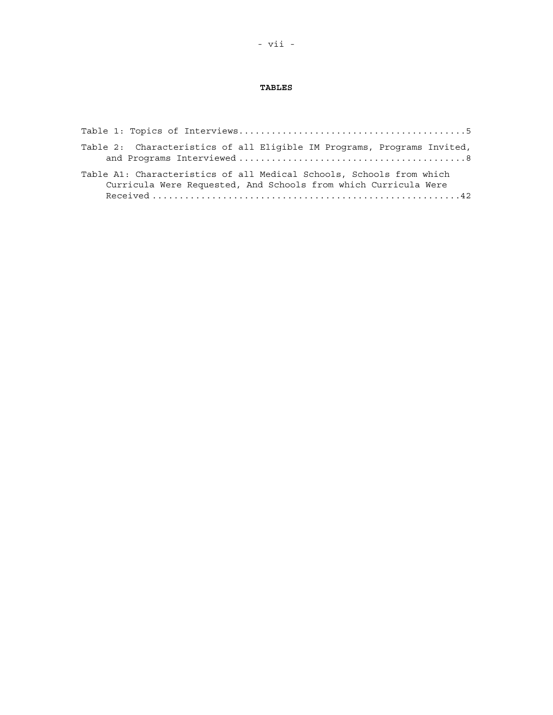#### **TABLES**

<span id="page-6-0"></span>

| Table 2: Characteristics of all Eligible IM Programs, Programs Invited,                                                                 |
|-----------------------------------------------------------------------------------------------------------------------------------------|
| Table A1: Characteristics of all Medical Schools, Schools from which<br>Curricula Were Requested, And Schools from which Curricula Were |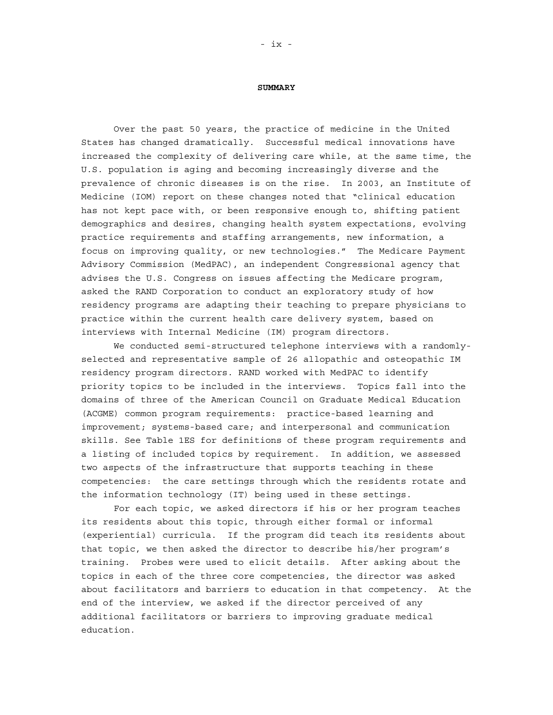#### **SUMMARY**

<span id="page-8-0"></span>Over the past 50 years, the practice of medicine in the United States has changed dramatically. Successful medical innovations have increased the complexity of delivering care while, at the same time, the U.S. population is aging and becoming increasingly diverse and the prevalence of chronic diseases is on the rise. In 2003, an Institute of Medicine (IOM) report on these changes noted that "clinical education has not kept pace with, or been responsive enough to, shifting patient demographics and desires, changing health system expectations, evolving practice requirements and staffing arrangements, new information, a focus on improving quality, or new technologies." The Medicare Payment Advisory Commission (MedPAC), an independent Congressional agency that advises the U.S. Congress on issues affecting the Medicare program, asked the RAND Corporation to conduct an exploratory study of how residency programs are adapting their teaching to prepare physicians to practice within the current health care delivery system, based on interviews with Internal Medicine (IM) program directors.

We conducted semi-structured telephone interviews with a randomlyselected and representative sample of 26 allopathic and osteopathic IM residency program directors. RAND worked with MedPAC to identify priority topics to be included in the interviews. Topics fall into the domains of three of the American Council on Graduate Medical Education (ACGME) common program requirements: practice-based learning and improvement; systems-based care; and interpersonal and communication skills. See Table 1ES for definitions of these program requirements and a listing of included topics by requirement. In addition, we assessed two aspects of the infrastructure that supports teaching in these competencies: the care settings through which the residents rotate and the information technology (IT) being used in these settings.

For each topic, we asked directors if his or her program teaches its residents about this topic, through either formal or informal (experiential) curricula. If the program did teach its residents about that topic, we then asked the director to describe his/her program's training. Probes were used to elicit details. After asking about the topics in each of the three core competencies, the director was asked about facilitators and barriers to education in that competency. At the end of the interview, we asked if the director perceived of any additional facilitators or barriers to improving graduate medical education.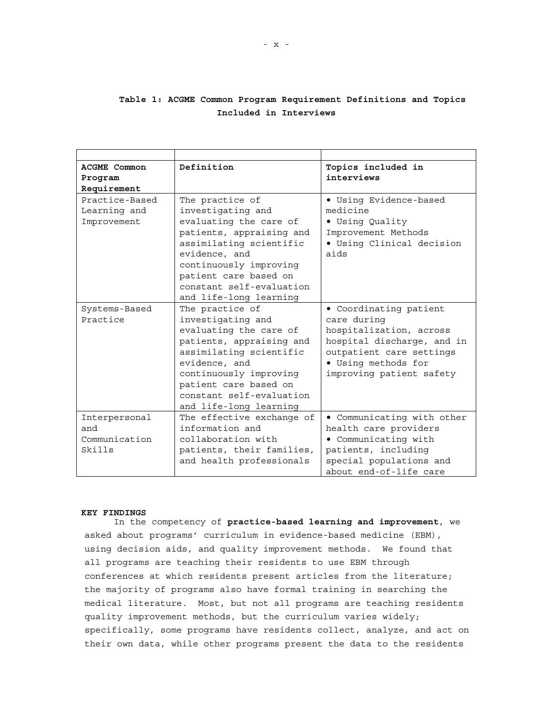#### <span id="page-9-0"></span>**Table 1: ACGME Common Program Requirement Definitions and Topics Included in Interviews**

| Topics included in         |
|----------------------------|
|                            |
|                            |
|                            |
| • Using Evidence-based     |
|                            |
| · Using Quality            |
| Improvement Methods        |
| · Using Clinical decision  |
|                            |
|                            |
|                            |
|                            |
|                            |
| · Coordinating patient     |
|                            |
| hospitalization, across    |
| hospital discharge, and in |
| outpatient care settings   |
| • Using methods for        |
| improving patient safety   |
|                            |
|                            |
| • Communicating with other |
| health care providers      |
| • Communicating with       |
| patients, including        |
| special populations and    |
| about end-of-life care     |
|                            |

#### **KEY FINDINGS**

In the competency of **practice-based learning and improvement**, we asked about programs' curriculum in evidence-based medicine (EBM), using decision aids, and quality improvement methods. We found that all programs are teaching their residents to use EBM through conferences at which residents present articles from the literature; the majority of programs also have formal training in searching the medical literature. Most, but not all programs are teaching residents quality improvement methods, but the curriculum varies widely; specifically, some programs have residents collect, analyze, and act on their own data, while other programs present the data to the residents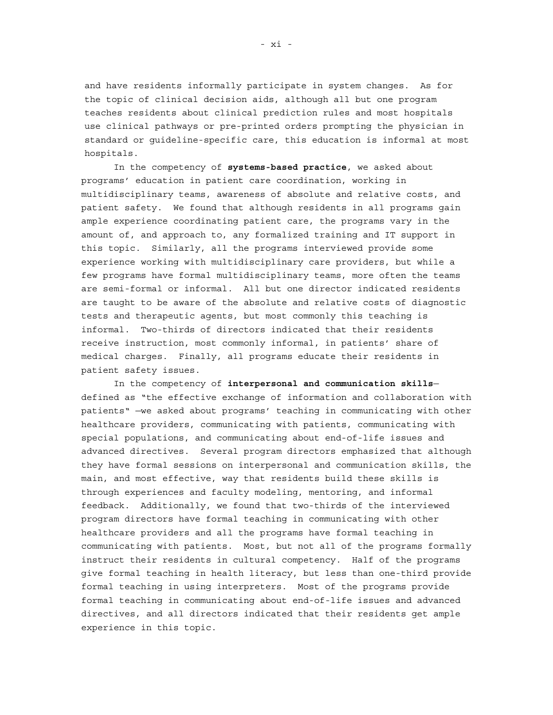and have residents informally participate in system changes. As for the topic of clinical decision aids, although all but one program teaches residents about clinical prediction rules and most hospitals use clinical pathways or pre-printed orders prompting the physician in standard or guideline-specific care, this education is informal at most hospitals.

In the competency of **systems-based practice**, we asked about programs' education in patient care coordination, working in multidisciplinary teams, awareness of absolute and relative costs, and patient safety. We found that although residents in all programs gain ample experience coordinating patient care, the programs vary in the amount of, and approach to, any formalized training and IT support in this topic. Similarly, all the programs interviewed provide some experience working with multidisciplinary care providers, but while a few programs have formal multidisciplinary teams, more often the teams are semi-formal or informal. All but one director indicated residents are taught to be aware of the absolute and relative costs of diagnostic tests and therapeutic agents, but most commonly this teaching is informal. Two-thirds of directors indicated that their residents receive instruction, most commonly informal, in patients' share of medical charges. Finally, all programs educate their residents in patient safety issues.

In the competency of **interpersonal and communication skills** defined as "the effective exchange of information and collaboration with patients" —we asked about programs' teaching in communicating with other healthcare providers, communicating with patients, communicating with special populations, and communicating about end-of-life issues and advanced directives. Several program directors emphasized that although they have formal sessions on interpersonal and communication skills, the main, and most effective, way that residents build these skills is through experiences and faculty modeling, mentoring, and informal feedback. Additionally, we found that two-thirds of the interviewed program directors have formal teaching in communicating with other healthcare providers and all the programs have formal teaching in communicating with patients. Most, but not all of the programs formally instruct their residents in cultural competency. Half of the programs give formal teaching in health literacy, but less than one-third provide formal teaching in using interpreters. Most of the programs provide formal teaching in communicating about end-of-life issues and advanced directives, and all directors indicated that their residents get ample experience in this topic.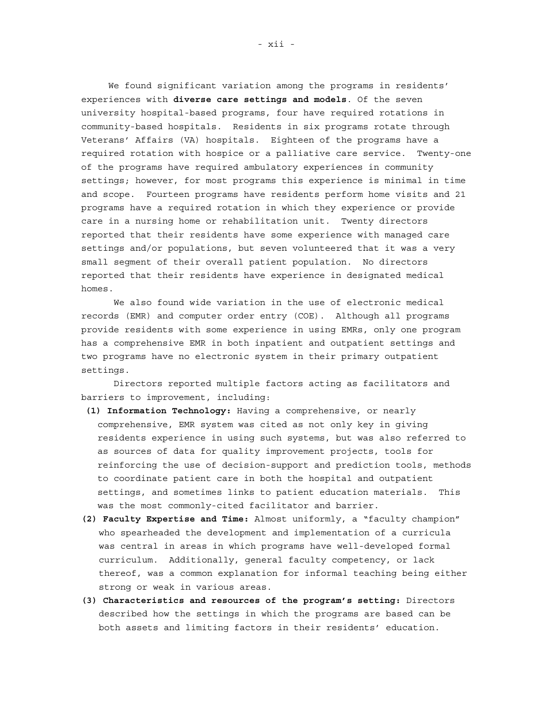We found significant variation among the programs in residents' experiences with **diverse care settings and models**. Of the seven university hospital-based programs, four have required rotations in community-based hospitals. Residents in six programs rotate through Veterans' Affairs (VA) hospitals. Eighteen of the programs have a required rotation with hospice or a palliative care service. Twenty-one of the programs have required ambulatory experiences in community settings; however, for most programs this experience is minimal in time and scope. Fourteen programs have residents perform home visits and 21 programs have a required rotation in which they experience or provide care in a nursing home or rehabilitation unit. Twenty directors reported that their residents have some experience with managed care settings and/or populations, but seven volunteered that it was a very small segment of their overall patient population. No directors reported that their residents have experience in designated medical homes.

We also found wide variation in the use of electronic medical records (EMR) and computer order entry (COE). Although all programs provide residents with some experience in using EMRs, only one program has a comprehensive EMR in both inpatient and outpatient settings and two programs have no electronic system in their primary outpatient settings.

Directors reported multiple factors acting as facilitators and barriers to improvement, including:

- **(1) Information Technology:** Having a comprehensive, or nearly comprehensive, EMR system was cited as not only key in giving residents experience in using such systems, but was also referred to as sources of data for quality improvement projects, tools for reinforcing the use of decision-support and prediction tools, methods to coordinate patient care in both the hospital and outpatient settings, and sometimes links to patient education materials. This was the most commonly-cited facilitator and barrier.
- **(2) Faculty Expertise and Time:** Almost uniformly, a "faculty champion" who spearheaded the development and implementation of a curricula was central in areas in which programs have well-developed formal curriculum. Additionally, general faculty competency, or lack thereof, was a common explanation for informal teaching being either strong or weak in various areas.
- **(3) Characteristics and resources of the program's setting:** Directors described how the settings in which the programs are based can be both assets and limiting factors in their residents' education.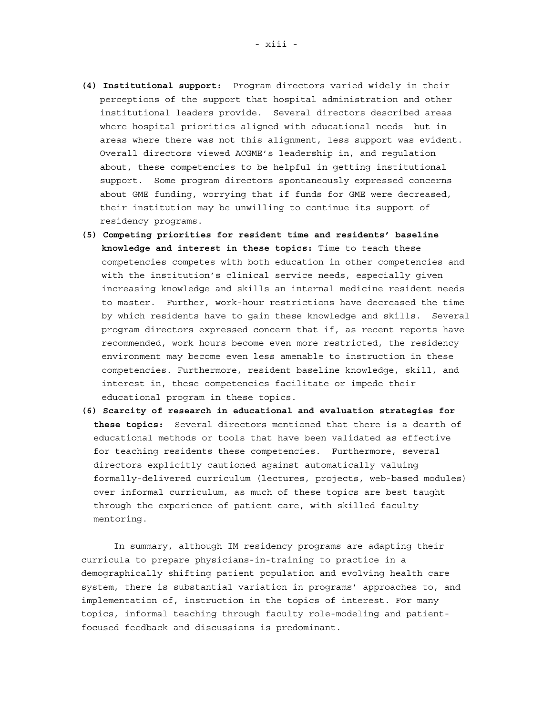- **(4) Institutional support:** Program directors varied widely in their perceptions of the support that hospital administration and other institutional leaders provide. Several directors described areas where hospital priorities aligned with educational needs but in areas where there was not this alignment, less support was evident. Overall directors viewed ACGME's leadership in, and regulation about, these competencies to be helpful in getting institutional support. Some program directors spontaneously expressed concerns about GME funding, worrying that if funds for GME were decreased, their institution may be unwilling to continue its support of residency programs.
- **(5) Competing priorities for resident time and residents' baseline knowledge and interest in these topics:** Time to teach these competencies competes with both education in other competencies and with the institution's clinical service needs, especially given increasing knowledge and skills an internal medicine resident needs to master. Further, work-hour restrictions have decreased the time by which residents have to gain these knowledge and skills. Several program directors expressed concern that if, as recent reports have recommended, work hours become even more restricted, the residency environment may become even less amenable to instruction in these competencies. Furthermore, resident baseline knowledge, skill, and interest in, these competencies facilitate or impede their educational program in these topics.
- **(6) Scarcity of research in educational and evaluation strategies for these topics:** Several directors mentioned that there is a dearth of educational methods or tools that have been validated as effective for teaching residents these competencies. Furthermore, several directors explicitly cautioned against automatically valuing formally-delivered curriculum (lectures, projects, web-based modules) over informal curriculum, as much of these topics are best taught through the experience of patient care, with skilled faculty mentoring.

In summary, although IM residency programs are adapting their curricula to prepare physicians-in-training to practice in a demographically shifting patient population and evolving health care system, there is substantial variation in programs' approaches to, and implementation of, instruction in the topics of interest. For many topics, informal teaching through faculty role-modeling and patientfocused feedback and discussions is predominant.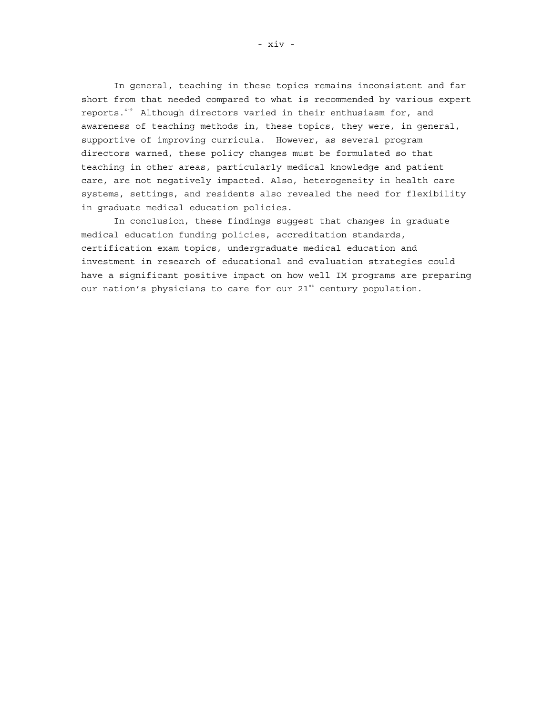In general, teaching in these topics remains inconsistent and far short from that needed compared to what is recommended by various expert reports.<sup>4-9</sup> Although directors varied in their enthusiasm for, and awareness of teaching methods in, these topics, they were, in general, supportive of improving curricula. However, as several program directors warned, these policy changes must be formulated so that teaching in other areas, particularly medical knowledge and patient care, are not negatively impacted. Also, heterogeneity in health care systems, settings, and residents also revealed the need for flexibility in graduate medical education policies.

In conclusion, these findings suggest that changes in graduate medical education funding policies, accreditation standards, certification exam topics, undergraduate medical education and investment in research of educational and evaluation strategies could have a significant positive impact on how well IM programs are preparing our nation's physicians to care for our 21<sup>st</sup> century population.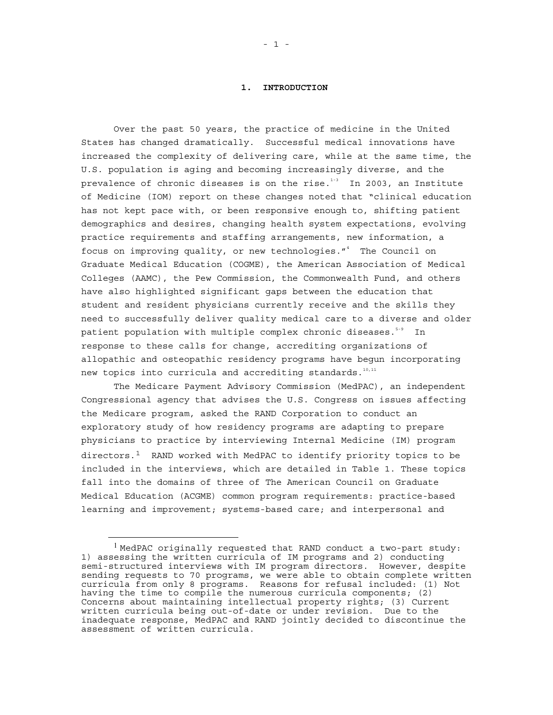#### **1. INTRODUCTION**

<span id="page-14-0"></span>Over the past 50 years, the practice of medicine in the United States has changed dramatically. Successful medical innovations have increased the complexity of delivering care, while at the same time, the U.S. population is aging and becoming increasingly diverse, and the prevalence of chronic diseases is on the rise. $1-3$  In 2003, an Institute of Medicine (IOM) report on these changes noted that "clinical education has not kept pace with, or been responsive enough to, shifting patient demographics and desires, changing health system expectations, evolving practice requirements and staffing arrangements, new information, a focus on improving quality, or new technologies."<sup>4</sup> The Council on Graduate Medical Education (COGME), the American Association of Medical Colleges (AAMC), the Pew Commission, the Commonwealth Fund, and others have also highlighted significant gaps between the education that student and resident physicians currently receive and the skills they need to successfully deliver quality medical care to a diverse and older patient population with multiple complex chronic diseases.<sup>5-9</sup> In response to these calls for change, accrediting organizations of allopathic and osteopathic residency programs have begun incorporating new topics into curricula and accrediting standards.<sup>10,11</sup>

The Medicare Payment Advisory Commission (MedPAC), an independent Congressional agency that advises the U.S. Congress on issues affecting the Medicare program, asked the RAND Corporation to conduct an exploratory study of how residency programs are adapting to prepare physicians to practice by interviewing Internal Medicine (IM) program directors. $<sup>1</sup>$  $<sup>1</sup>$  $<sup>1</sup>$  RAND worked with MedPAC to identify priority topics to be</sup> included in the interviews, which are detailed in Table 1. These topics fall into the domains of three of The American Council on Graduate Medical Education (ACGME) common program requirements: practice-based learning and improvement; systems-based care; and interpersonal and

÷

<span id="page-14-1"></span> $1$  MedPAC originally requested that RAND conduct a two-part study: 1) assessing the written curricula of IM programs and 2) conducting semi-structured interviews with IM program directors. However, despite sending requests to 70 programs, we were able to obtain complete written curricula from only 8 programs. Reasons for refusal included: (1) Not having the time to compile the numerous curricula components; (2) Concerns about maintaining intellectual property rights; (3) Current written curricula being out-of-date or under revision. Due to the inadequate response, MedPAC and RAND jointly decided to discontinue the assessment of written curricula.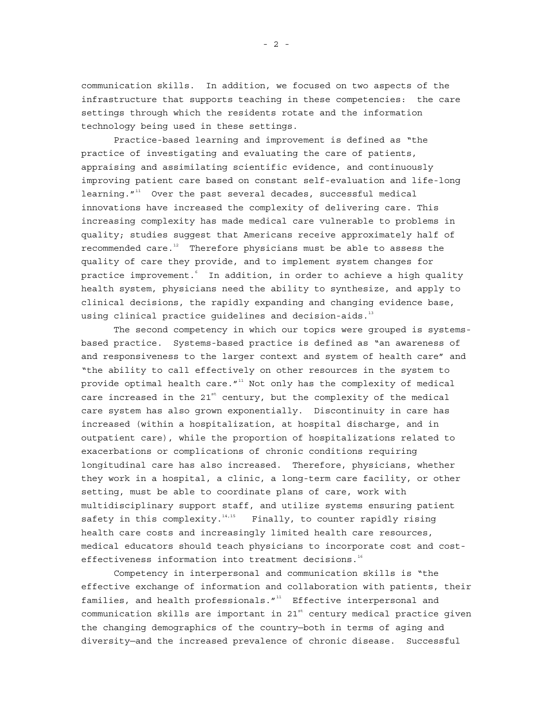communication skills. In addition, we focused on two aspects of the infrastructure that supports teaching in these competencies: the care settings through which the residents rotate and the information technology being used in these settings.

Practice-based learning and improvement is defined as "the practice of investigating and evaluating the care of patients, appraising and assimilating scientific evidence, and continuously improving patient care based on constant self-evaluation and life-long learning. $"$ <sup>11</sup> Over the past several decades, successful medical innovations have increased the complexity of delivering care. This increasing complexity has made medical care vulnerable to problems in quality; studies suggest that Americans receive approximately half of recommended care. $12$  Therefore physicians must be able to assess the quality of care they provide, and to implement system changes for practice improvement. In addition, in order to achieve a high quality health system, physicians need the ability to synthesize, and apply to clinical decisions, the rapidly expanding and changing evidence base, using clinical practice guidelines and decision-aids. $^{\rm 13}$ 

The second competency in which our topics were grouped is systemsbased practice. Systems-based practice is defined as "an awareness of and responsiveness to the larger context and system of health care" and "the ability to call effectively on other resources in the system to provide optimal health care. $''$ <sup>11</sup> Not only has the complexity of medical care increased in the  $21^{st}$  century, but the complexity of the medical care system has also grown exponentially. Discontinuity in care has increased (within a hospitalization, at hospital discharge, and in outpatient care), while the proportion of hospitalizations related to exacerbations or complications of chronic conditions requiring longitudinal care has also increased. Therefore, physicians, whether they work in a hospital, a clinic, a long-term care facility, or other setting, must be able to coordinate plans of care, work with multidisciplinary support staff, and utilize systems ensuring patient safety in this complexity. $14,15$  Finally, to counter rapidly rising health care costs and increasingly limited health care resources, medical educators should teach physicians to incorporate cost and costeffectiveness information into treatment decisions.<sup>16</sup>

Competency in interpersonal and communication skills is "the effective exchange of information and collaboration with patients, their families, and health professionals. $11^1$  Effective interpersonal and communication skills are important in  $21<sup>st</sup>$  century medical practice given the changing demographics of the country—both in terms of aging and diversity—and the increased prevalence of chronic disease. Successful

- 2 -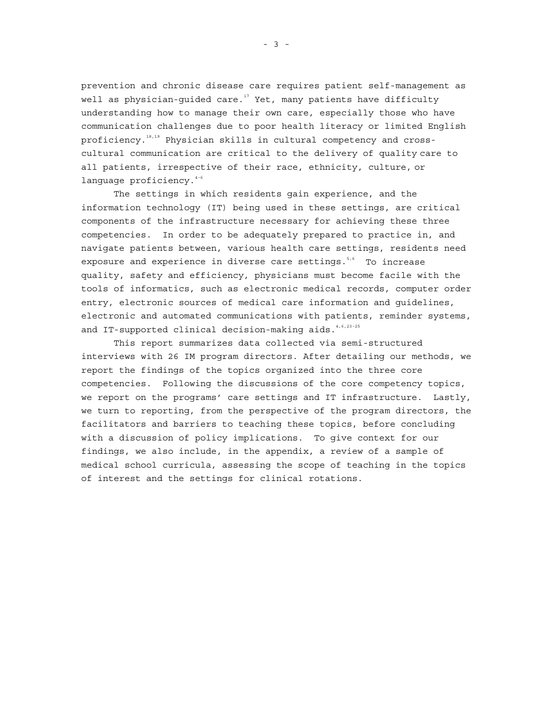prevention and chronic disease care requires patient self-management as well as physician-guided care.<sup>17</sup> Yet, many patients have difficulty understanding how to manage their own care, especially those who have communication challenges due to poor health literacy or limited English proficiency.<sup>18,19</sup> Physician skills in cultural competency and crosscultural communication are critical to the delivery of quality care to all patients, irrespective of their race, ethnicity, culture, or language proficiency.<sup>4-6</sup>

The settings in which residents gain experience, and the information technology (IT) being used in these settings, are critical components of the infrastructure necessary for achieving these three competencies. In order to be adequately prepared to practice in, and navigate patients between, various health care settings, residents need exposure and experience in diverse care settings.<sup>5,6</sup> To increase quality, safety and efficiency, physicians must become facile with the tools of informatics, such as electronic medical records, computer order entry, electronic sources of medical care information and guidelines, electronic and automated communications with patients, reminder systems, and IT-supported clinical decision-making aids.<sup>4,6,23-25</sup>

This report summarizes data collected via semi-structured interviews with 26 IM program directors. After detailing our methods, we report the findings of the topics organized into the three core competencies. Following the discussions of the core competency topics, we report on the programs' care settings and IT infrastructure. Lastly, we turn to reporting, from the perspective of the program directors, the facilitators and barriers to teaching these topics, before concluding with a discussion of policy implications. To give context for our findings, we also include, in the appendix, a review of a sample of medical school curricula, assessing the scope of teaching in the topics of interest and the settings for clinical rotations.

- 3 -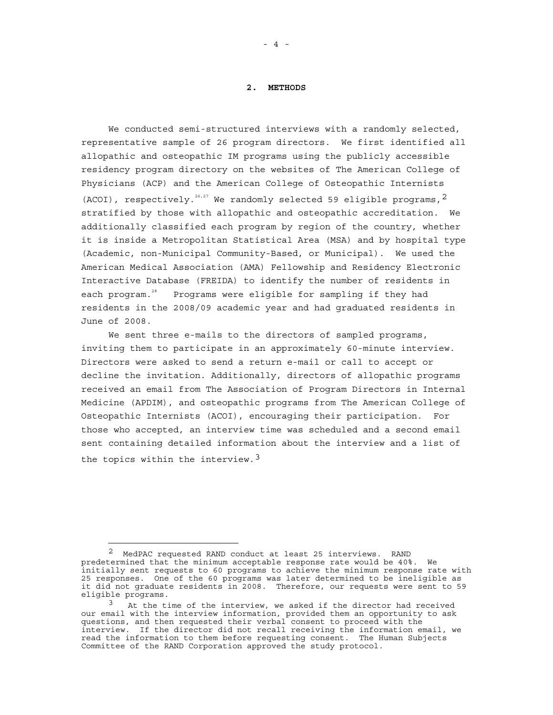#### **2. METHODS**

<span id="page-17-0"></span>We conducted semi-structured interviews with a randomly selected, representative sample of 26 program directors. We first identified all allopathic and osteopathic IM programs using the publicly accessible residency program directory on the websites of The American College of Physicians (ACP) and the American College of Osteopathic Internists (ACOI), respectively.<sup>26[,2](#page-17-1)7</sup> We randomly selected 59 eligible programs,  $2$ stratified by those with allopathic and osteopathic accreditation. We additionally classified each program by region of the country, whether it is inside a Metropolitan Statistical Area (MSA) and by hospital type (Academic, non-Municipal Community-Based, or Municipal). We used the American Medical Association (AMA) Fellowship and Residency Electronic Interactive Database (FREIDA) to identify the number of residents in each program.<sup>28</sup> Programs were eligible for sampling if they had residents in the 2008/09 academic year and had graduated residents in June of 2008.

We sent three e-mails to the directors of sampled programs, inviting them to participate in an approximately 60-minute interview. Directors were asked to send a return e-mail or call to accept or decline the invitation. Additionally, directors of allopathic programs received an email from The Association of Program Directors in Internal Medicine (APDIM), and osteopathic programs from The American College of Osteopathic Internists (ACOI), encouraging their participation. For those who accepted, an interview time was scheduled and a second email sent containing detailed information about the interview and a list of the topics within the interview.<sup>[3](#page-17-2)</sup>

L,

<span id="page-17-1"></span>MedPAC requested RAND conduct at least 25 interviews. RAND predetermined that the minimum acceptable response rate would be 40%. We initially sent requests to 60 programs to achieve the minimum response rate with 25 responses. One of the 60 programs was later determined to be ineligible as it did not graduate residents in 2008. Therefore, our requests were sent to 59 eligible programs.

<span id="page-17-2"></span><sup>&</sup>lt;sup>3</sup> At the time of the interview, we asked if the director had received our email with the interview information, provided them an opportunity to ask questions, and then requested their verbal consent to proceed with the interview. If the director did not recall receiving the information email, we read the information to them before requesting consent. The Human Subjects Committee of the RAND Corporation approved the study protocol.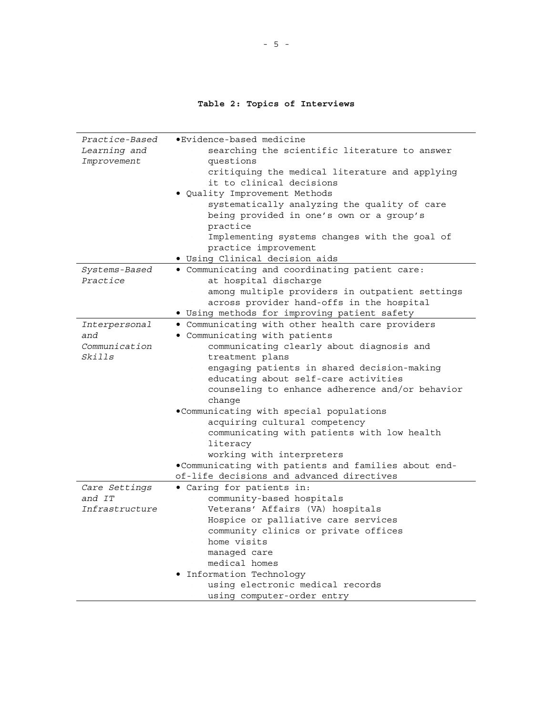#### **Table 2: Topics of Interviews**

<span id="page-18-0"></span>

| Practice-Based | .Evidence-based medicine                             |
|----------------|------------------------------------------------------|
| Learning and   | searching the scientific literature to answer        |
| Improvement    | questions                                            |
|                | critiquing the medical literature and applying       |
|                | it to clinical decisions                             |
|                | . Quality Improvement Methods                        |
|                | systematically analyzing the quality of care         |
|                | being provided in one's own or a group's             |
|                | practice                                             |
|                | Implementing systems changes with the goal of        |
|                | practice improvement                                 |
|                | · Using Clinical decision aids                       |
| Systems-Based  | . Communicating and coordinating patient care:       |
| Practice       | at hospital discharge                                |
|                | among multiple providers in outpatient settings      |
|                | across provider hand-offs in the hospital            |
|                | · Using methods for improving patient safety         |
| Interpersonal  | . Communicating with other health care providers     |
| and            | . Communicating with patients                        |
| Communication  | communicating clearly about diagnosis and            |
| Skills         | treatment plans                                      |
|                | engaging patients in shared decision-making          |
|                | educating about self-care activities                 |
|                | counseling to enhance adherence and/or behavior      |
|                | change                                               |
|                | .Communicating with special populations              |
|                | acquiring cultural competency                        |
|                | communicating with patients with low health          |
|                | literacy                                             |
|                | working with interpreters                            |
|                | .Communicating with patients and families about end- |
|                | of-life decisions and advanced directives            |
| Care Settings  | · Caring for patients in:                            |
| and IT         | community-based hospitals                            |
| Infrastructure | Veterans' Affairs (VA) hospitals                     |
|                | Hospice or palliative care services                  |
|                | community clinics or private offices                 |
|                | home visits                                          |
|                | managed care                                         |
|                | medical homes                                        |
|                | · Information Technology                             |
|                | using electronic medical records                     |
|                | using computer-order entry                           |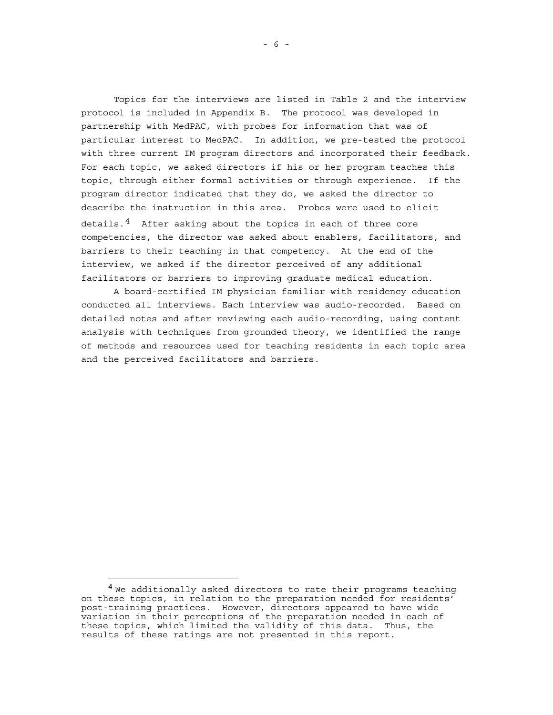Topics for the interviews are listed in Table 2 and the interview protocol is included in Appendix B. The protocol was developed in partnership with MedPAC, with probes for information that was of particular interest to MedPAC. In addition, we pre-tested the protocol with three current IM program directors and incorporated their feedback. For each topic, we asked directors if his or her program teaches this topic, through either formal activities or through experience. If the program director indicated that they do, we asked the director to describe the instruction in this area. Probes were used to elicit details.<sup>4</sup> After asking about the topics in each of three core competencies, the director was asked about enablers, facilitators, and barriers to their teaching in that competency. At the end of the interview, we asked if the director perceived of any additional facilitators or barriers to improving graduate medical education.

A board-certified IM physician familiar with residency education conducted all interviews. Each interview was audio-recorded. Based on detailed notes and after reviewing each audio-recording, using content analysis with techniques from grounded theory, we identified the range of methods and resources used for teaching residents in each topic area and the perceived facilitators and barriers.

i<br>L

<span id="page-19-0"></span><sup>&</sup>lt;sup>4</sup> We additionally asked directors to rate their programs teaching on these topics, in relation to the preparation needed for residents' post-training practices. However, directors appeared to have wide variation in their perceptions of the preparation needed in each of these topics, which limited the validity of this data. Thus, the results of these ratings are not presented in this report.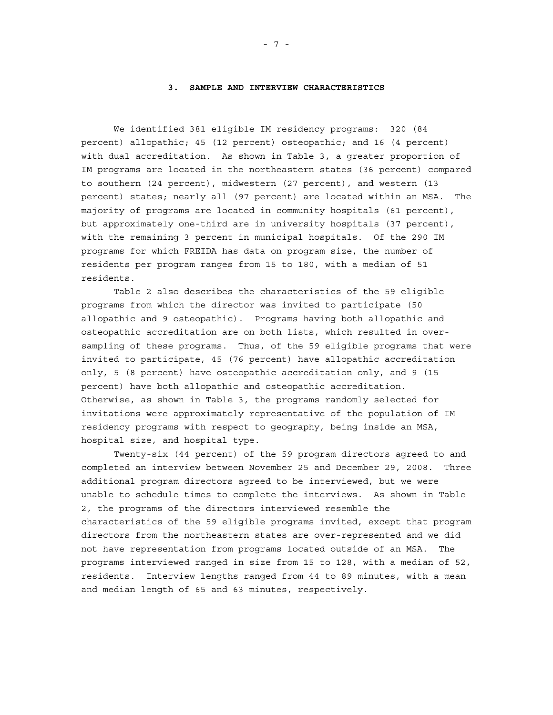#### **3. SAMPLE AND INTERVIEW CHARACTERISTICS**

<span id="page-20-0"></span>We identified 381 eligible IM residency programs: 320 (84 percent) allopathic; 45 (12 percent) osteopathic; and 16 (4 percent) with dual accreditation. As shown in Table 3, a greater proportion of IM programs are located in the northeastern states (36 percent) compared to southern (24 percent), midwestern (27 percent), and western (13 percent) states; nearly all (97 percent) are located within an MSA. The majority of programs are located in community hospitals (61 percent), but approximately one-third are in university hospitals (37 percent), with the remaining 3 percent in municipal hospitals. Of the 290 IM programs for which FREIDA has data on program size, the number of residents per program ranges from 15 to 180, with a median of 51 residents.

Table 2 also describes the characteristics of the 59 eligible programs from which the director was invited to participate (50 allopathic and 9 osteopathic). Programs having both allopathic and osteopathic accreditation are on both lists, which resulted in oversampling of these programs. Thus, of the 59 eligible programs that were invited to participate, 45 (76 percent) have allopathic accreditation only, 5 (8 percent) have osteopathic accreditation only, and 9 (15 percent) have both allopathic and osteopathic accreditation. Otherwise, as shown in Table 3, the programs randomly selected for invitations were approximately representative of the population of IM residency programs with respect to geography, being inside an MSA, hospital size, and hospital type.

Twenty-six (44 percent) of the 59 program directors agreed to and completed an interview between November 25 and December 29, 2008. Three additional program directors agreed to be interviewed, but we were unable to schedule times to complete the interviews. As shown in Table 2, the programs of the directors interviewed resemble the characteristics of the 59 eligible programs invited, except that program directors from the northeastern states are over-represented and we did not have representation from programs located outside of an MSA. The programs interviewed ranged in size from 15 to 128, with a median of 52, residents. Interview lengths ranged from 44 to 89 minutes, with a mean and median length of 65 and 63 minutes, respectively.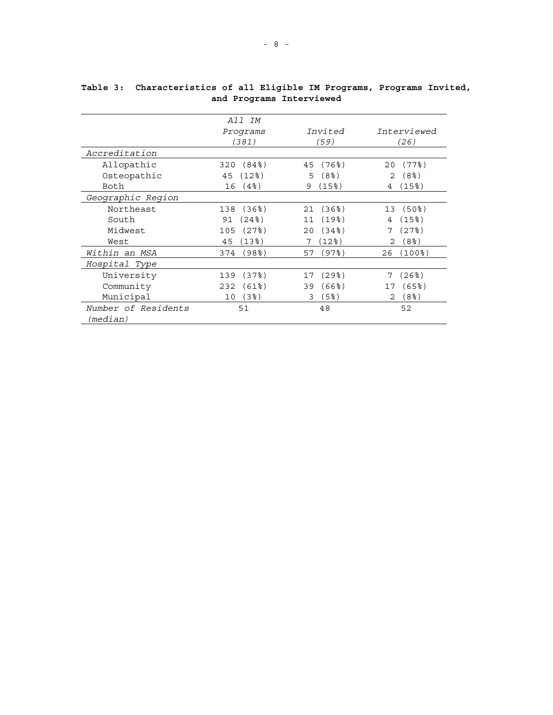|                     | All IM                 |                            |                      |
|---------------------|------------------------|----------------------------|----------------------|
|                     | Programs               | Invited                    | Interviewed          |
|                     | (381)                  | (59)                       | (26)                 |
| Accreditation       |                        |                            |                      |
| Allopathic          | $(84\$                 | $(76$ $)$                  | $(77$ %)             |
|                     | 320                    | 45                         | 20                   |
| Osteopathic         | (12)                   | (8 <sup>8</sup> )          | (8 <sup>8</sup> )    |
|                     | 45                     | 5                          | 2                    |
| Both                | $(4$ $)$               | (15%)                      | (15%)                |
|                     | 16                     | 9                          | 4                    |
| Geographic Region   |                        |                            |                      |
| Northeast           | $(36$ $)$<br>138       | $(36$ <sup>2</sup> )<br>21 | 13 (50%)             |
| South               | (24%)                  | $(19$ %)                   | $(15$ % $)$          |
|                     | 91                     | 11                         | 4                    |
| Midwest             | (27)                   | $(34\%)$                   | (27)                 |
|                     | 105                    | 20                         | 7                    |
| West                | $13\$                  | (12%)                      | (8왕)                 |
|                     | 45                     | 7                          | 2                    |
| Within an MSA       | (98 <sup>8</sup> )     | (97%)                      | (100%)               |
|                     | 374                    | 57                         | 26                   |
| Hospital Type       |                        |                            |                      |
| University          | (37)                   | (29%)                      | (26%)                |
|                     | 139                    | 17                         | 7                    |
| Community           | $(61$ <sup>2</sup> $)$ | $(66$ $)$                  | $(65$ <sup>8</sup> ) |
|                     | 232                    | 39                         | 17                   |
| Municipal           | (3)                    | (5%)                       | (8 <sup>8</sup> )    |
|                     | 10                     | 3                          | 2                    |
| Number of Residents | 51                     | 48                         | 52                   |
| (median)            |                        |                            |                      |

<span id="page-21-0"></span>**Table 3: Characteristics of all Eligible IM Programs, Programs Invited, and Programs Interviewed**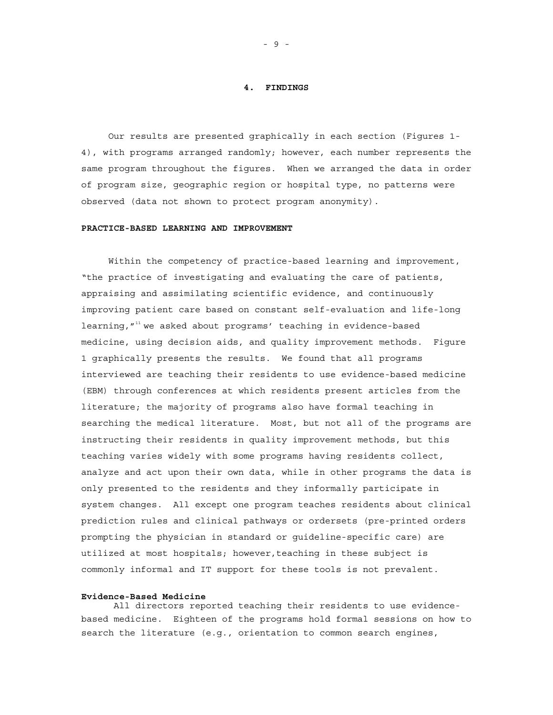#### **4. FINDINGS**

<span id="page-22-0"></span>Our results are presented graphically in each section (Figures 1- 4), with programs arranged randomly; however, each number represents the same program throughout the figures. When we arranged the data in order of program size, geographic region or hospital type, no patterns were observed (data not shown to protect program anonymity).

#### **PRACTICE-BASED LEARNING AND IMPROVEMENT**

Within the competency of practice-based learning and improvement, "the practice of investigating and evaluating the care of patients, appraising and assimilating scientific evidence, and continuously improving patient care based on constant self-evaluation and life-long learning, $^{\prime\prime\prime\prime}$  we asked about programs' teaching in evidence-based medicine, using decision aids, and quality improvement methods. Figure 1 graphically presents the results. We found that all programs interviewed are teaching their residents to use evidence-based medicine (EBM) through conferences at which residents present articles from the literature; the majority of programs also have formal teaching in searching the medical literature. Most, but not all of the programs are instructing their residents in quality improvement methods, but this teaching varies widely with some programs having residents collect, analyze and act upon their own data, while in other programs the data is only presented to the residents and they informally participate in system changes. All except one program teaches residents about clinical prediction rules and clinical pathways or ordersets (pre-printed orders prompting the physician in standard or guideline-specific care) are utilized at most hospitals; however,teaching in these subject is commonly informal and IT support for these tools is not prevalent.

#### **Evidence-Based Medicine**

All directors reported teaching their residents to use evidencebased medicine. Eighteen of the programs hold formal sessions on how to search the literature (e.g., orientation to common search engines,

- 9 -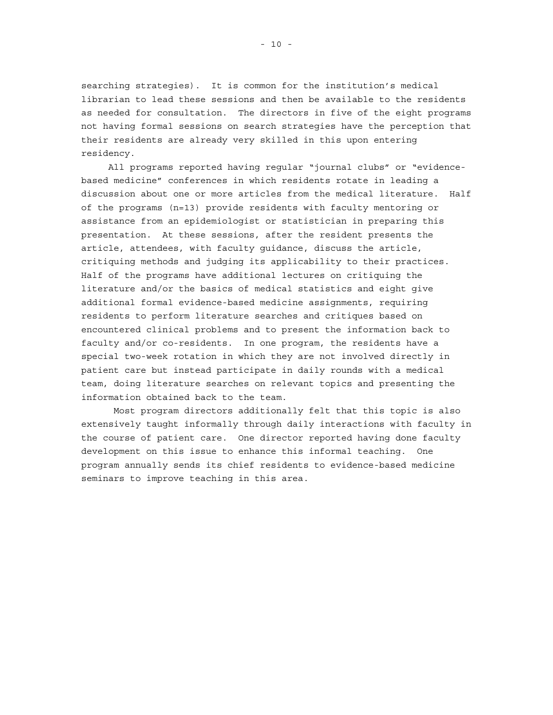searching strategies). It is common for the institution's medical librarian to lead these sessions and then be available to the residents as needed for consultation. The directors in five of the eight programs not having formal sessions on search strategies have the perception that their residents are already very skilled in this upon entering residency.

All programs reported having regular "journal clubs" or "evidencebased medicine" conferences in which residents rotate in leading a discussion about one or more articles from the medical literature. Half of the programs (n=13) provide residents with faculty mentoring or assistance from an epidemiologist or statistician in preparing this presentation. At these sessions, after the resident presents the article, attendees, with faculty guidance, discuss the article, critiquing methods and judging its applicability to their practices. Half of the programs have additional lectures on critiquing the literature and/or the basics of medical statistics and eight give additional formal evidence-based medicine assignments, requiring residents to perform literature searches and critiques based on encountered clinical problems and to present the information back to faculty and/or co-residents. In one program, the residents have a special two-week rotation in which they are not involved directly in patient care but instead participate in daily rounds with a medical team, doing literature searches on relevant topics and presenting the information obtained back to the team.

Most program directors additionally felt that this topic is also extensively taught informally through daily interactions with faculty in the course of patient care. One director reported having done faculty development on this issue to enhance this informal teaching. One program annually sends its chief residents to evidence-based medicine seminars to improve teaching in this area.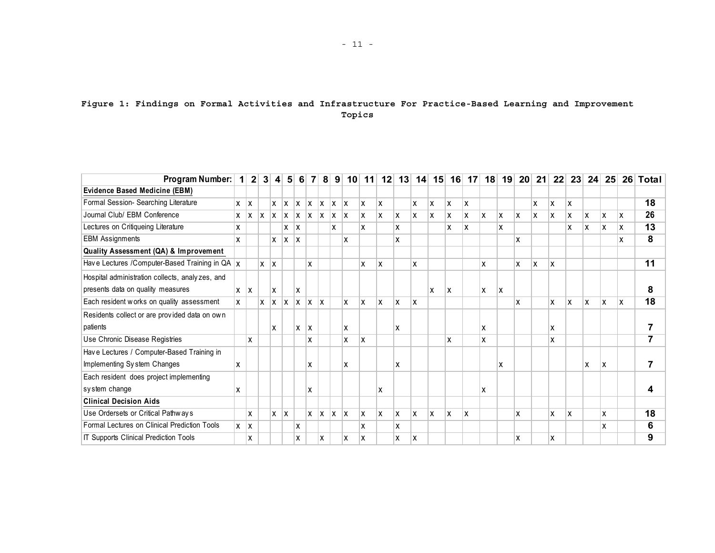#### **Figure 1: Findings on Formal Activities and Infrastructure For Practice-Based Learning and Improvement Topics**

<span id="page-24-0"></span>

| Program Number:                                               | $\vert$ 1  |            | 2 3        |              | 4 5        | 6 <sup>1</sup> | $\overline{7}$ | 81  | 9   | 10 <sup>1</sup> | 11  | 12 | 13 | 14 | 15 | 16 | 17 <sup>1</sup> | 18  | 19  | 20 <sub>1</sub> | 21  | 22 | 23 | 24 | <b>25</b> |    | 26 Total        |
|---------------------------------------------------------------|------------|------------|------------|--------------|------------|----------------|----------------|-----|-----|-----------------|-----|----|----|----|----|----|-----------------|-----|-----|-----------------|-----|----|----|----|-----------|----|-----------------|
| Evidence Based Medicine (EBM)                                 |            |            |            |              |            |                |                |     |     |                 |     |    |    |    |    |    |                 |     |     |                 |     |    |    |    |           |    |                 |
| Formal Session- Searching Literature                          |            |            |            | X            | X          | X              | lx.            | X   | lx. | ΙX              | ΙX. | X  |    | X  | X  | X  | ΙX.             |     |     |                 | x   | x  | X  |    |           |    | 18              |
| Journal Club/ EBM Conference                                  |            | $x \mid x$ | ΙX.        | $\mathsf{X}$ | X          | $\mathsf{X}$   | ΙX.            | ΙX. | ΙX. | lx              | X.  | x  | Ιx | X  | X  | X  | x               | ΙX. | ΙX  | x               | ΙX. | x  | X  | X  | X         | x  | 26              |
| Lectures on Critiqueing Literature                            | x          |            |            |              | $x \mid x$ |                |                |     | x   |                 | X   |    | x  |    |    | x  | X               |     | x   |                 |     |    | X  | X  | X         | X  | $\overline{13}$ |
| <b>EBM Assignments</b>                                        | X.         |            |            | X            | X          | X              |                |     |     | X               |     |    | X  |    |    |    |                 |     |     | X               |     |    |    |    |           | χ  | 8               |
| Quality Assessment (QA) & Improvement                         |            |            |            |              |            |                |                |     |     |                 |     |    |    |    |    |    |                 |     |     |                 |     |    |    |    |           |    |                 |
| Have Lectures / Computer-Based Training in QA $\vert x \vert$ |            |            | $x \mid x$ |              |            |                | X              |     |     |                 | X   | X  |    | X  |    |    |                 | x   |     | X               | x   | X  |    |    |           |    | 11              |
| Hospital administration collects, analyzes, and               |            |            |            |              |            |                |                |     |     |                 |     |    |    |    |    |    |                 |     |     |                 |     |    |    |    |           |    |                 |
| presents data on quality measures                             | $x \mid x$ |            |            | X            |            | X              |                |     |     |                 |     |    |    |    | X  | X  |                 | x   | ΙX. |                 |     |    |    |    |           |    | 8               |
| Each resident works on quality assessment                     | <b>x</b>   |            | $x \mid x$ |              | x          | X              | <b>X</b>       | ΙX  |     | X               | ΙX. | X  | Ιx | X  |    |    |                 |     |     | X               |     | X  | X  | x  | X         | ΙX | $\overline{18}$ |
| Residents collect or are provided data on own                 |            |            |            |              |            |                |                |     |     |                 |     |    |    |    |    |    |                 |     |     |                 |     |    |    |    |           |    |                 |
| patients                                                      |            |            |            | X            |            | X              | X              |     |     | X               |     |    | x  |    |    |    |                 | x   |     |                 |     | x  |    |    |           |    | $\overline{7}$  |
| Use Chronic Disease Registries                                |            | X          |            |              |            |                | X              |     |     | X               | ΙX. |    |    |    |    | x  |                 | X   |     |                 |     | x  |    |    |           |    | $\overline{7}$  |
| Have Lectures / Computer-Based Training in                    |            |            |            |              |            |                |                |     |     |                 |     |    |    |    |    |    |                 |     |     |                 |     |    |    |    |           |    |                 |
| Implementing System Changes                                   | x          |            |            |              |            |                | X              |     |     | X               |     |    | x  |    |    |    |                 |     | x   |                 |     |    |    | X  | x         |    | $\overline{7}$  |
| Each resident does project implementing                       |            |            |            |              |            |                |                |     |     |                 |     |    |    |    |    |    |                 |     |     |                 |     |    |    |    |           |    |                 |
| system change                                                 | X          |            |            |              |            |                | X              |     |     |                 |     | x  |    |    |    |    |                 | x   |     |                 |     |    |    |    |           |    | 4               |
| <b>Clinical Decision Aids</b>                                 |            |            |            |              |            |                |                |     |     |                 |     |    |    |    |    |    |                 |     |     |                 |     |    |    |    |           |    |                 |
| Use Ordersets or Critical Pathways                            |            | X          |            | X.           | X          |                | X              | X   | lx. | ΙX              | ΙX. | X  | ΙX | X  | X  | x  | ΙX              |     |     | X               |     | x  | X  |    | X         |    | 18              |
| Formal Lectures on Clinical Prediction Tools                  | $x \mid x$ |            |            |              |            | X              |                |     |     |                 | X   |    | x  |    |    |    |                 |     |     |                 |     |    |    |    | X         |    | 6               |
| IT Supports Clinical Prediction Tools                         |            | X          |            |              |            | x              |                | X   |     | x               | X   |    | x  | X  |    |    |                 |     |     | X               |     | x  |    |    |           |    | 9               |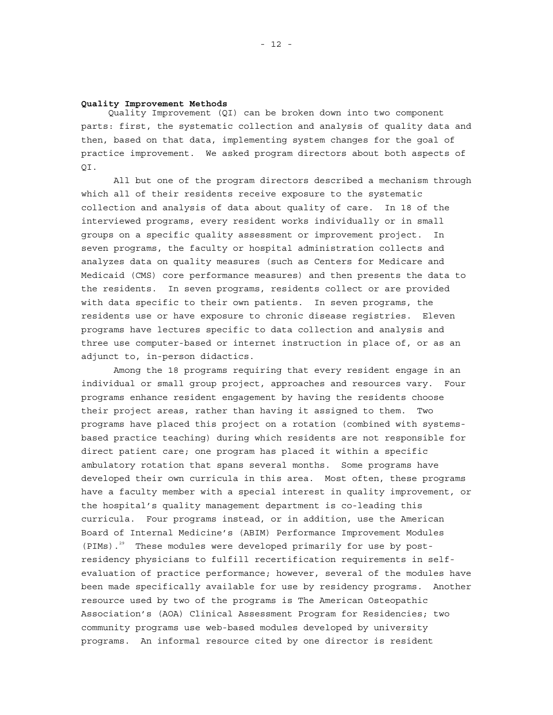#### **Quality Improvement Methods**

Quality Improvement (QI) can be broken down into two component parts: first, the systematic collection and analysis of quality data and then, based on that data, implementing system changes for the goal of practice improvement. We asked program directors about both aspects of QI.

All but one of the program directors described a mechanism through which all of their residents receive exposure to the systematic collection and analysis of data about quality of care. In 18 of the interviewed programs, every resident works individually or in small groups on a specific quality assessment or improvement project. In seven programs, the faculty or hospital administration collects and analyzes data on quality measures (such as Centers for Medicare and Medicaid (CMS) core performance measures) and then presents the data to the residents. In seven programs, residents collect or are provided with data specific to their own patients. In seven programs, the residents use or have exposure to chronic disease registries. Eleven programs have lectures specific to data collection and analysis and three use computer-based or internet instruction in place of, or as an adjunct to, in-person didactics.

Among the 18 programs requiring that every resident engage in an individual or small group project, approaches and resources vary. Four programs enhance resident engagement by having the residents choose their project areas, rather than having it assigned to them. Two programs have placed this project on a rotation (combined with systemsbased practice teaching) during which residents are not responsible for direct patient care; one program has placed it within a specific ambulatory rotation that spans several months. Some programs have developed their own curricula in this area. Most often, these programs have a faculty member with a special interest in quality improvement, or the hospital's quality management department is co-leading this curricula. Four programs instead, or in addition, use the American Board of Internal Medicine's (ABIM) Performance Improvement Modules (PIMs).<sup>29</sup> These modules were developed primarily for use by postresidency physicians to fulfill recertification requirements in selfevaluation of practice performance; however, several of the modules have been made specifically available for use by residency programs. Another resource used by two of the programs is The American Osteopathic Association's (AOA) Clinical Assessment Program for Residencies; two community programs use web-based modules developed by university programs. An informal resource cited by one director is resident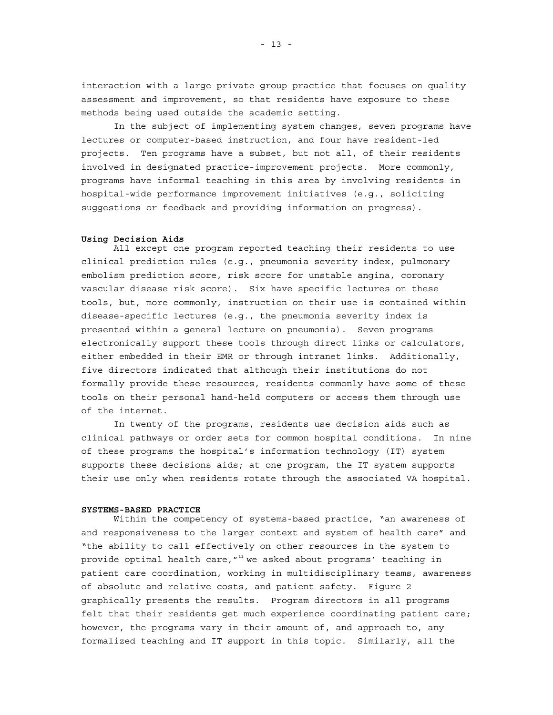<span id="page-26-0"></span>interaction with a large private group practice that focuses on quality assessment and improvement, so that residents have exposure to these methods being used outside the academic setting.

In the subject of implementing system changes, seven programs have lectures or computer-based instruction, and four have resident-led projects. Ten programs have a subset, but not all, of their residents involved in designated practice-improvement projects. More commonly, programs have informal teaching in this area by involving residents in hospital-wide performance improvement initiatives (e.g., soliciting suggestions or feedback and providing information on progress).

#### **Using Decision Aids**

All except one program reported teaching their residents to use clinical prediction rules (e.g., pneumonia severity index, pulmonary embolism prediction score, risk score for unstable angina, coronary vascular disease risk score). Six have specific lectures on these tools, but, more commonly, instruction on their use is contained within disease-specific lectures (e.g., the pneumonia severity index is presented within a general lecture on pneumonia). Seven programs electronically support these tools through direct links or calculators, either embedded in their EMR or through intranet links. Additionally, five directors indicated that although their institutions do not formally provide these resources, residents commonly have some of these tools on their personal hand-held computers or access them through use of the internet.

In twenty of the programs, residents use decision aids such as clinical pathways or order sets for common hospital conditions. In nine of these programs the hospital's information technology (IT) system supports these decisions aids; at one program, the IT system supports their use only when residents rotate through the associated VA hospital.

#### **SYSTEMS-BASED PRACTICE**

Within the competency of systems-based practice, "an awareness of and responsiveness to the larger context and system of health care" and "the ability to call effectively on other resources in the system to provide optimal health care,  $''''$  we asked about programs' teaching in patient care coordination, working in multidisciplinary teams, awareness of absolute and relative costs, and patient safety. Figure 2 graphically presents the results. Program directors in all programs felt that their residents get much experience coordinating patient care; however, the programs vary in their amount of, and approach to, any formalized teaching and IT support in this topic. Similarly, all the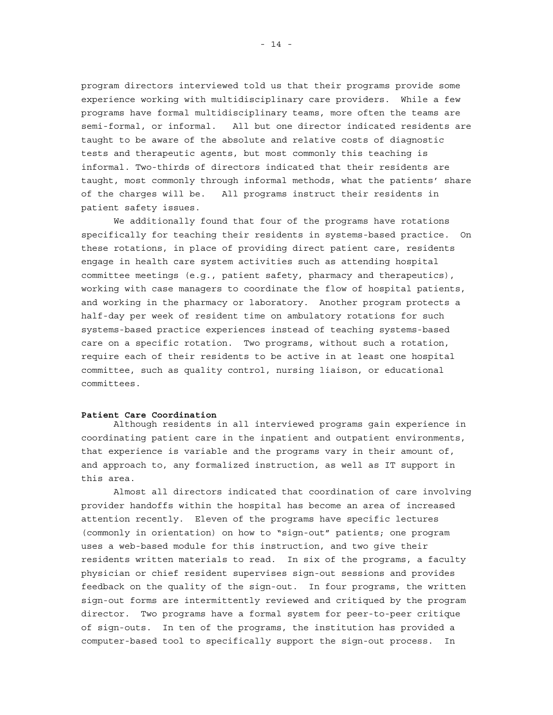program directors interviewed told us that their programs provide some experience working with multidisciplinary care providers. While a few programs have formal multidisciplinary teams, more often the teams are semi-formal, or informal. All but one director indicated residents are taught to be aware of the absolute and relative costs of diagnostic tests and therapeutic agents, but most commonly this teaching is informal. Two-thirds of directors indicated that their residents are taught, most commonly through informal methods, what the patients' share of the charges will be. All programs instruct their residents in patient safety issues.

We additionally found that four of the programs have rotations specifically for teaching their residents in systems-based practice. On these rotations, in place of providing direct patient care, residents engage in health care system activities such as attending hospital committee meetings (e.g., patient safety, pharmacy and therapeutics), working with case managers to coordinate the flow of hospital patients, and working in the pharmacy or laboratory. Another program protects a half-day per week of resident time on ambulatory rotations for such systems-based practice experiences instead of teaching systems-based care on a specific rotation. Two programs, without such a rotation, require each of their residents to be active in at least one hospital committee, such as quality control, nursing liaison, or educational committees.

#### **Patient Care Coordination**

Although residents in all interviewed programs gain experience in coordinating patient care in the inpatient and outpatient environments, that experience is variable and the programs vary in their amount of, and approach to, any formalized instruction, as well as IT support in this area.

 Almost all directors indicated that coordination of care involving provider handoffs within the hospital has become an area of increased attention recently. Eleven of the programs have specific lectures (commonly in orientation) on how to "sign-out" patients; one program uses a web-based module for this instruction, and two give their residents written materials to read. In six of the programs, a faculty physician or chief resident supervises sign-out sessions and provides feedback on the quality of the sign-out. In four programs, the written sign-out forms are intermittently reviewed and critiqued by the program director. Two programs have a formal system for peer-to-peer critique of sign-outs. In ten of the programs, the institution has provided a computer-based tool to specifically support the sign-out process. In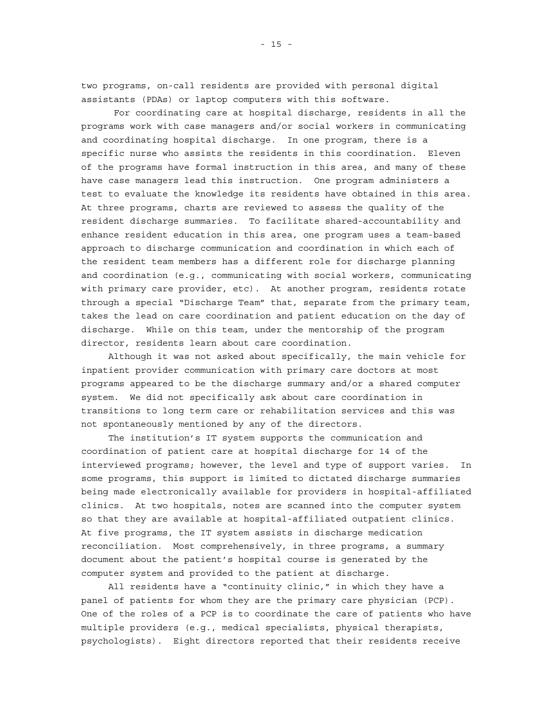two programs, on-call residents are provided with personal digital assistants (PDAs) or laptop computers with this software.

 For coordinating care at hospital discharge, residents in all the programs work with case managers and/or social workers in communicating and coordinating hospital discharge. In one program, there is a specific nurse who assists the residents in this coordination. Eleven of the programs have formal instruction in this area, and many of these have case managers lead this instruction. One program administers a test to evaluate the knowledge its residents have obtained in this area. At three programs, charts are reviewed to assess the quality of the resident discharge summaries. To facilitate shared-accountability and enhance resident education in this area, one program uses a team-based approach to discharge communication and coordination in which each of the resident team members has a different role for discharge planning and coordination (e.g., communicating with social workers, communicating with primary care provider, etc). At another program, residents rotate through a special "Discharge Team" that, separate from the primary team, takes the lead on care coordination and patient education on the day of discharge. While on this team, under the mentorship of the program director, residents learn about care coordination.

Although it was not asked about specifically, the main vehicle for inpatient provider communication with primary care doctors at most programs appeared to be the discharge summary and/or a shared computer system. We did not specifically ask about care coordination in transitions to long term care or rehabilitation services and this was not spontaneously mentioned by any of the directors.

The institution's IT system supports the communication and coordination of patient care at hospital discharge for 14 of the interviewed programs; however, the level and type of support varies. In some programs, this support is limited to dictated discharge summaries being made electronically available for providers in hospital-affiliated clinics. At two hospitals, notes are scanned into the computer system so that they are available at hospital-affiliated outpatient clinics. At five programs, the IT system assists in discharge medication reconciliation. Most comprehensively, in three programs, a summary document about the patient's hospital course is generated by the computer system and provided to the patient at discharge.

All residents have a "continuity clinic," in which they have a panel of patients for whom they are the primary care physician (PCP). One of the roles of a PCP is to coordinate the care of patients who have multiple providers (e.g., medical specialists, physical therapists, psychologists). Eight directors reported that their residents receive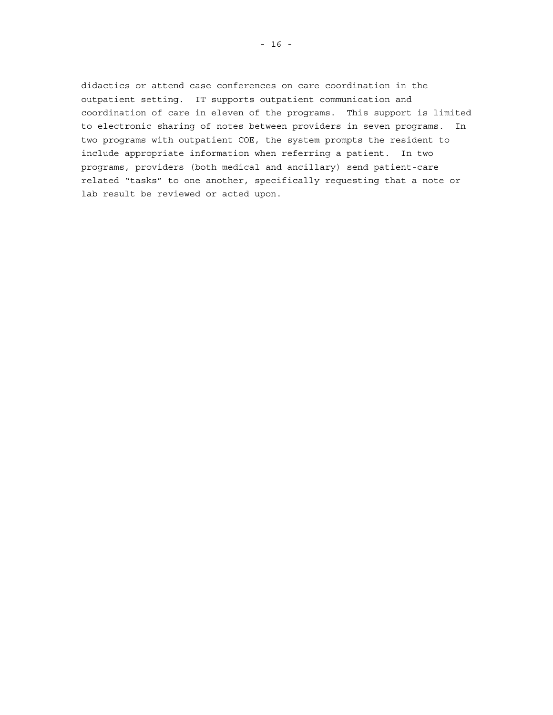didactics or attend case conferences on care coordination in the outpatient setting. IT supports outpatient communication and coordination of care in eleven of the programs. This support is limited to electronic sharing of notes between providers in seven programs. In two programs with outpatient COE, the system prompts the resident to include appropriate information when referring a patient. In two programs, providers (both medical and ancillary) send patient-care related "tasks" to one another, specifically requesting that a note or lab result be reviewed or acted upon.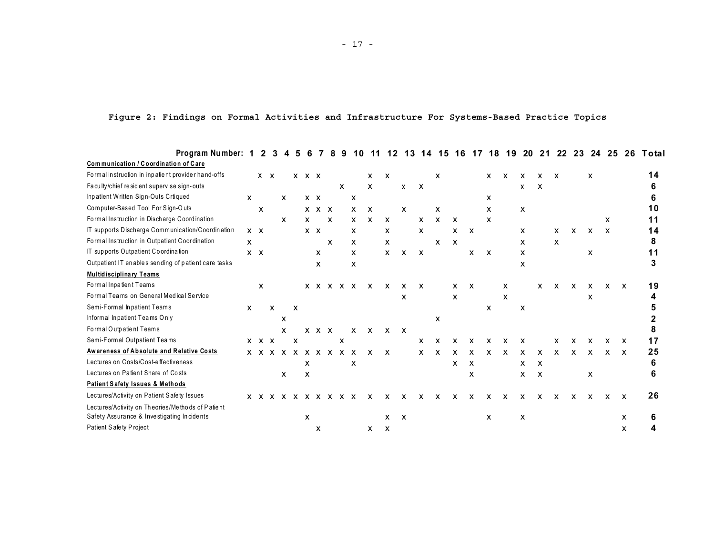<span id="page-30-0"></span>

| Program Number: 1                                   |              | $\mathbf{2}$ | з            |   | 5            | 6           |             | 8                         |   |   |                           | 12                        | 13           | 14.          | 15           | 16                        | 17           | 18           | 19                        | -20 | 21                        | 22                        | 23 | 24           | -25          | 26           | Total |
|-----------------------------------------------------|--------------|--------------|--------------|---|--------------|-------------|-------------|---------------------------|---|---|---------------------------|---------------------------|--------------|--------------|--------------|---------------------------|--------------|--------------|---------------------------|-----|---------------------------|---------------------------|----|--------------|--------------|--------------|-------|
| Communication / Coordination of Care                |              |              |              |   |              |             |             |                           |   |   |                           |                           |              |              |              |                           |              |              |                           |     |                           |                           |    |              |              |              |       |
| Formal instruction in inpatient provider hand-offs  |              | $X \times$   |              |   |              | $X$ $X$ $X$ |             |                           |   |   | $\mathsf{x}$              | $\boldsymbol{\mathsf{x}}$ |              |              | x            |                           |              | X.           | x                         | x   | x                         | x                         |    | x            |              |              | 14    |
| Faculty/chief resident supervise sign-outs          |              |              |              |   |              |             |             |                           | X |   | $\mathsf{x}$              |                           | $\mathsf{x}$ | $\mathbf{x}$ |              |                           |              |              |                           | X   | х                         |                           |    |              |              |              | 6     |
| Inpatient Written Sign-Outs Crtiqued                | <b>X</b>     |              |              | X |              | $X$ $X$     |             |                           |   | X |                           |                           |              |              |              |                           |              | х            |                           |     |                           |                           |    |              |              |              |       |
| Computer-Based Tool For Sign-Outs                   |              | x            |              |   |              |             | $X$ $X$ $X$ |                           |   | X | $\boldsymbol{\mathsf{x}}$ |                           | х            |              | х            |                           |              | x            |                           | X   |                           |                           |    |              |              |              | 10    |
| Formal Instruction in Discharge Coordination        |              |              |              | X |              | x           |             | $\boldsymbol{\mathsf{x}}$ |   | x | X                         | X                         |              | x            | x            | x                         |              | x            |                           |     |                           |                           |    |              | X            |              | 11    |
| IT supports Discharge Communication/Coordination    |              | $X$ $X$      |              |   |              | $X$ $X$     |             |                           |   | x |                           | X.                        |              | X            |              | x                         | X            |              |                           | х   |                           | x                         | x  | X            | x            |              | 14    |
| Formal Instruction in Outpatient Coordination       | X            |              |              |   |              |             |             | X                         |   | x |                           | $\mathsf{x}$              |              |              | X            | $\boldsymbol{\mathsf{x}}$ |              |              |                           | x   |                           | $\boldsymbol{\mathsf{x}}$ |    |              |              |              | 8     |
| IT supports Outpatient Coordination                 |              | $X$ $X$      |              |   |              |             | X           |                           |   | x |                           | $\mathsf{x}$              | $\mathsf{x}$ | $\mathsf{X}$ |              |                           | x            | $\mathsf{X}$ |                           | X   |                           |                           |    | $\mathsf{x}$ |              |              | 11    |
| Outpatient IT enables sending of patient care tasks |              |              |              |   |              |             | x           |                           |   | X |                           |                           |              |              |              |                           |              |              |                           | x   |                           |                           |    |              |              |              |       |
| <b>Multidisciplinary Teams</b>                      |              |              |              |   |              |             |             |                           |   |   |                           |                           |              |              |              |                           |              |              |                           |     |                           |                           |    |              |              |              |       |
| Formal Inpatient Teams                              |              | x            |              |   |              |             |             | x x x x x                 |   |   | $\mathsf{x}$              | $\mathsf{x}$              | x            | X            |              | x                         | $\mathsf{X}$ |              | x                         |     | X                         | x                         | x  | $\mathsf{x}$ | $\mathsf{x}$ | X            | 19    |
| Formal Teams on General Medical Service             |              |              |              |   |              |             |             |                           |   |   |                           |                           | x            |              |              | X                         |              |              | X                         |     |                           |                           |    | x            |              |              |       |
| Semi-Formal Inpatient Teams                         | $\mathsf{x}$ |              | $\mathsf{x}$ |   | $\mathsf{x}$ |             |             |                           |   |   |                           |                           |              |              |              |                           |              | $\mathsf{x}$ |                           | X   |                           |                           |    |              |              |              |       |
| Informal Inpatient Teams Only                       |              |              |              | X |              |             |             |                           |   |   |                           |                           |              |              | x            |                           |              |              |                           |     |                           |                           |    |              |              |              |       |
| Formal Outpatient Teams                             |              |              |              | x |              |             | $X$ $X$ $X$ |                           |   | X | X                         | $\mathsf{x}$              | $\mathsf{x}$ |              |              |                           |              |              |                           |     |                           |                           |    |              |              |              |       |
| Semi-Formal Outpatient Teams                        |              | $X$ $X$ $X$  |              |   | x            |             |             |                           | X |   |                           |                           |              | x            | x            |                           |              |              |                           | x   |                           |                           |    |              |              |              | 17    |
| Awareness of Absolute and Relative Costs            |              |              |              |   |              |             |             | x x x x x x x x x x       |   |   | $\mathbf{x}$              | X                         |              | X            | $\mathsf{x}$ | X                         | X            | x            | $\boldsymbol{\mathsf{x}}$ | x   | X                         | $\mathsf{x}$              | X  | X            | x            | X            | 25    |
| Lectures on Costs/Cost-effectiveness                |              |              |              |   |              | x           |             |                           |   | х |                           |                           |              |              |              | X                         | $\mathsf{x}$ |              |                           | x   | $\boldsymbol{\mathsf{x}}$ |                           |    |              |              |              | 6     |
| Lectures on Patient Share of Costs                  |              |              |              | x |              | x           |             |                           |   |   |                           |                           |              |              |              |                           | x            |              |                           | x   | X                         |                           |    | x            |              |              | 6     |
| Patient Safety Issues & Methods                     |              |              |              |   |              |             |             |                           |   |   |                           |                           |              |              |              |                           |              |              |                           |     |                           |                           |    |              |              |              |       |
| Lectures/Activity on Patient Safety Issues          |              |              |              |   |              |             |             | x x x x x x x x x x       |   |   | X                         | x                         | x            | x            | X            | X                         | x            | x            | x                         | X   | X                         | X                         | X  | X            | x            | $\mathsf{x}$ | 26    |
| Lectures/Activity on Theories/Methods of Patient    |              |              |              |   |              |             |             |                           |   |   |                           |                           |              |              |              |                           |              |              |                           |     |                           |                           |    |              |              |              |       |
| Safety Assurance & Investigating Incidents          |              |              |              |   |              | X           |             |                           |   |   |                           | $\mathsf{x}$              | $\mathbf{x}$ |              |              |                           |              | $\mathsf{x}$ |                           | X   |                           |                           |    |              |              | x            |       |
| Patient Safety Project                              |              |              |              |   |              |             | X           |                           |   |   | X                         | x                         |              |              |              |                           |              |              |                           |     |                           |                           |    |              |              | x            |       |

**Figure 2: Findings on Formal Activities and Infrastructure For Systems-Based Practice Topics**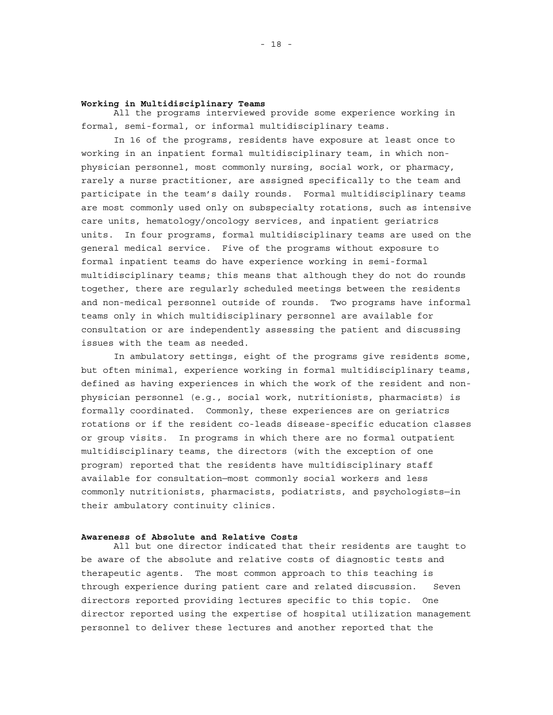#### **Working in Multidisciplinary Teams**

All the programs interviewed provide some experience working in formal, semi-formal, or informal multidisciplinary teams.

In 16 of the programs, residents have exposure at least once to working in an inpatient formal multidisciplinary team, in which nonphysician personnel, most commonly nursing, social work, or pharmacy, rarely a nurse practitioner, are assigned specifically to the team and participate in the team's daily rounds. Formal multidisciplinary teams are most commonly used only on subspecialty rotations, such as intensive care units, hematology/oncology services, and inpatient geriatrics units. In four programs, formal multidisciplinary teams are used on the general medical service. Five of the programs without exposure to formal inpatient teams do have experience working in semi-formal multidisciplinary teams; this means that although they do not do rounds together, there are regularly scheduled meetings between the residents and non-medical personnel outside of rounds. Two programs have informal teams only in which multidisciplinary personnel are available for consultation or are independently assessing the patient and discussing issues with the team as needed.

In ambulatory settings, eight of the programs give residents some, but often minimal, experience working in formal multidisciplinary teams, defined as having experiences in which the work of the resident and nonphysician personnel (e.g., social work, nutritionists, pharmacists) is formally coordinated. Commonly, these experiences are on geriatrics rotations or if the resident co-leads disease-specific education classes or group visits. In programs in which there are no formal outpatient multidisciplinary teams, the directors (with the exception of one program) reported that the residents have multidisciplinary staff available for consultation—most commonly social workers and less commonly nutritionists, pharmacists, podiatrists, and psychologists—in their ambulatory continuity clinics.

#### **Awareness of Absolute and Relative Costs**

All but one director indicated that their residents are taught to be aware of the absolute and relative costs of diagnostic tests and therapeutic agents. The most common approach to this teaching is through experience during patient care and related discussion. Seven directors reported providing lectures specific to this topic. One director reported using the expertise of hospital utilization management personnel to deliver these lectures and another reported that the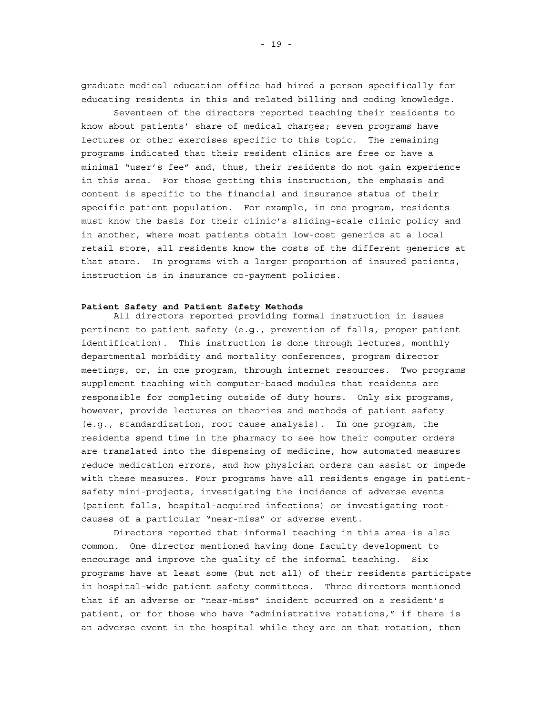graduate medical education office had hired a person specifically for educating residents in this and related billing and coding knowledge.

 Seventeen of the directors reported teaching their residents to know about patients' share of medical charges; seven programs have lectures or other exercises specific to this topic. The remaining programs indicated that their resident clinics are free or have a minimal "user's fee" and, thus, their residents do not gain experience in this area. For those getting this instruction, the emphasis and content is specific to the financial and insurance status of their specific patient population. For example, in one program, residents must know the basis for their clinic's sliding-scale clinic policy and in another, where most patients obtain low-cost generics at a local retail store, all residents know the costs of the different generics at that store. In programs with a larger proportion of insured patients, instruction is in insurance co-payment policies.

#### **Patient Safety and Patient Safety Methods**

All directors reported providing formal instruction in issues pertinent to patient safety (e.g., prevention of falls, proper patient identification). This instruction is done through lectures, monthly departmental morbidity and mortality conferences, program director meetings, or, in one program, through internet resources. Two programs supplement teaching with computer-based modules that residents are responsible for completing outside of duty hours. Only six programs, however, provide lectures on theories and methods of patient safety (e.g., standardization, root cause analysis). In one program, the residents spend time in the pharmacy to see how their computer orders are translated into the dispensing of medicine, how automated measures reduce medication errors, and how physician orders can assist or impede with these measures. Four programs have all residents engage in patientsafety mini-projects, investigating the incidence of adverse events (patient falls, hospital-acquired infections) or investigating rootcauses of a particular "near-miss" or adverse event.

Directors reported that informal teaching in this area is also common. One director mentioned having done faculty development to encourage and improve the quality of the informal teaching. Six programs have at least some (but not all) of their residents participate in hospital-wide patient safety committees. Three directors mentioned that if an adverse or "near-miss" incident occurred on a resident's patient, or for those who have "administrative rotations," if there is an adverse event in the hospital while they are on that rotation, then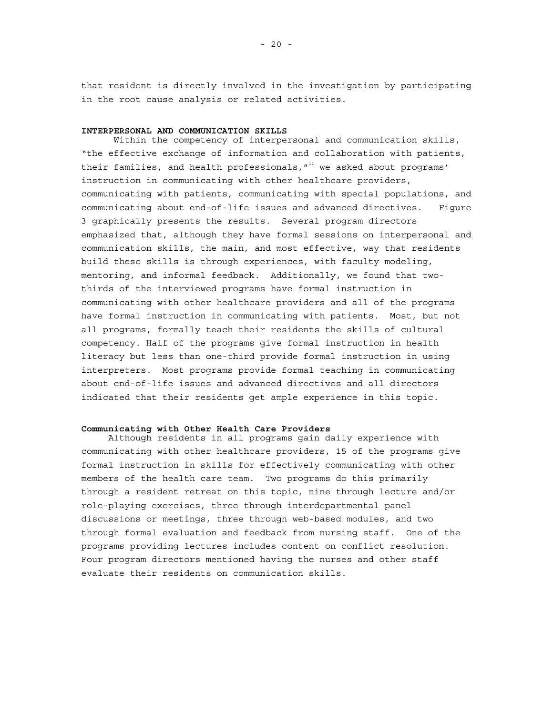<span id="page-33-0"></span>that resident is directly involved in the investigation by participating in the root cause analysis or related activities.

#### **INTERPERSONAL AND COMMUNICATION SKILLS**

Within the competency of interpersonal and communication skills, "the effective exchange of information and collaboration with patients, their families, and health professionals, $^{\prime 11}$  we asked about programs' instruction in communicating with other healthcare providers, communicating with patients, communicating with special populations, and communicating about end-of-life issues and advanced directives. Figure 3 graphically presents the results. Several program directors emphasized that, although they have formal sessions on interpersonal and communication skills, the main, and most effective, way that residents build these skills is through experiences, with faculty modeling, mentoring, and informal feedback. Additionally, we found that twothirds of the interviewed programs have formal instruction in communicating with other healthcare providers and all of the programs have formal instruction in communicating with patients. Most, but not all programs, formally teach their residents the skills of cultural competency. Half of the programs give formal instruction in health literacy but less than one-third provide formal instruction in using interpreters. Most programs provide formal teaching in communicating about end-of-life issues and advanced directives and all directors indicated that their residents get ample experience in this topic.

#### **Communicating with Other Health Care Providers**

Although residents in all programs gain daily experience with communicating with other healthcare providers, 15 of the programs give formal instruction in skills for effectively communicating with other members of the health care team. Two programs do this primarily through a resident retreat on this topic, nine through lecture and/or role-playing exercises, three through interdepartmental panel discussions or meetings, three through web-based modules, and two through formal evaluation and feedback from nursing staff. One of the programs providing lectures includes content on conflict resolution. Four program directors mentioned having the nurses and other staff evaluate their residents on communication skills.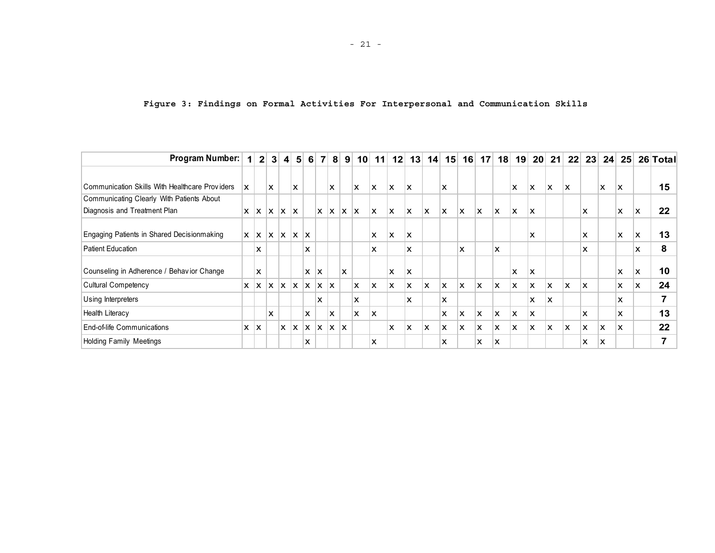|  |  |  |  |  |  |  |  |  | Figure 3: Findings on Formal Activities For Interpersonal and Communication Skills |  |
|--|--|--|--|--|--|--|--|--|------------------------------------------------------------------------------------|--|
|--|--|--|--|--|--|--|--|--|------------------------------------------------------------------------------------|--|

<span id="page-34-0"></span>

| Program Number:                                | 1 <sup>1</sup> | 2 <sub>1</sub>            | 3 <sup>1</sup> | $\vert$ 4    | 5 <sup>1</sup> | 6                         | $\mathbf{7}$              | 8 <sup>1</sup> | 9   | 10                     | 11 | 12 | 13                        | 14 | 15 | 16                        | 17 | 18 | 19 | 20 <sub>1</sub>           | 21                        | 22 | 23 | 24 <sup>1</sup> | 25 <sup>2</sup> |    | 26 Total                 |
|------------------------------------------------|----------------|---------------------------|----------------|--------------|----------------|---------------------------|---------------------------|----------------|-----|------------------------|----|----|---------------------------|----|----|---------------------------|----|----|----|---------------------------|---------------------------|----|----|-----------------|-----------------|----|--------------------------|
|                                                |                |                           |                |              |                |                           |                           |                |     |                        |    |    |                           |    |    |                           |    |    |    |                           |                           |    |    |                 |                 |    |                          |
| Communication Skills With Healthcare Providers | x              |                           | X              |              | X              |                           |                           | X              |     | X                      | ΙX | X  | $\boldsymbol{\mathsf{x}}$ |    | x  |                           |    |    | x  | X                         | X                         | X  |    | X               | X               |    | 15                       |
| Communicating Clearly With Patients About      |                |                           |                |              |                |                           |                           |                |     |                        |    |    |                           |    |    |                           |    |    |    |                           |                           |    |    |                 |                 |    |                          |
| Diagnosis and Treatment Plan                   | X              | X                         | ΙX.            |              | $x \mid x$     |                           | X                         | X              | x   | $\mathsf{I}\mathsf{X}$ | ΙX | X  | X                         | X  | X  | X                         | X  | X  | X  | X                         |                           |    | x  |                 | X               | x  | 22                       |
|                                                |                |                           |                |              |                |                           |                           |                |     |                        |    |    |                           |    |    |                           |    |    |    |                           |                           |    |    |                 |                 |    |                          |
| Engaging Patients in Shared Decisionmaking     | x              | $\mathbf{x}$ $\mathbf{x}$ |                | lx.          | lx.            | ΙX                        |                           |                |     |                        | X  | X  | $\boldsymbol{\mathsf{x}}$ |    |    |                           |    |    |    | X                         |                           |    | x  |                 | X               | ΙX | 13                       |
| <b>Patient Education</b>                       |                | x                         |                |              |                | X                         |                           |                |     |                        | X  |    | <b>X</b>                  |    |    | x                         |    | x  |    |                           |                           |    | x  |                 |                 | X  | 8                        |
|                                                |                |                           |                |              |                |                           |                           |                |     |                        |    |    |                           |    |    |                           |    |    |    |                           |                           |    |    |                 |                 |    |                          |
| Counseling in Adherence / Behavior Change      |                | X                         |                |              |                | X                         | $\boldsymbol{\mathsf{x}}$ |                | X   |                        |    | X  | $\boldsymbol{\mathsf{x}}$ |    |    |                           |    |    | x  | X                         |                           |    |    |                 | X               | x  | 10                       |
| <b>Cultural Competency</b>                     | x              | ΙX.                       | ΙX.            | Ιx.          | ΙX.            | ΙX.                       | ΙX.                       | x              |     | X                      | ΙX | X  | X                         | X  | X  | $\boldsymbol{\mathsf{x}}$ | X  | X  | X  | $\boldsymbol{\mathsf{x}}$ | X                         | X  | X  |                 | X               | x  | 24                       |
| Using Interpreters                             |                |                           |                |              |                |                           | x                         |                |     | X                      |    |    | X                         |    | X  |                           |    |    |    | X                         | X                         |    |    |                 | x               |    | $\overline{\phantom{a}}$ |
| Health Literacy                                |                |                           | x              |              |                | X                         |                           | X              |     | X                      | ΙX |    |                           |    | X  | X                         | X  | x  | X  | X                         |                           |    | x  |                 | x               |    | 13                       |
| End-of-life Communications                     | x              | X                         |                | $\mathsf{x}$ | ΙX.            | $\boldsymbol{\mathsf{x}}$ | $\mathsf{x}$              | Ιx.            | lx. |                        |    | X  | X                         | X  | X  | X                         | X  | X  | X  | $\boldsymbol{\mathsf{x}}$ | $\boldsymbol{\mathsf{x}}$ | X  | X  | X               | X               |    | 22                       |
| <b>Holding Family Meetings</b>                 |                |                           |                |              |                | x                         |                           |                |     |                        | X  |    |                           |    | x  |                           | x  | X  |    |                           |                           |    | x  | X               |                 |    | ⇁                        |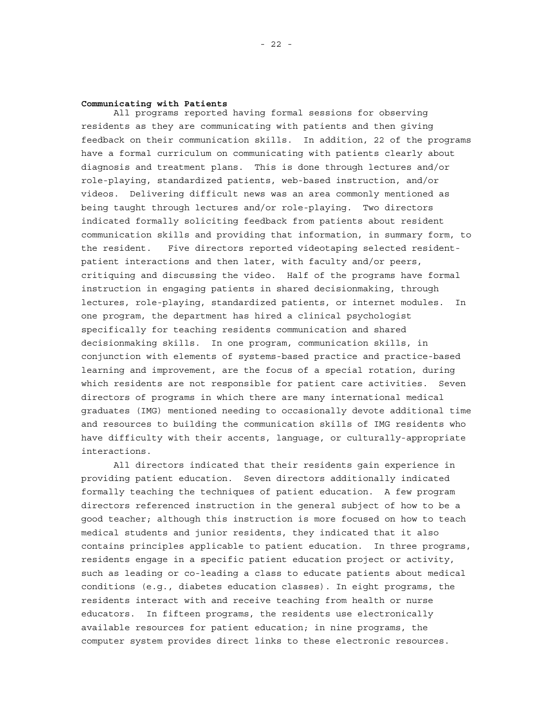#### **Communicating with Patients**

All programs reported having formal sessions for observing residents as they are communicating with patients and then giving feedback on their communication skills. In addition, 22 of the programs have a formal curriculum on communicating with patients clearly about diagnosis and treatment plans. This is done through lectures and/or role-playing, standardized patients, web-based instruction, and/or videos. Delivering difficult news was an area commonly mentioned as being taught through lectures and/or role-playing. Two directors indicated formally soliciting feedback from patients about resident communication skills and providing that information, in summary form, to the resident. Five directors reported videotaping selected residentpatient interactions and then later, with faculty and/or peers, critiquing and discussing the video. Half of the programs have formal instruction in engaging patients in shared decisionmaking, through lectures, role-playing, standardized patients, or internet modules. In one program, the department has hired a clinical psychologist specifically for teaching residents communication and shared decisionmaking skills. In one program, communication skills, in conjunction with elements of systems-based practice and practice-based learning and improvement, are the focus of a special rotation, during which residents are not responsible for patient care activities. Seven directors of programs in which there are many international medical graduates (IMG) mentioned needing to occasionally devote additional time and resources to building the communication skills of IMG residents who have difficulty with their accents, language, or culturally-appropriate interactions.

All directors indicated that their residents gain experience in providing patient education. Seven directors additionally indicated formally teaching the techniques of patient education. A few program directors referenced instruction in the general subject of how to be a good teacher; although this instruction is more focused on how to teach medical students and junior residents, they indicated that it also contains principles applicable to patient education. In three programs, residents engage in a specific patient education project or activity, such as leading or co-leading a class to educate patients about medical conditions (e.g., diabetes education classes). In eight programs, the residents interact with and receive teaching from health or nurse educators. In fifteen programs, the residents use electronically available resources for patient education; in nine programs, the computer system provides direct links to these electronic resources.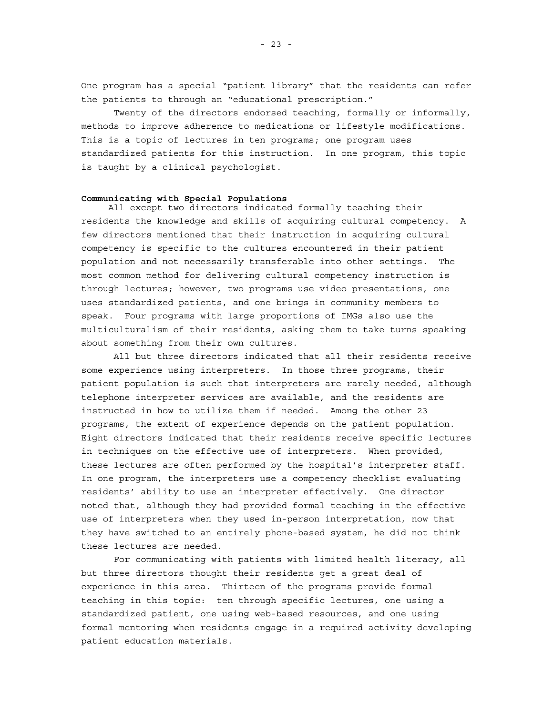One program has a special "patient library" that the residents can refer the patients to through an "educational prescription."

Twenty of the directors endorsed teaching, formally or informally, methods to improve adherence to medications or lifestyle modifications. This is a topic of lectures in ten programs; one program uses standardized patients for this instruction. In one program, this topic is taught by a clinical psychologist.

## **Communicating with Special Populations**

All except two directors indicated formally teaching their residents the knowledge and skills of acquiring cultural competency. A few directors mentioned that their instruction in acquiring cultural competency is specific to the cultures encountered in their patient population and not necessarily transferable into other settings. The most common method for delivering cultural competency instruction is through lectures; however, two programs use video presentations, one uses standardized patients, and one brings in community members to speak. Four programs with large proportions of IMGs also use the multiculturalism of their residents, asking them to take turns speaking about something from their own cultures.

All but three directors indicated that all their residents receive some experience using interpreters. In those three programs, their patient population is such that interpreters are rarely needed, although telephone interpreter services are available, and the residents are instructed in how to utilize them if needed. Among the other 23 programs, the extent of experience depends on the patient population. Eight directors indicated that their residents receive specific lectures in techniques on the effective use of interpreters. When provided, these lectures are often performed by the hospital's interpreter staff. In one program, the interpreters use a competency checklist evaluating residents' ability to use an interpreter effectively. One director noted that, although they had provided formal teaching in the effective use of interpreters when they used in-person interpretation, now that they have switched to an entirely phone-based system, he did not think these lectures are needed.

For communicating with patients with limited health literacy, all but three directors thought their residents get a great deal of experience in this area. Thirteen of the programs provide formal teaching in this topic: ten through specific lectures, one using a standardized patient, one using web-based resources, and one using formal mentoring when residents engage in a required activity developing patient education materials.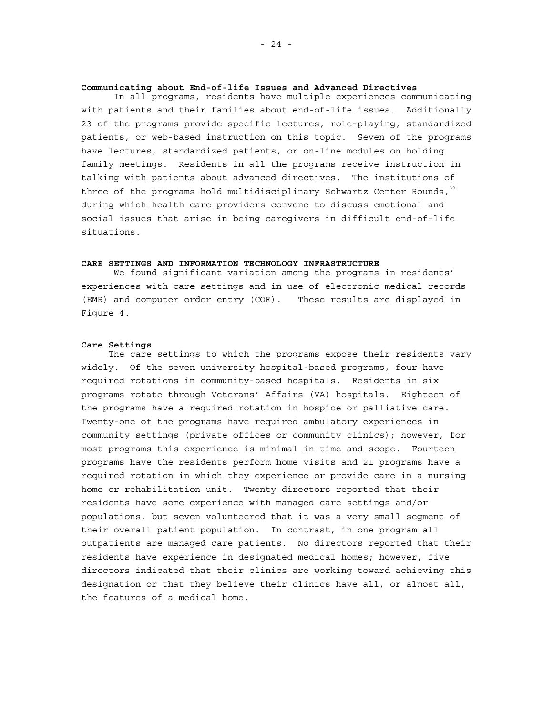#### **Communicating about End-of-life Issues and Advanced Directives**

In all programs, residents have multiple experiences communicating with patients and their families about end-of-life issues. Additionally 23 of the programs provide specific lectures, role-playing, standardized patients, or web-based instruction on this topic. Seven of the programs have lectures, standardized patients, or on-line modules on holding family meetings. Residents in all the programs receive instruction in talking with patients about advanced directives. The institutions of three of the programs hold multidisciplinary Schwartz Center Rounds, $30$ during which health care providers convene to discuss emotional and social issues that arise in being caregivers in difficult end-of-life situations.

### **CARE SETTINGS AND INFORMATION TECHNOLOGY INFRASTRUCTURE**

We found significant variation among the programs in residents' experiences with care settings and in use of electronic medical records (EMR) and computer order entry (COE). These results are displayed in Figure 4.

#### **Care Settings**

The care settings to which the programs expose their residents vary widely. Of the seven university hospital-based programs, four have required rotations in community-based hospitals. Residents in six programs rotate through Veterans' Affairs (VA) hospitals. Eighteen of the programs have a required rotation in hospice or palliative care. Twenty-one of the programs have required ambulatory experiences in community settings (private offices or community clinics); however, for most programs this experience is minimal in time and scope. Fourteen programs have the residents perform home visits and 21 programs have a required rotation in which they experience or provide care in a nursing home or rehabilitation unit. Twenty directors reported that their residents have some experience with managed care settings and/or populations, but seven volunteered that it was a very small segment of their overall patient population. In contrast, in one program all outpatients are managed care patients. No directors reported that their residents have experience in designated medical homes; however, five directors indicated that their clinics are working toward achieving this designation or that they believe their clinics have all, or almost all, the features of a medical home.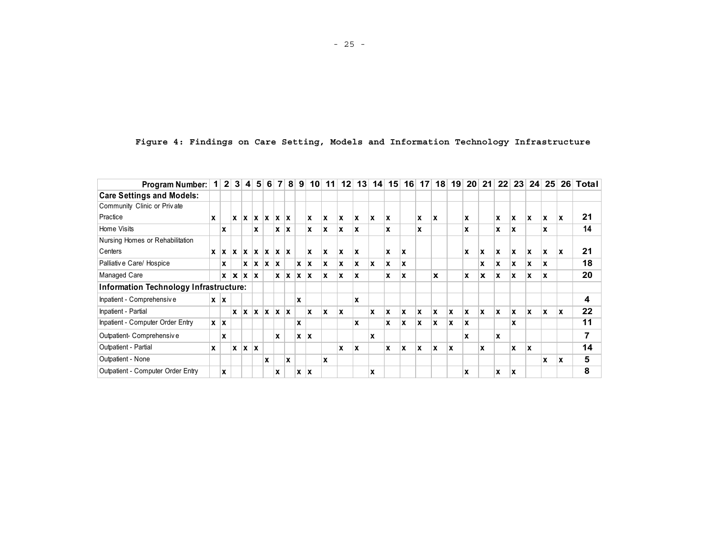| Program Number:                        | $\mathbf{1}$ | 2 <sup>2</sup> | 3 <sup>l</sup> | $\overline{\mathbf{4}}$  | 5 <sup>1</sup>            | 6        | $\overline{7}$ | 8 <sup>1</sup> | 9          | 10 <sup>1</sup> | 11       | 12 | 13          |          | 14 15 | 16          | 17 <sup>1</sup> | 18  | 19 | 20 <sub>1</sub> | 21 <sup>1</sup> | 22 | 23 <sup>1</sup> | 24 <sup>1</sup> | 25 <sup>1</sup> |   | 26 Total |
|----------------------------------------|--------------|----------------|----------------|--------------------------|---------------------------|----------|----------------|----------------|------------|-----------------|----------|----|-------------|----------|-------|-------------|-----------------|-----|----|-----------------|-----------------|----|-----------------|-----------------|-----------------|---|----------|
| <b>Care Settings and Models:</b>       |              |                |                |                          |                           |          |                |                |            |                 |          |    |             |          |       |             |                 |     |    |                 |                 |    |                 |                 |                 |   |          |
| Community Clinic or Private            |              |                |                |                          |                           |          |                |                |            |                 |          |    |             |          |       |             |                 |     |    |                 |                 |    |                 |                 |                 |   |          |
| Practice                               | x            |                | x              |                          | $x \mid x \mid x$         |          | <b>x</b>       | $\mathbf{x}$   |            | ΙX.             | ΙX.      | x  | ΙX.         | <b>x</b> | X     |             | x               | x   |    | x               |                 | X  | X               | ΙX.             | X               | x | 21       |
| Home Visits                            |              | x              |                |                          | x                         |          | x              | $\mathbf{x}$   |            | x               | x        | x  | x           |          | x     |             | x               |     |    | x               |                 | x  | x               |                 | x               |   | 14       |
| Nursing Homes or Rehabilitation        |              |                |                |                          |                           |          |                |                |            |                 |          |    |             |          |       |             |                 |     |    |                 |                 |    |                 |                 |                 |   |          |
| Centers                                | x            | x              | lх.            |                          | $\mathbf{x}$ $\mathbf{x}$ | ΙX.      | ΙX.            | $\mathbf{X}$   |            | lx.             | ΙX.      | X  | Ix          |          | x     | x           |                 |     |    | x               | X               | X  | x               | ΙX.             | X               | x | 21       |
| Palliative Care/ Hospice               |              | x              |                |                          | $x \mid x$                | <b>x</b> | ΙX.            |                | $x \mid x$ |                 | <b>X</b> | x  | ΙX.         | ΙX.      | x     | x           |                 |     |    |                 | x               | x  | ΙX.             | ΙX.             | X               |   | 18       |
| Managed Care                           |              |                |                | $x \mid x \mid x \mid x$ |                           |          | x              | $\mathbf{x}$   | $X$ $X$    |                 | <b>X</b> | x  | x           |          | x     | X           |                 | x   |    | x               | x               | x  | x               | x               | X               |   | 20       |
| Information Technology Infrastructure: |              |                |                |                          |                           |          |                |                |            |                 |          |    |             |          |       |             |                 |     |    |                 |                 |    |                 |                 |                 |   |          |
| Inpatient - Comprehensive              | x            | X              |                |                          |                           |          |                |                | x          |                 |          |    | x           |          |       |             |                 |     |    |                 |                 |    |                 |                 |                 |   | 4        |
| Inpatient - Partial                    |              |                | ΙX.            | <u> x  </u>              | <b>x</b>                  | ΙX.      | $x \mid x$     |                |            | x               | x        | x  |             | x        | X     | x           | x               | ΙX. | X  | ΙX.             | ΙX.             | x  | ΙX.             | ΙX.             | X               | x | 22       |
| Inpatient - Computer Order Entry       |              | $x \mid x$     |                |                          |                           |          |                |                | X          |                 |          |    | $\mathbf x$ |          | x     | $\mathbf x$ | x               | x   | X  | x               |                 |    | X               |                 |                 |   | 11       |
| Outpatient- Comprehensive              |              | x              |                |                          |                           |          | X              |                | $x \mid x$ |                 |          |    |             | x        |       |             |                 |     |    | x               |                 | X  |                 |                 |                 |   | 7        |
| Outpatient - Partial                   | x            |                | x              |                          | $x \mid x$                |          |                |                |            |                 |          | X  | x           |          | x     | x           | ΙX.             | X   | x  |                 | x               |    | X               | x               |                 |   | 14       |
| Outpatient - None                      |              |                |                |                          |                           | X        |                | X              |            |                 | X        |    |             |          |       |             |                 |     |    |                 |                 |    |                 |                 | X               | X | 5        |
| Outpatient - Computer Order Entry      |              | <b>x</b>       |                |                          |                           |          | x              |                | $x \mid x$ |                 |          |    |             | x        |       |             |                 |     |    | x               |                 | X  | x               |                 |                 |   | 8        |

**Figure 4: Findings on Care Setting, Models and Information Technology Infrastructure**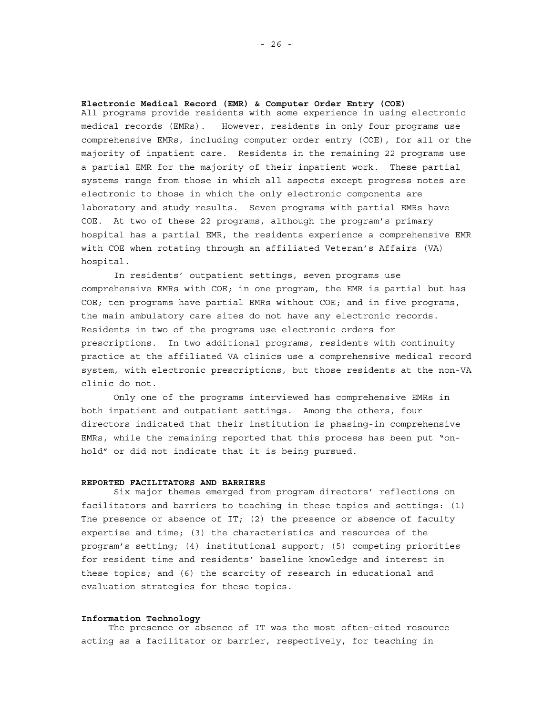## **Electronic Medical Record (EMR) & Computer Order Entry (COE)**

All programs provide residents with some experience in using electronic medical records (EMRs). However, residents in only four programs use comprehensive EMRs, including computer order entry (COE), for all or the majority of inpatient care. Residents in the remaining 22 programs use a partial EMR for the majority of their inpatient work. These partial systems range from those in which all aspects except progress notes are electronic to those in which the only electronic components are laboratory and study results. Seven programs with partial EMRs have COE. At two of these 22 programs, although the program's primary hospital has a partial EMR, the residents experience a comprehensive EMR with COE when rotating through an affiliated Veteran's Affairs (VA) hospital.

In residents' outpatient settings, seven programs use comprehensive EMRs with COE; in one program, the EMR is partial but has COE; ten programs have partial EMRs without COE; and in five programs, the main ambulatory care sites do not have any electronic records. Residents in two of the programs use electronic orders for prescriptions. In two additional programs, residents with continuity practice at the affiliated VA clinics use a comprehensive medical record system, with electronic prescriptions, but those residents at the non-VA clinic do not.

Only one of the programs interviewed has comprehensive EMRs in both inpatient and outpatient settings. Among the others, four directors indicated that their institution is phasing-in comprehensive EMRs, while the remaining reported that this process has been put "onhold" or did not indicate that it is being pursued.

## **REPORTED FACILITATORS AND BARRIERS**

Six major themes emerged from program directors' reflections on facilitators and barriers to teaching in these topics and settings: (1) The presence or absence of IT; (2) the presence or absence of faculty expertise and time; (3) the characteristics and resources of the program's setting; (4) institutional support; (5) competing priorities for resident time and residents' baseline knowledge and interest in these topics; and (6) the scarcity of research in educational and evaluation strategies for these topics.

#### **Information Technology**

The presence or absence of IT was the most often-cited resource acting as a facilitator or barrier, respectively, for teaching in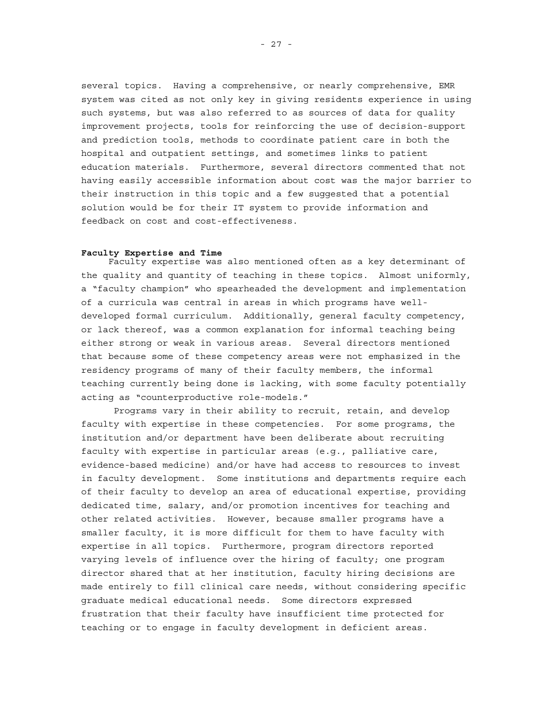several topics. Having a comprehensive, or nearly comprehensive, EMR system was cited as not only key in giving residents experience in using such systems, but was also referred to as sources of data for quality improvement projects, tools for reinforcing the use of decision-support and prediction tools, methods to coordinate patient care in both the hospital and outpatient settings, and sometimes links to patient education materials. Furthermore, several directors commented that not having easily accessible information about cost was the major barrier to their instruction in this topic and a few suggested that a potential solution would be for their IT system to provide information and feedback on cost and cost-effectiveness.

## **Faculty Expertise and Time**

Faculty expertise was also mentioned often as a key determinant of the quality and quantity of teaching in these topics. Almost uniformly, a "faculty champion" who spearheaded the development and implementation of a curricula was central in areas in which programs have welldeveloped formal curriculum. Additionally, general faculty competency, or lack thereof, was a common explanation for informal teaching being either strong or weak in various areas. Several directors mentioned that because some of these competency areas were not emphasized in the residency programs of many of their faculty members, the informal teaching currently being done is lacking, with some faculty potentially acting as "counterproductive role-models."

 Programs vary in their ability to recruit, retain, and develop faculty with expertise in these competencies. For some programs, the institution and/or department have been deliberate about recruiting faculty with expertise in particular areas (e.g., palliative care, evidence-based medicine) and/or have had access to resources to invest in faculty development. Some institutions and departments require each of their faculty to develop an area of educational expertise, providing dedicated time, salary, and/or promotion incentives for teaching and other related activities. However, because smaller programs have a smaller faculty, it is more difficult for them to have faculty with expertise in all topics. Furthermore, program directors reported varying levels of influence over the hiring of faculty; one program director shared that at her institution, faculty hiring decisions are made entirely to fill clinical care needs, without considering specific graduate medical educational needs. Some directors expressed frustration that their faculty have insufficient time protected for teaching or to engage in faculty development in deficient areas.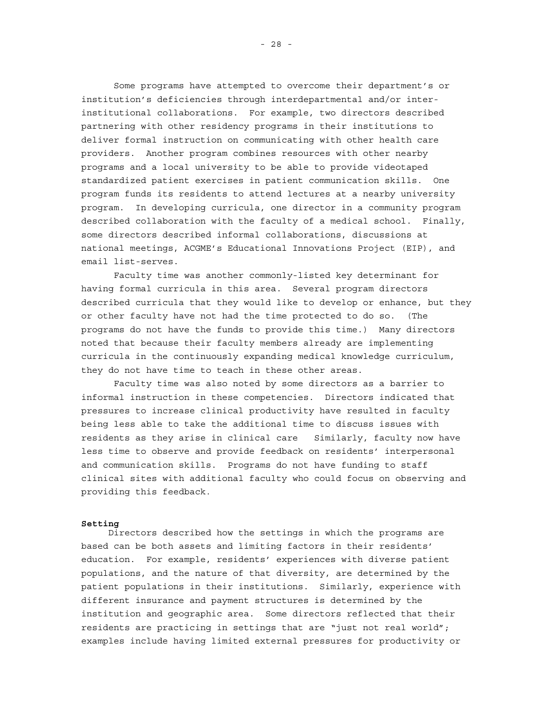Some programs have attempted to overcome their department's or institution's deficiencies through interdepartmental and/or interinstitutional collaborations. For example, two directors described partnering with other residency programs in their institutions to deliver formal instruction on communicating with other health care providers. Another program combines resources with other nearby programs and a local university to be able to provide videotaped standardized patient exercises in patient communication skills. One program funds its residents to attend lectures at a nearby university program. In developing curricula, one director in a community program described collaboration with the faculty of a medical school. Finally, some directors described informal collaborations, discussions at national meetings, ACGME's Educational Innovations Project (EIP), and email list-serves.

 Faculty time was another commonly-listed key determinant for having formal curricula in this area. Several program directors described curricula that they would like to develop or enhance, but they or other faculty have not had the time protected to do so. (The programs do not have the funds to provide this time.) Many directors noted that because their faculty members already are implementing curricula in the continuously expanding medical knowledge curriculum, they do not have time to teach in these other areas.

 Faculty time was also noted by some directors as a barrier to informal instruction in these competencies. Directors indicated that pressures to increase clinical productivity have resulted in faculty being less able to take the additional time to discuss issues with residents as they arise in clinical care Similarly, faculty now have less time to observe and provide feedback on residents' interpersonal and communication skills. Programs do not have funding to staff clinical sites with additional faculty who could focus on observing and providing this feedback.

#### **Setting**

Directors described how the settings in which the programs are based can be both assets and limiting factors in their residents' education. For example, residents' experiences with diverse patient populations, and the nature of that diversity, are determined by the patient populations in their institutions. Similarly, experience with different insurance and payment structures is determined by the institution and geographic area. Some directors reflected that their residents are practicing in settings that are "just not real world"; examples include having limited external pressures for productivity or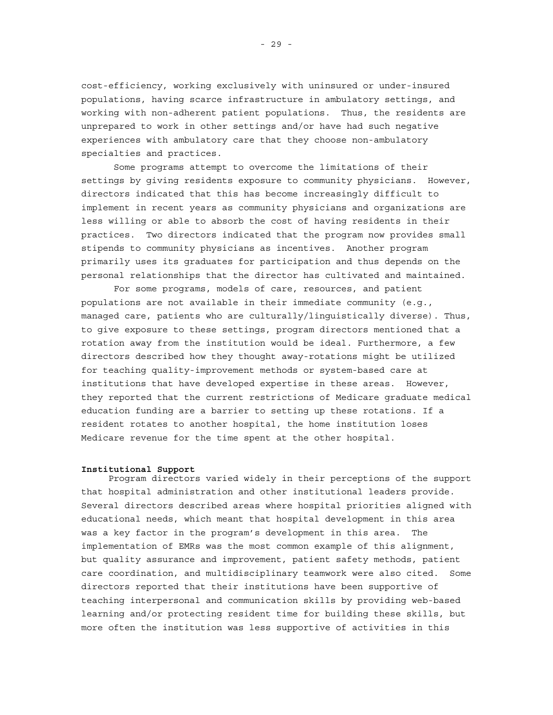cost-efficiency, working exclusively with uninsured or under-insured populations, having scarce infrastructure in ambulatory settings, and working with non-adherent patient populations. Thus, the residents are unprepared to work in other settings and/or have had such negative experiences with ambulatory care that they choose non-ambulatory specialties and practices.

 Some programs attempt to overcome the limitations of their settings by giving residents exposure to community physicians. However, directors indicated that this has become increasingly difficult to implement in recent years as community physicians and organizations are less willing or able to absorb the cost of having residents in their practices. Two directors indicated that the program now provides small stipends to community physicians as incentives. Another program primarily uses its graduates for participation and thus depends on the personal relationships that the director has cultivated and maintained.

For some programs, models of care, resources, and patient populations are not available in their immediate community (e.g., managed care, patients who are culturally/linguistically diverse). Thus, to give exposure to these settings, program directors mentioned that a rotation away from the institution would be ideal. Furthermore, a few directors described how they thought away-rotations might be utilized for teaching quality-improvement methods or system-based care at institutions that have developed expertise in these areas. However, they reported that the current restrictions of Medicare graduate medical education funding are a barrier to setting up these rotations. If a resident rotates to another hospital, the home institution loses Medicare revenue for the time spent at the other hospital.

#### **Institutional Support**

Program directors varied widely in their perceptions of the support that hospital administration and other institutional leaders provide. Several directors described areas where hospital priorities aligned with educational needs, which meant that hospital development in this area was a key factor in the program's development in this area. The implementation of EMRs was the most common example of this alignment, but quality assurance and improvement, patient safety methods, patient care coordination, and multidisciplinary teamwork were also cited. Some directors reported that their institutions have been supportive of teaching interpersonal and communication skills by providing web-based learning and/or protecting resident time for building these skills, but more often the institution was less supportive of activities in this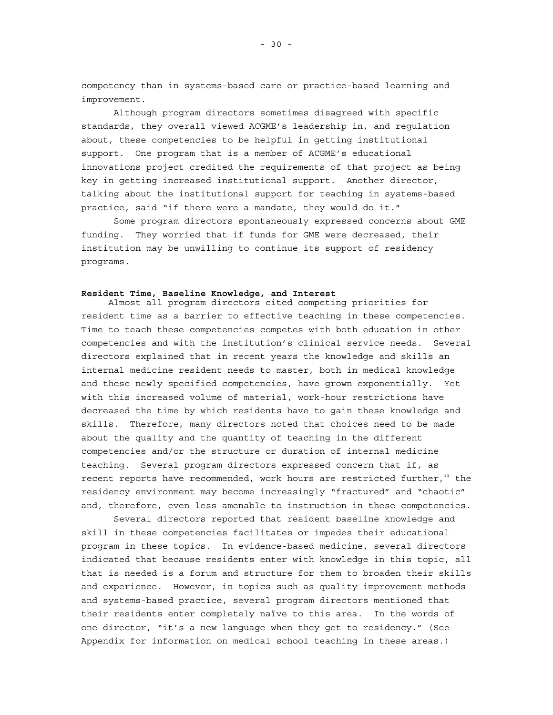competency than in systems-based care or practice-based learning and improvement.

Although program directors sometimes disagreed with specific standards, they overall viewed ACGME's leadership in, and regulation about, these competencies to be helpful in getting institutional support. One program that is a member of ACGME's educational innovations project credited the requirements of that project as being key in getting increased institutional support. Another director, talking about the institutional support for teaching in systems-based practice, said "if there were a mandate, they would do it."

Some program directors spontaneously expressed concerns about GME funding. They worried that if funds for GME were decreased, their institution may be unwilling to continue its support of residency programs.

# **Resident Time, Baseline Knowledge, and Interest**

Almost all program directors cited competing priorities for resident time as a barrier to effective teaching in these competencies. Time to teach these competencies competes with both education in other competencies and with the institution's clinical service needs. Several directors explained that in recent years the knowledge and skills an internal medicine resident needs to master, both in medical knowledge and these newly specified competencies, have grown exponentially. Yet with this increased volume of material, work-hour restrictions have decreased the time by which residents have to gain these knowledge and skills. Therefore, many directors noted that choices need to be made about the quality and the quantity of teaching in the different competencies and/or the structure or duration of internal medicine teaching. Several program directors expressed concern that if, as recent reports have recommended, work hours are restricted further,  $31$  the residency environment may become increasingly "fractured" and "chaotic" and, therefore, even less amenable to instruction in these competencies.

 Several directors reported that resident baseline knowledge and skill in these competencies facilitates or impedes their educational program in these topics. In evidence-based medicine, several directors indicated that because residents enter with knowledge in this topic, all that is needed is a forum and structure for them to broaden their skills and experience. However, in topics such as quality improvement methods and systems-based practice, several program directors mentioned that their residents enter completely naïve to this area. In the words of one director, "it's a new language when they get to residency." (See Appendix for information on medical school teaching in these areas.)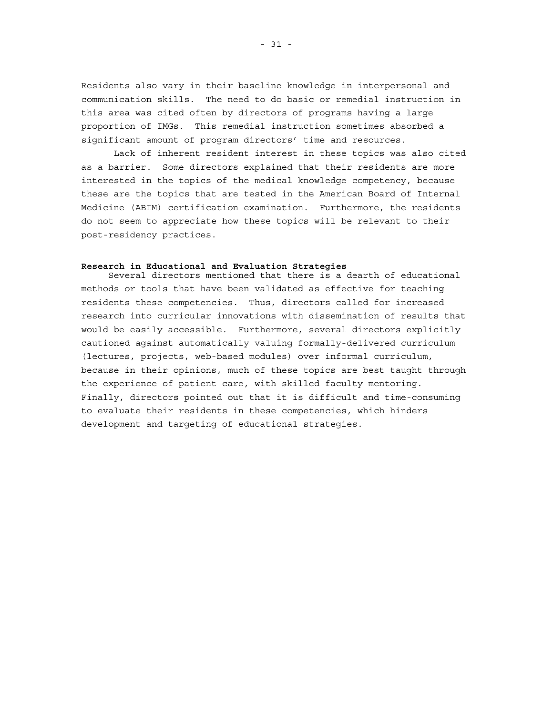Residents also vary in their baseline knowledge in interpersonal and communication skills. The need to do basic or remedial instruction in this area was cited often by directors of programs having a large proportion of IMGs. This remedial instruction sometimes absorbed a significant amount of program directors' time and resources.

 Lack of inherent resident interest in these topics was also cited as a barrier. Some directors explained that their residents are more interested in the topics of the medical knowledge competency, because these are the topics that are tested in the American Board of Internal Medicine (ABIM) certification examination. Furthermore, the residents do not seem to appreciate how these topics will be relevant to their post-residency practices.

#### **Research in Educational and Evaluation Strategies**

Several directors mentioned that there is a dearth of educational methods or tools that have been validated as effective for teaching residents these competencies. Thus, directors called for increased research into curricular innovations with dissemination of results that would be easily accessible. Furthermore, several directors explicitly cautioned against automatically valuing formally-delivered curriculum (lectures, projects, web-based modules) over informal curriculum, because in their opinions, much of these topics are best taught through the experience of patient care, with skilled faculty mentoring. Finally, directors pointed out that it is difficult and time-consuming to evaluate their residents in these competencies, which hinders development and targeting of educational strategies.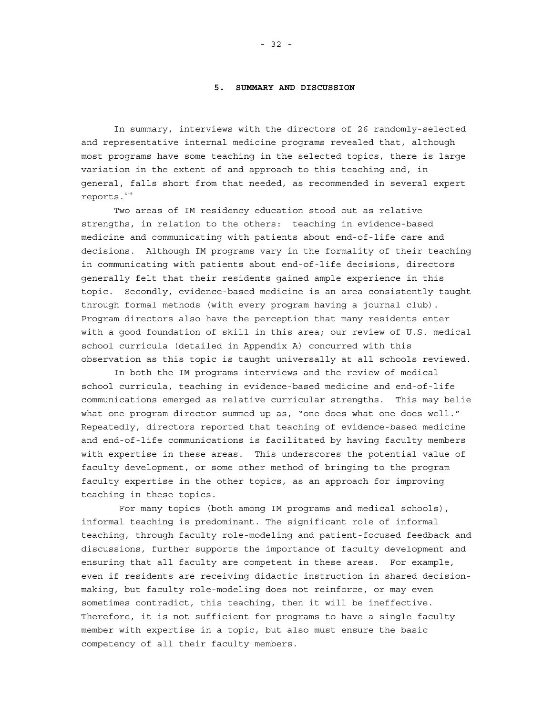## **5. SUMMARY AND DISCUSSION**

In summary, interviews with the directors of 26 randomly-selected and representative internal medicine programs revealed that, although most programs have some teaching in the selected topics, there is large variation in the extent of and approach to this teaching and, in general, falls short from that needed, as recommended in several expert reports.4-9

Two areas of IM residency education stood out as relative strengths, in relation to the others: teaching in evidence-based medicine and communicating with patients about end-of-life care and decisions. Although IM programs vary in the formality of their teaching in communicating with patients about end-of-life decisions, directors generally felt that their residents gained ample experience in this topic. Secondly, evidence-based medicine is an area consistently taught through formal methods (with every program having a journal club). Program directors also have the perception that many residents enter with a good foundation of skill in this area; our review of U.S. medical school curricula (detailed in Appendix A) concurred with this observation as this topic is taught universally at all schools reviewed.

In both the IM programs interviews and the review of medical school curricula, teaching in evidence-based medicine and end-of-life communications emerged as relative curricular strengths. This may belie what one program director summed up as, "one does what one does well." Repeatedly, directors reported that teaching of evidence-based medicine and end-of-life communications is facilitated by having faculty members with expertise in these areas. This underscores the potential value of faculty development, or some other method of bringing to the program faculty expertise in the other topics, as an approach for improving teaching in these topics.

 For many topics (both among IM programs and medical schools), informal teaching is predominant. The significant role of informal teaching, through faculty role-modeling and patient-focused feedback and discussions, further supports the importance of faculty development and ensuring that all faculty are competent in these areas. For example, even if residents are receiving didactic instruction in shared decisionmaking, but faculty role-modeling does not reinforce, or may even sometimes contradict, this teaching, then it will be ineffective. Therefore, it is not sufficient for programs to have a single faculty member with expertise in a topic, but also must ensure the basic competency of all their faculty members.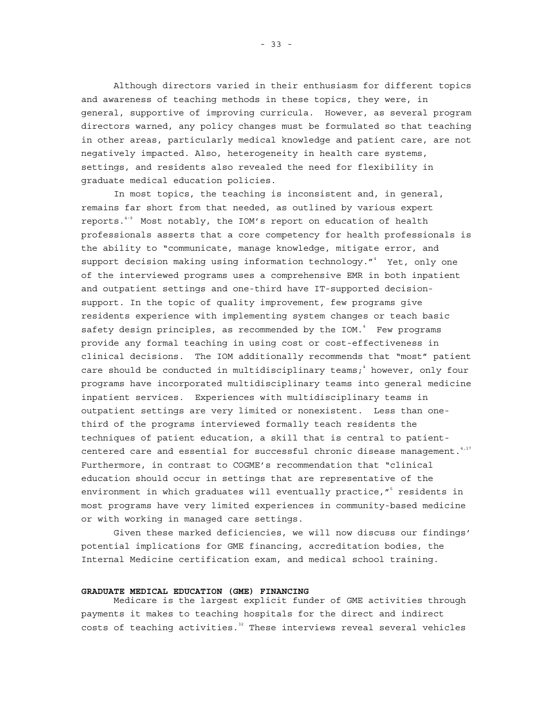Although directors varied in their enthusiasm for different topics and awareness of teaching methods in these topics, they were, in general, supportive of improving curricula. However, as several program directors warned, any policy changes must be formulated so that teaching in other areas, particularly medical knowledge and patient care, are not negatively impacted. Also, heterogeneity in health care systems, settings, and residents also revealed the need for flexibility in graduate medical education policies.

In most topics, the teaching is inconsistent and, in general, remains far short from that needed, as outlined by various expert reports.4-9 Most notably, the IOM's report on education of health professionals asserts that a core competency for health professionals is the ability to "communicate, manage knowledge, mitigate error, and support decision making using information technology."<sup>4</sup> Yet, only one of the interviewed programs uses a comprehensive EMR in both inpatient and outpatient settings and one-third have IT-supported decisionsupport. In the topic of quality improvement, few programs give residents experience with implementing system changes or teach basic safety design principles, as recommended by the IOM.<sup>4</sup> Few programs provide any formal teaching in using cost or cost-effectiveness in clinical decisions. The IOM additionally recommends that "most" patient care should be conducted in multidisciplinary teams;<sup>4</sup> however, only four programs have incorporated multidisciplinary teams into general medicine inpatient services. Experiences with multidisciplinary teams in outpatient settings are very limited or nonexistent. Less than onethird of the programs interviewed formally teach residents the techniques of patient education, a skill that is central to patientcentered care and essential for successful chronic disease management.  $4,17$ Furthermore, in contrast to COGME's recommendation that "clinical education should occur in settings that are representative of the environment in which graduates will eventually practice,"<sup>5</sup> residents in most programs have very limited experiences in community-based medicine or with working in managed care settings.

Given these marked deficiencies, we will now discuss our findings' potential implications for GME financing, accreditation bodies, the Internal Medicine certification exam, and medical school training.

## **GRADUATE MEDICAL EDUCATION (GME) FINANCING**

Medicare is the largest explicit funder of GME activities through payments it makes to teaching hospitals for the direct and indirect  $costs$  of teaching activities.<sup>32</sup> These interviews reveal several vehicles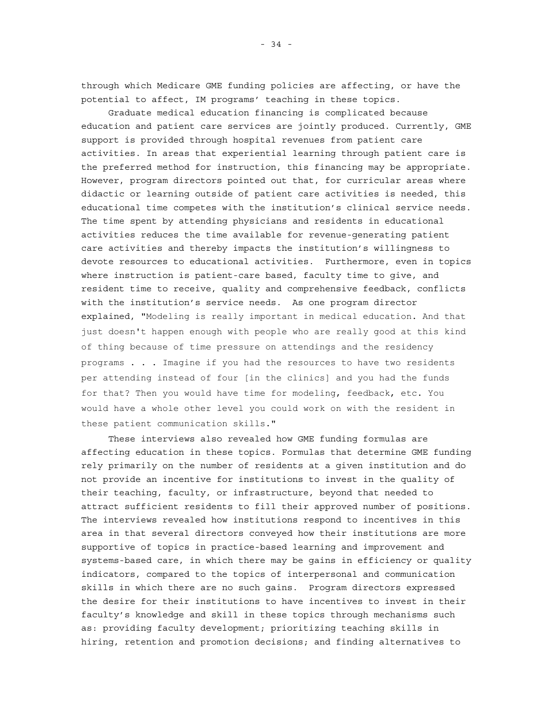through which Medicare GME funding policies are affecting, or have the potential to affect, IM programs' teaching in these topics.

Graduate medical education financing is complicated because education and patient care services are jointly produced. Currently, GME support is provided through hospital revenues from patient care activities. In areas that experiential learning through patient care is the preferred method for instruction, this financing may be appropriate. However, program directors pointed out that, for curricular areas where didactic or learning outside of patient care activities is needed, this educational time competes with the institution's clinical service needs. The time spent by attending physicians and residents in educational activities reduces the time available for revenue-generating patient care activities and thereby impacts the institution's willingness to devote resources to educational activities. Furthermore, even in topics where instruction is patient-care based, faculty time to give, and resident time to receive, quality and comprehensive feedback, conflicts with the institution's service needs. As one program director explained, "Modeling is really important in medical education. And that just doesn't happen enough with people who are really good at this kind of thing because of time pressure on attendings and the residency programs . . . Imagine if you had the resources to have two residents per attending instead of four [in the clinics] and you had the funds for that? Then you would have time for modeling, feedback, etc. You would have a whole other level you could work on with the resident in these patient communication skills."

These interviews also revealed how GME funding formulas are affecting education in these topics. Formulas that determine GME funding rely primarily on the number of residents at a given institution and do not provide an incentive for institutions to invest in the quality of their teaching, faculty, or infrastructure, beyond that needed to attract sufficient residents to fill their approved number of positions. The interviews revealed how institutions respond to incentives in this area in that several directors conveyed how their institutions are more supportive of topics in practice-based learning and improvement and systems-based care, in which there may be gains in efficiency or quality indicators, compared to the topics of interpersonal and communication skills in which there are no such gains. Program directors expressed the desire for their institutions to have incentives to invest in their faculty's knowledge and skill in these topics through mechanisms such as: providing faculty development; prioritizing teaching skills in hiring, retention and promotion decisions; and finding alternatives to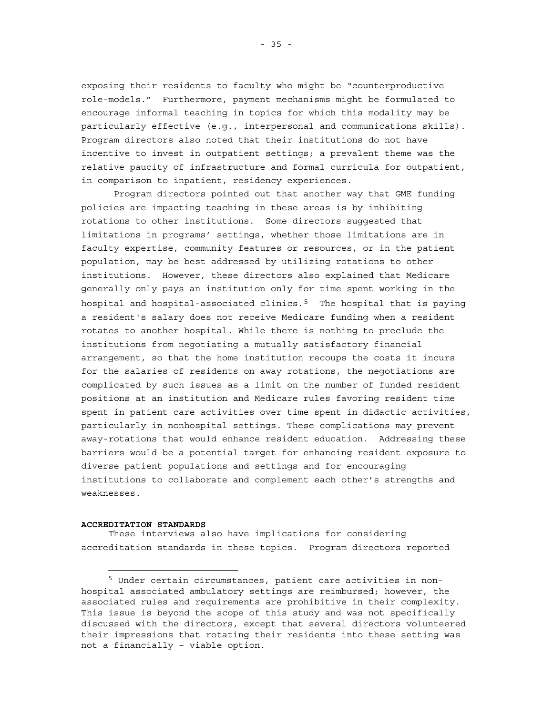<span id="page-48-0"></span>exposing their residents to faculty who might be "counterproductive role-models." Furthermore, payment mechanisms might be formulated to encourage informal teaching in topics for which this modality may be particularly effective (e.g., interpersonal and communications skills). Program directors also noted that their institutions do not have incentive to invest in outpatient settings; a prevalent theme was the relative paucity of infrastructure and formal curricula for outpatient, in comparison to inpatient, residency experiences.

Program directors pointed out that another way that GME funding policies are impacting teaching in these areas is by inhibiting rotations to other institutions. Some directors suggested that limitations in programs' settings, whether those limitations are in faculty expertise, community features or resources, or in the patient population, may be best addressed by utilizing rotations to other institutions. However, these directors also explained that Medicare generally only pays an institution only for time spent working in the hospital and hospital-associated clinics. $5$  The hospital that is paying a resident's salary does not receive Medicare funding when a resident rotates to another hospital. While there is nothing to preclude the institutions from negotiating a mutually satisfactory financial arrangement, so that the home institution recoups the costs it incurs for the salaries of residents on away rotations, the negotiations are complicated by such issues as a limit on the number of funded resident positions at an institution and Medicare rules favoring resident time spent in patient care activities over time spent in didactic activities, particularly in nonhospital settings. These complications may prevent away-rotations that would enhance resident education. Addressing these barriers would be a potential target for enhancing resident exposure to diverse patient populations and settings and for encouraging institutions to collaborate and complement each other's strengths and weaknesses.

#### **ACCREDITATION STANDARDS**

÷,

These interviews also have implications for considering accreditation standards in these topics. Program directors reported

<sup>5</sup> Under certain circumstances, patient care activities in nonhospital associated ambulatory settings are reimbursed; however, the associated rules and requirements are prohibitive in their complexity. This issue is beyond the scope of this study and was not specifically discussed with the directors, except that several directors volunteered their impressions that rotating their residents into these setting was not a financially – viable option.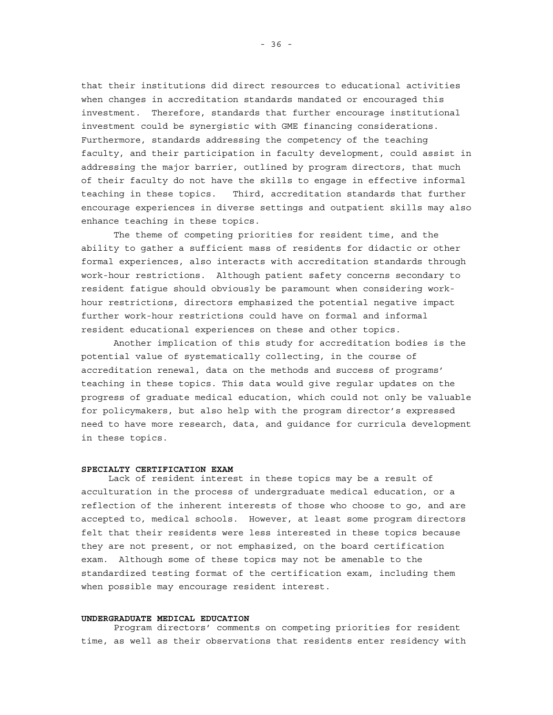that their institutions did direct resources to educational activities when changes in accreditation standards mandated or encouraged this investment. Therefore, standards that further encourage institutional investment could be synergistic with GME financing considerations. Furthermore, standards addressing the competency of the teaching faculty, and their participation in faculty development, could assist in addressing the major barrier, outlined by program directors, that much of their faculty do not have the skills to engage in effective informal teaching in these topics. Third, accreditation standards that further encourage experiences in diverse settings and outpatient skills may also enhance teaching in these topics.

 The theme of competing priorities for resident time, and the ability to gather a sufficient mass of residents for didactic or other formal experiences, also interacts with accreditation standards through work-hour restrictions. Although patient safety concerns secondary to resident fatigue should obviously be paramount when considering workhour restrictions, directors emphasized the potential negative impact further work-hour restrictions could have on formal and informal resident educational experiences on these and other topics.

 Another implication of this study for accreditation bodies is the potential value of systematically collecting, in the course of accreditation renewal, data on the methods and success of programs' teaching in these topics. This data would give regular updates on the progress of graduate medical education, which could not only be valuable for policymakers, but also help with the program director's expressed need to have more research, data, and guidance for curricula development in these topics.

#### **SPECIALTY CERTIFICATION EXAM**

Lack of resident interest in these topics may be a result of acculturation in the process of undergraduate medical education, or a reflection of the inherent interests of those who choose to go, and are accepted to, medical schools. However, at least some program directors felt that their residents were less interested in these topics because they are not present, or not emphasized, on the board certification exam. Although some of these topics may not be amenable to the standardized testing format of the certification exam, including them when possible may encourage resident interest.

### **UNDERGRADUATE MEDICAL EDUCATION**

Program directors' comments on competing priorities for resident time, as well as their observations that residents enter residency with

- 36 -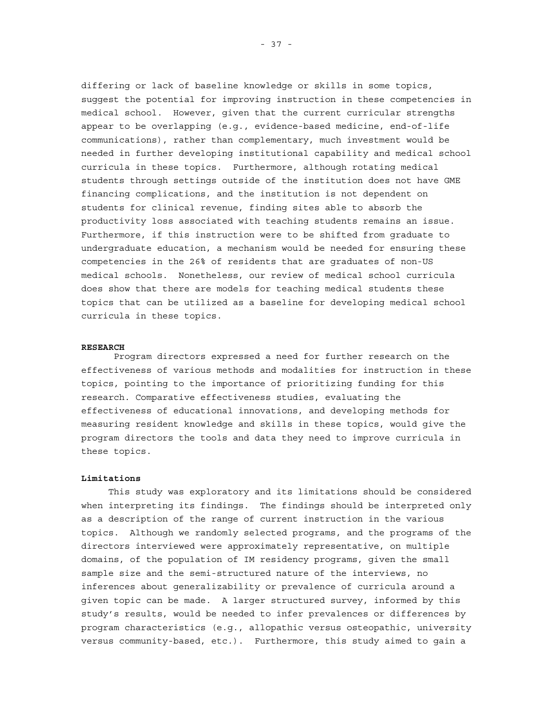differing or lack of baseline knowledge or skills in some topics, suggest the potential for improving instruction in these competencies in medical school. However, given that the current curricular strengths appear to be overlapping (e.g., evidence-based medicine, end-of-life communications), rather than complementary, much investment would be needed in further developing institutional capability and medical school curricula in these topics. Furthermore, although rotating medical students through settings outside of the institution does not have GME financing complications, and the institution is not dependent on students for clinical revenue, finding sites able to absorb the productivity loss associated with teaching students remains an issue. Furthermore, if this instruction were to be shifted from graduate to undergraduate education, a mechanism would be needed for ensuring these competencies in the 26% of residents that are graduates of non-US medical schools. Nonetheless, our review of medical school curricula does show that there are models for teaching medical students these topics that can be utilized as a baseline for developing medical school curricula in these topics.

### **RESEARCH**

 Program directors expressed a need for further research on the effectiveness of various methods and modalities for instruction in these topics, pointing to the importance of prioritizing funding for this research. Comparative effectiveness studies, evaluating the effectiveness of educational innovations, and developing methods for measuring resident knowledge and skills in these topics, would give the program directors the tools and data they need to improve curricula in these topics.

## **Limitations**

This study was exploratory and its limitations should be considered when interpreting its findings. The findings should be interpreted only as a description of the range of current instruction in the various topics. Although we randomly selected programs, and the programs of the directors interviewed were approximately representative, on multiple domains, of the population of IM residency programs, given the small sample size and the semi-structured nature of the interviews, no inferences about generalizability or prevalence of curricula around a given topic can be made. A larger structured survey, informed by this study's results, would be needed to infer prevalences or differences by program characteristics (e.g., allopathic versus osteopathic, university versus community-based, etc.). Furthermore, this study aimed to gain a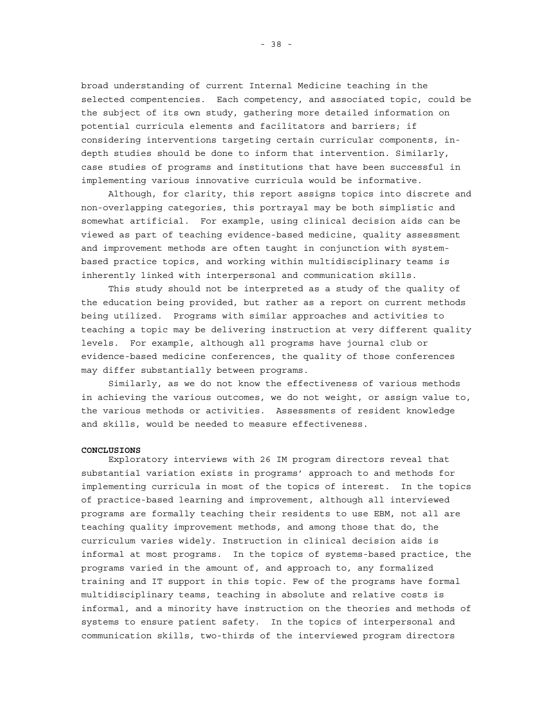broad understanding of current Internal Medicine teaching in the selected compentencies. Each competency, and associated topic, could be the subject of its own study, gathering more detailed information on potential curricula elements and facilitators and barriers; if considering interventions targeting certain curricular components, indepth studies should be done to inform that intervention. Similarly, case studies of programs and institutions that have been successful in implementing various innovative curricula would be informative.

Although, for clarity, this report assigns topics into discrete and non-overlapping categories, this portrayal may be both simplistic and somewhat artificial. For example, using clinical decision aids can be viewed as part of teaching evidence-based medicine, quality assessment and improvement methods are often taught in conjunction with systembased practice topics, and working within multidisciplinary teams is inherently linked with interpersonal and communication skills.

This study should not be interpreted as a study of the quality of the education being provided, but rather as a report on current methods being utilized. Programs with similar approaches and activities to teaching a topic may be delivering instruction at very different quality levels. For example, although all programs have journal club or evidence-based medicine conferences, the quality of those conferences may differ substantially between programs.

Similarly, as we do not know the effectiveness of various methods in achieving the various outcomes, we do not weight, or assign value to, the various methods or activities. Assessments of resident knowledge and skills, would be needed to measure effectiveness.

#### **CONCLUSIONS**

Exploratory interviews with 26 IM program directors reveal that substantial variation exists in programs' approach to and methods for implementing curricula in most of the topics of interest. In the topics of practice-based learning and improvement, although all interviewed programs are formally teaching their residents to use EBM, not all are teaching quality improvement methods, and among those that do, the curriculum varies widely. Instruction in clinical decision aids is informal at most programs. In the topics of systems-based practice, the programs varied in the amount of, and approach to, any formalized training and IT support in this topic. Few of the programs have formal multidisciplinary teams, teaching in absolute and relative costs is informal, and a minority have instruction on the theories and methods of systems to ensure patient safety. In the topics of interpersonal and communication skills, two-thirds of the interviewed program directors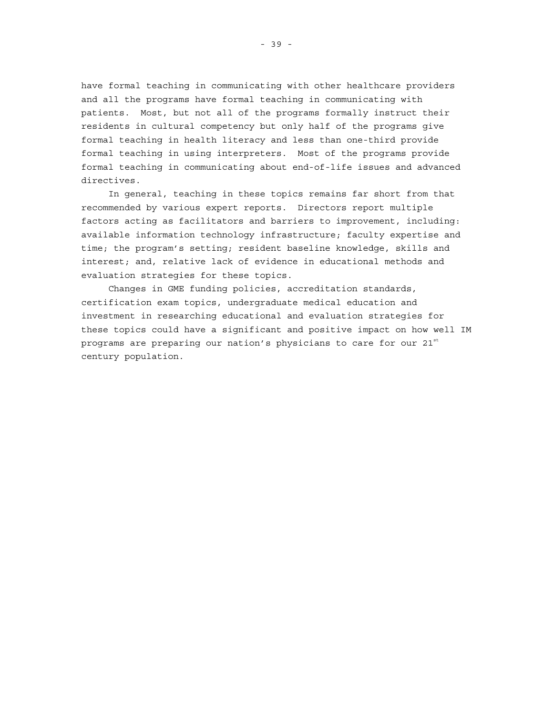have formal teaching in communicating with other healthcare providers and all the programs have formal teaching in communicating with patients. Most, but not all of the programs formally instruct their residents in cultural competency but only half of the programs give formal teaching in health literacy and less than one-third provide formal teaching in using interpreters. Most of the programs provide formal teaching in communicating about end-of-life issues and advanced directives.

In general, teaching in these topics remains far short from that recommended by various expert reports. Directors report multiple factors acting as facilitators and barriers to improvement, including: available information technology infrastructure; faculty expertise and time; the program's setting; resident baseline knowledge, skills and interest; and, relative lack of evidence in educational methods and evaluation strategies for these topics.

Changes in GME funding policies, accreditation standards, certification exam topics, undergraduate medical education and investment in researching educational and evaluation strategies for these topics could have a significant and positive impact on how well IM programs are preparing our nation's physicians to care for our  $21<sup>st</sup>$ century population.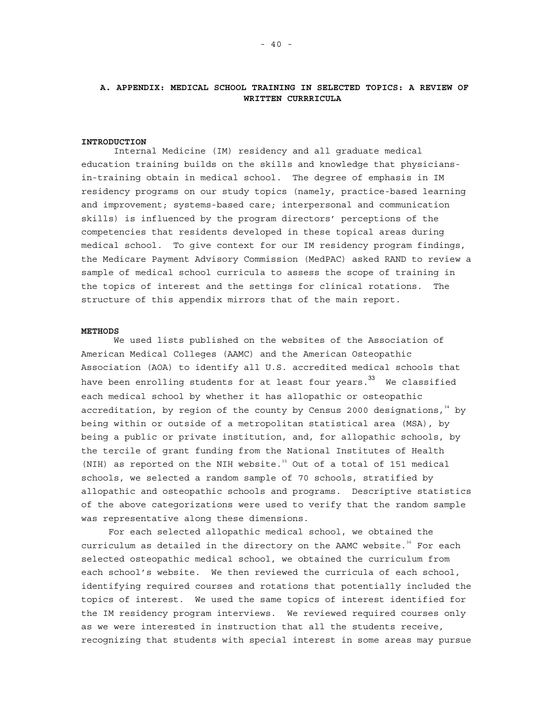# **A. APPENDIX: MEDICAL SCHOOL TRAINING IN SELECTED TOPICS: A REVIEW OF WRITTEN CURRRICULA**

### **INTRODUCTION**

Internal Medicine (IM) residency and all graduate medical education training builds on the skills and knowledge that physiciansin-training obtain in medical school. The degree of emphasis in IM residency programs on our study topics (namely, practice-based learning and improvement; systems-based care; interpersonal and communication skills) is influenced by the program directors' perceptions of the competencies that residents developed in these topical areas during medical school. To give context for our IM residency program findings, the Medicare Payment Advisory Commission (MedPAC) asked RAND to review a sample of medical school curricula to assess the scope of training in the topics of interest and the settings for clinical rotations. The structure of this appendix mirrors that of the main report.

#### **METHODS**

We used lists published on the websites of the Association of American Medical Colleges (AAMC) and the American Osteopathic Association (AOA) to identify all U.S. accredited medical schools that have been enrolling students for at least four years.<sup>33</sup> We classified each medical school by whether it has allopathic or osteopathic accreditation, by region of the county by Census 2000 designations,  $34$  by being within or outside of a metropolitan statistical area (MSA), by being a public or private institution, and, for allopathic schools, by the tercile of grant funding from the National Institutes of Health (NIH) as reported on the NIH website.<sup>35</sup> Out of a total of 151 medical schools, we selected a random sample of 70 schools, stratified by allopathic and osteopathic schools and programs. Descriptive statistics of the above categorizations were used to verify that the random sample was representative along these dimensions.

For each selected allopathic medical school, we obtained the curriculum as detailed in the directory on the AAMC website.<sup>36</sup> For each selected osteopathic medical school, we obtained the curriculum from each school's website. We then reviewed the curricula of each school, identifying required courses and rotations that potentially included the topics of interest. We used the same topics of interest identified for the IM residency program interviews. We reviewed required courses only as we were interested in instruction that all the students receive, recognizing that students with special interest in some areas may pursue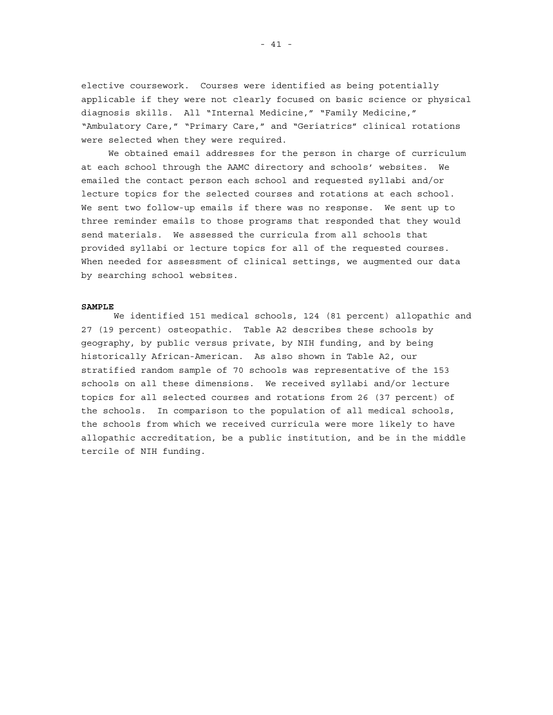elective coursework. Courses were identified as being potentially applicable if they were not clearly focused on basic science or physical diagnosis skills. All "Internal Medicine," "Family Medicine," "Ambulatory Care," "Primary Care," and "Geriatrics" clinical rotations were selected when they were required.

We obtained email addresses for the person in charge of curriculum at each school through the AAMC directory and schools' websites. We emailed the contact person each school and requested syllabi and/or lecture topics for the selected courses and rotations at each school. We sent two follow-up emails if there was no response. We sent up to three reminder emails to those programs that responded that they would send materials. We assessed the curricula from all schools that provided syllabi or lecture topics for all of the requested courses. When needed for assessment of clinical settings, we augmented our data by searching school websites.

#### **SAMPLE**

We identified 151 medical schools, 124 (81 percent) allopathic and 27 (19 percent) osteopathic. Table A2 describes these schools by geography, by public versus private, by NIH funding, and by being historically African-American. As also shown in Table A2, our stratified random sample of 70 schools was representative of the 153 schools on all these dimensions. We received syllabi and/or lecture topics for all selected courses and rotations from 26 (37 percent) of the schools. In comparison to the population of all medical schools, the schools from which we received curricula were more likely to have allopathic accreditation, be a public institution, and be in the middle tercile of NIH funding.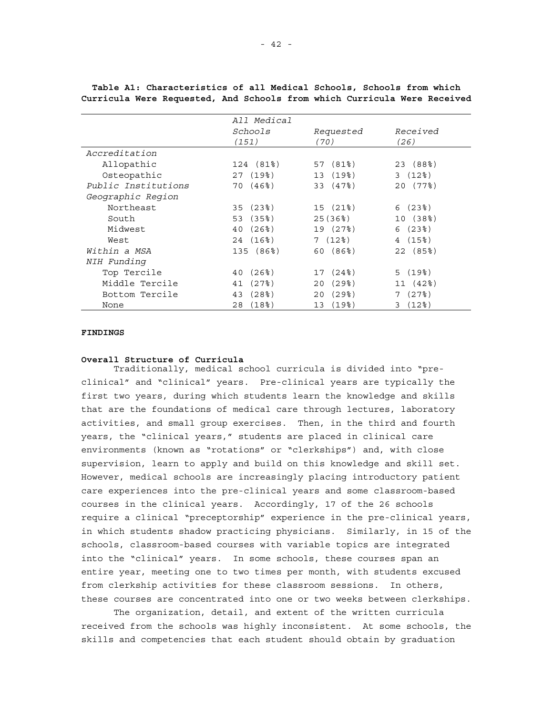|                     | All Medical              |                              |                |
|---------------------|--------------------------|------------------------------|----------------|
|                     | Schools                  | Requested                    | Received       |
|                     | (151)                    | (70)                         | (26)           |
| Accreditation       |                          |                              |                |
| Allopathic          | 124 (81%)                | 57 (81%)                     | 23 (88%)       |
| Osteopathic         | 27(19)                   | (19%)<br>13                  | 3(12)          |
| Public Institutions | 70 (46%)                 | 33 (47%)                     | 20 (77%)       |
| Geographic Region   |                          |                              |                |
| Northeast           | 35(23)                   | 15 (21%)                     | 6(23)          |
| South               | 53 (35%)                 | 25(36%)                      | 10 (38%)       |
| Midwest             | (26%)<br>40              | 19 (27%)                     | 6(23)          |
| West                | 24 (16%)                 | 7(12)                        | 4(15%)         |
| Within a MSA        | 135 (86%)                | 60 (86%)                     | 22 (85%)       |
| NIH Funding         |                          |                              |                |
| Top Tercile         | (26%)<br>40              | (24%)<br>17                  | 5(19)          |
| Middle Tercile      | (27)<br>41               | (298)<br>20                  | 11 (42%)       |
| Bottom Tercile      | (28 <sup>8</sup> )<br>43 | $(29$ <sup>2</sup> $)$<br>20 | (27)<br>7      |
| None                | (18 <sup>8</sup> )<br>28 | (198)<br>13                  | $(12$ $)$<br>3 |

**Table A1: Characteristics of all Medical Schools, Schools from which Curricula Were Requested, And Schools from which Curricula Were Received** 

## **FINDINGS**

### **Overall Structure of Curricula**

Traditionally, medical school curricula is divided into "preclinical" and "clinical" years. Pre-clinical years are typically the first two years, during which students learn the knowledge and skills that are the foundations of medical care through lectures, laboratory activities, and small group exercises. Then, in the third and fourth years, the "clinical years," students are placed in clinical care environments (known as "rotations" or "clerkships") and, with close supervision, learn to apply and build on this knowledge and skill set. However, medical schools are increasingly placing introductory patient care experiences into the pre-clinical years and some classroom-based courses in the clinical years. Accordingly, 17 of the 26 schools require a clinical "preceptorship" experience in the pre-clinical years, in which students shadow practicing physicians. Similarly, in 15 of the schools, classroom-based courses with variable topics are integrated into the "clinical" years. In some schools, these courses span an entire year, meeting one to two times per month, with students excused from clerkship activities for these classroom sessions. In others, these courses are concentrated into one or two weeks between clerkships.

The organization, detail, and extent of the written curricula received from the schools was highly inconsistent. At some schools, the skills and competencies that each student should obtain by graduation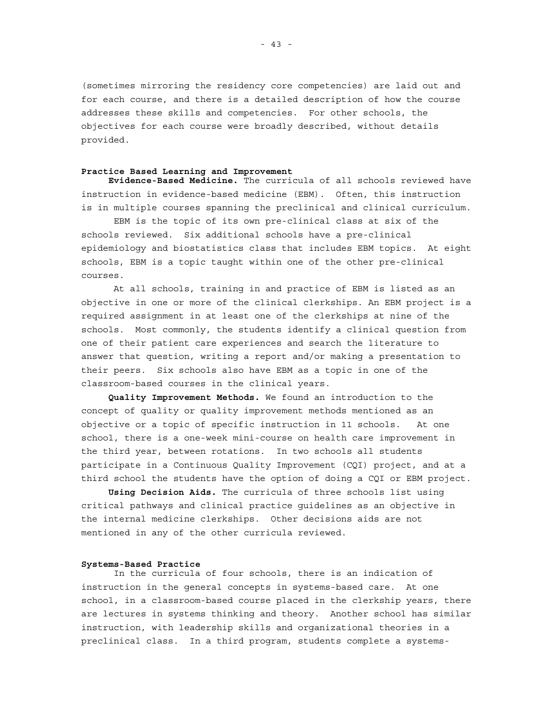(sometimes mirroring the residency core competencies) are laid out and for each course, and there is a detailed description of how the course addresses these skills and competencies. For other schools, the objectives for each course were broadly described, without details provided.

#### **Practice Based Learning and Improvement**

**Evidence-Based Medicine.** The curricula of all schools reviewed have instruction in evidence-based medicine (EBM). Often, this instruction is in multiple courses spanning the preclinical and clinical curriculum.

EBM is the topic of its own pre-clinical class at six of the schools reviewed. Six additional schools have a pre-clinical epidemiology and biostatistics class that includes EBM topics. At eight schools, EBM is a topic taught within one of the other pre-clinical courses.

At all schools, training in and practice of EBM is listed as an objective in one or more of the clinical clerkships. An EBM project is a required assignment in at least one of the clerkships at nine of the schools. Most commonly, the students identify a clinical question from one of their patient care experiences and search the literature to answer that question, writing a report and/or making a presentation to their peers. Six schools also have EBM as a topic in one of the classroom-based courses in the clinical years.

**Quality Improvement Methods.** We found an introduction to the concept of quality or quality improvement methods mentioned as an objective or a topic of specific instruction in 11 schools. At one school, there is a one-week mini-course on health care improvement in the third year, between rotations. In two schools all students participate in a Continuous Quality Improvement (CQI) project, and at a third school the students have the option of doing a CQI or EBM project.

**Using Decision Aids.** The curricula of three schools list using critical pathways and clinical practice guidelines as an objective in the internal medicine clerkships. Other decisions aids are not mentioned in any of the other curricula reviewed.

#### **Systems-Based Practice**

In the curricula of four schools, there is an indication of instruction in the general concepts in systems-based care. At one school, in a classroom-based course placed in the clerkship years, there are lectures in systems thinking and theory. Another school has similar instruction, with leadership skills and organizational theories in a preclinical class. In a third program, students complete a systems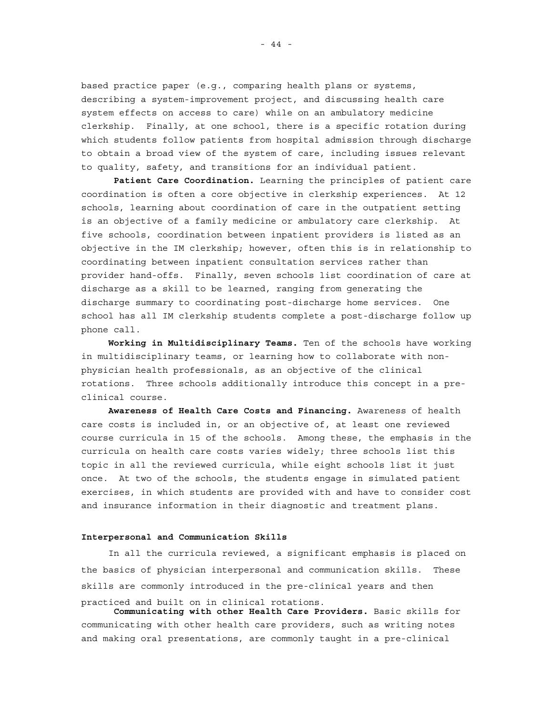based practice paper (e.g., comparing health plans or systems, describing a system-improvement project, and discussing health care system effects on access to care) while on an ambulatory medicine clerkship. Finally, at one school, there is a specific rotation during which students follow patients from hospital admission through discharge to obtain a broad view of the system of care, including issues relevant to quality, safety, and transitions for an individual patient.

**Patient Care Coordination.** Learning the principles of patient care coordination is often a core objective in clerkship experiences. At 12 schools, learning about coordination of care in the outpatient setting is an objective of a family medicine or ambulatory care clerkship. At five schools, coordination between inpatient providers is listed as an objective in the IM clerkship; however, often this is in relationship to coordinating between inpatient consultation services rather than provider hand-offs. Finally, seven schools list coordination of care at discharge as a skill to be learned, ranging from generating the discharge summary to coordinating post-discharge home services. One school has all IM clerkship students complete a post-discharge follow up phone call.

**Working in Multidisciplinary Teams.** Ten of the schools have working in multidisciplinary teams, or learning how to collaborate with nonphysician health professionals, as an objective of the clinical rotations. Three schools additionally introduce this concept in a preclinical course.

**Awareness of Health Care Costs and Financing.** Awareness of health care costs is included in, or an objective of, at least one reviewed course curricula in 15 of the schools. Among these, the emphasis in the curricula on health care costs varies widely; three schools list this topic in all the reviewed curricula, while eight schools list it just once. At two of the schools, the students engage in simulated patient exercises, in which students are provided with and have to consider cost and insurance information in their diagnostic and treatment plans.

#### **Interpersonal and Communication Skills**

In all the curricula reviewed, a significant emphasis is placed on the basics of physician interpersonal and communication skills. These skills are commonly introduced in the pre-clinical years and then practiced and built on in clinical rotations.

**Communicating with other Health Care Providers.** Basic skills for communicating with other health care providers, such as writing notes and making oral presentations, are commonly taught in a pre-clinical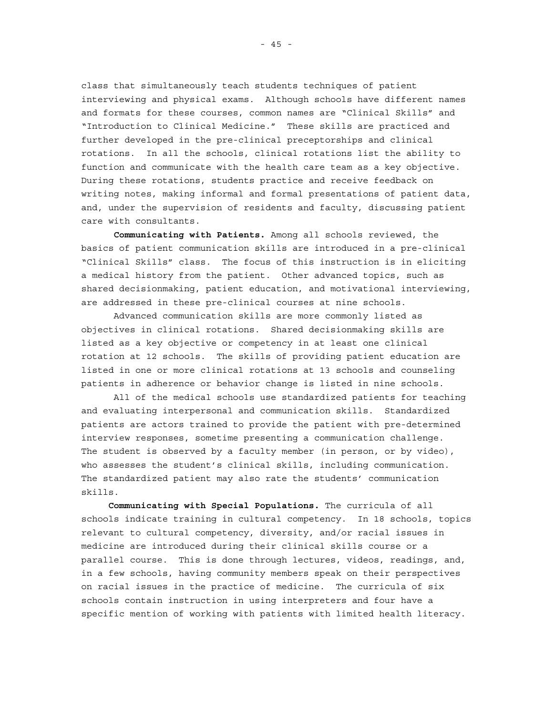class that simultaneously teach students techniques of patient interviewing and physical exams. Although schools have different names and formats for these courses, common names are "Clinical Skills" and "Introduction to Clinical Medicine." These skills are practiced and further developed in the pre-clinical preceptorships and clinical rotations. In all the schools, clinical rotations list the ability to function and communicate with the health care team as a key objective. During these rotations, students practice and receive feedback on writing notes, making informal and formal presentations of patient data, and, under the supervision of residents and faculty, discussing patient care with consultants.

**Communicating with Patients.** Among all schools reviewed, the basics of patient communication skills are introduced in a pre-clinical "Clinical Skills" class. The focus of this instruction is in eliciting a medical history from the patient. Other advanced topics, such as shared decisionmaking, patient education, and motivational interviewing, are addressed in these pre-clinical courses at nine schools.

Advanced communication skills are more commonly listed as objectives in clinical rotations. Shared decisionmaking skills are listed as a key objective or competency in at least one clinical rotation at 12 schools. The skills of providing patient education are listed in one or more clinical rotations at 13 schools and counseling patients in adherence or behavior change is listed in nine schools.

All of the medical schools use standardized patients for teaching and evaluating interpersonal and communication skills. Standardized patients are actors trained to provide the patient with pre-determined interview responses, sometime presenting a communication challenge. The student is observed by a faculty member (in person, or by video), who assesses the student's clinical skills, including communication. The standardized patient may also rate the students' communication skills.

**Communicating with Special Populations.** The curricula of all schools indicate training in cultural competency. In 18 schools, topics relevant to cultural competency, diversity, and/or racial issues in medicine are introduced during their clinical skills course or a parallel course. This is done through lectures, videos, readings, and, in a few schools, having community members speak on their perspectives on racial issues in the practice of medicine. The curricula of six schools contain instruction in using interpreters and four have a specific mention of working with patients with limited health literacy.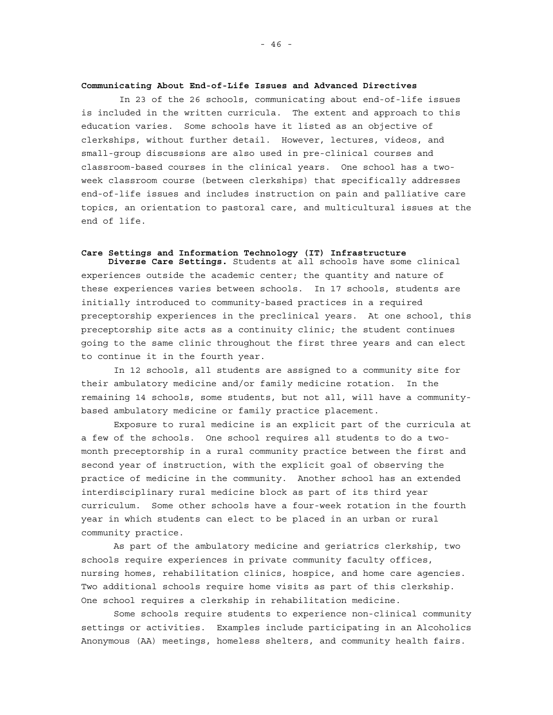### **Communicating About End-of-Life Issues and Advanced Directives**

In 23 of the 26 schools, communicating about end-of-life issues is included in the written curricula. The extent and approach to this education varies. Some schools have it listed as an objective of clerkships, without further detail. However, lectures, videos, and small-group discussions are also used in pre-clinical courses and classroom-based courses in the clinical years. One school has a twoweek classroom course (between clerkships) that specifically addresses end-of-life issues and includes instruction on pain and palliative care topics, an orientation to pastoral care, and multicultural issues at the end of life.

# **Care Settings and Information Technology (IT) Infrastructure**

**Diverse Care Settings.** Students at all schools have some clinical experiences outside the academic center; the quantity and nature of these experiences varies between schools. In 17 schools, students are initially introduced to community-based practices in a required preceptorship experiences in the preclinical years. At one school, this preceptorship site acts as a continuity clinic; the student continues going to the same clinic throughout the first three years and can elect to continue it in the fourth year.

In 12 schools, all students are assigned to a community site for their ambulatory medicine and/or family medicine rotation. In the remaining 14 schools, some students, but not all, will have a communitybased ambulatory medicine or family practice placement.

Exposure to rural medicine is an explicit part of the curricula at a few of the schools. One school requires all students to do a twomonth preceptorship in a rural community practice between the first and second year of instruction, with the explicit goal of observing the practice of medicine in the community. Another school has an extended interdisciplinary rural medicine block as part of its third year curriculum. Some other schools have a four-week rotation in the fourth year in which students can elect to be placed in an urban or rural community practice.

As part of the ambulatory medicine and geriatrics clerkship, two schools require experiences in private community faculty offices, nursing homes, rehabilitation clinics, hospice, and home care agencies. Two additional schools require home visits as part of this clerkship. One school requires a clerkship in rehabilitation medicine.

Some schools require students to experience non-clinical community settings or activities. Examples include participating in an Alcoholics Anonymous (AA) meetings, homeless shelters, and community health fairs.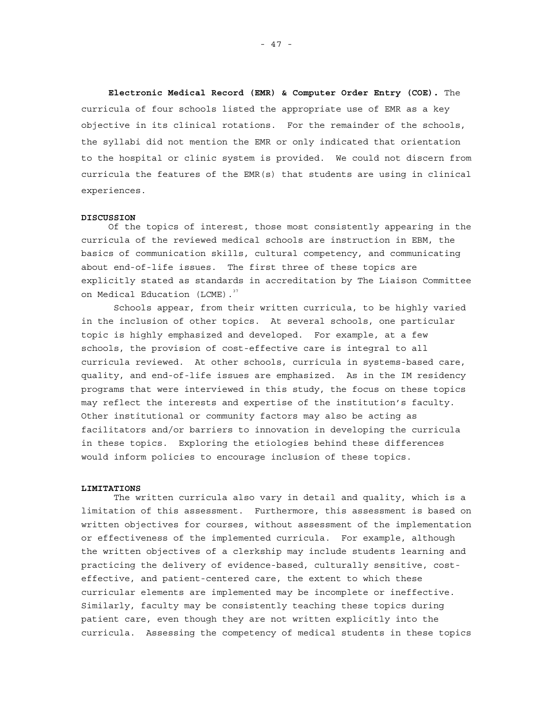**Electronic Medical Record (EMR) & Computer Order Entry (COE).** The curricula of four schools listed the appropriate use of EMR as a key objective in its clinical rotations. For the remainder of the schools, the syllabi did not mention the EMR or only indicated that orientation to the hospital or clinic system is provided. We could not discern from curricula the features of the EMR(s) that students are using in clinical experiences.

#### **DISCUSSION**

Of the topics of interest, those most consistently appearing in the curricula of the reviewed medical schools are instruction in EBM, the basics of communication skills, cultural competency, and communicating about end-of-life issues. The first three of these topics are explicitly stated as standards in accreditation by The Liaison Committee on Medical Education (LCME).<sup>37</sup>

Schools appear, from their written curricula, to be highly varied in the inclusion of other topics. At several schools, one particular topic is highly emphasized and developed. For example, at a few schools, the provision of cost-effective care is integral to all curricula reviewed. At other schools, curricula in systems-based care, quality, and end-of-life issues are emphasized. As in the IM residency programs that were interviewed in this study, the focus on these topics may reflect the interests and expertise of the institution's faculty. Other institutional or community factors may also be acting as facilitators and/or barriers to innovation in developing the curricula in these topics. Exploring the etiologies behind these differences would inform policies to encourage inclusion of these topics.

# **LIMITATIONS**

The written curricula also vary in detail and quality, which is a limitation of this assessment. Furthermore, this assessment is based on written objectives for courses, without assessment of the implementation or effectiveness of the implemented curricula. For example, although the written objectives of a clerkship may include students learning and practicing the delivery of evidence-based, culturally sensitive, costeffective, and patient-centered care, the extent to which these curricular elements are implemented may be incomplete or ineffective. Similarly, faculty may be consistently teaching these topics during patient care, even though they are not written explicitly into the curricula. Assessing the competency of medical students in these topics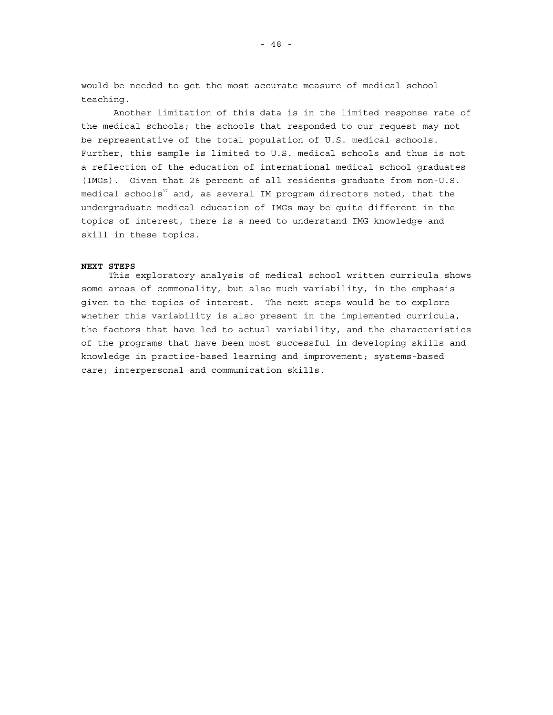would be needed to get the most accurate measure of medical school teaching.

Another limitation of this data is in the limited response rate of the medical schools; the schools that responded to our request may not be representative of the total population of U.S. medical schools. Further, this sample is limited to U.S. medical schools and thus is not a reflection of the education of international medical school graduates (IMGs). Given that 26 percent of all residents graduate from non-U.S. medical schools $^{\scriptscriptstyle 37}$  and, as several IM program directors noted, that the undergraduate medical education of IMGs may be quite different in the topics of interest, there is a need to understand IMG knowledge and skill in these topics.

## **NEXT STEPS**

This exploratory analysis of medical school written curricula shows some areas of commonality, but also much variability, in the emphasis given to the topics of interest. The next steps would be to explore whether this variability is also present in the implemented curricula, the factors that have led to actual variability, and the characteristics of the programs that have been most successful in developing skills and knowledge in practice-based learning and improvement; systems-based care; interpersonal and communication skills.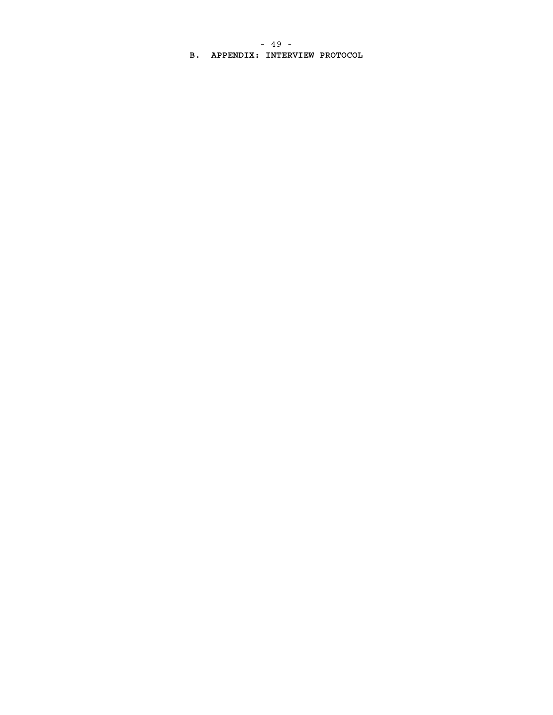- 49 -

**B. APPENDIX: INTERVIEW PROTOCOL**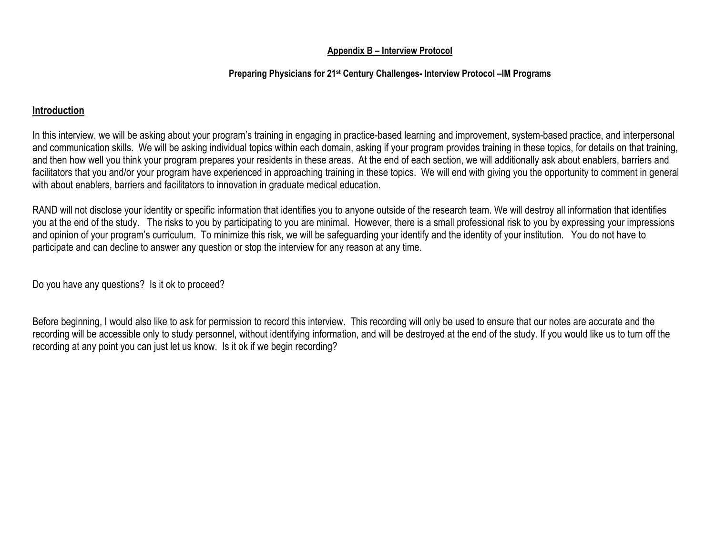# **Appendix B – Interview Protocol**

# **Preparing Physicians for 21st Century Challenges- Interview Protocol –IM Programs**

# **Introduction**

In this interview, we will be asking about your program's training in engaging in practice-based learning and improvement, system-based practice, and interpersonal and communication skills. We will be asking individual topics within each domain, asking if your program provides training in these topics, for details on that training, and then how well you think your program prepares your residents in these areas. At the end of each section, we will additionally ask about enablers, barriers and facilitators that you and/or your program have experienced in approaching training in these topics. We will end with giving you the opportunity to comment in general with about enablers, barriers and facilitators to innovation in graduate medical education.

RAND will not disclose your identity or specific information that identifies you to anyone outside of the research team. We will destroy all information that identifies you at the end of the study. The risks to you by participating to you are minimal. However, there is a small professional risk to you by expressing your impressions and opinion of your program's curriculum. To minimize this risk, we will be safeguarding your identify and the identity of your institution. You do not have to participate and can decline to answer any question or stop the interview for any reason at any time.

Do you have any questions? Is it ok to proceed?

Before beginning, I would also like to ask for permission to record this interview. This recording will only be used to ensure that our notes are accurate and the recording will be accessible only to study personnel, without identifying information, and will be destroyed at the end of the study. If you would like us to turn off the recording at any point you can just let us know. Is it ok if we begin recording?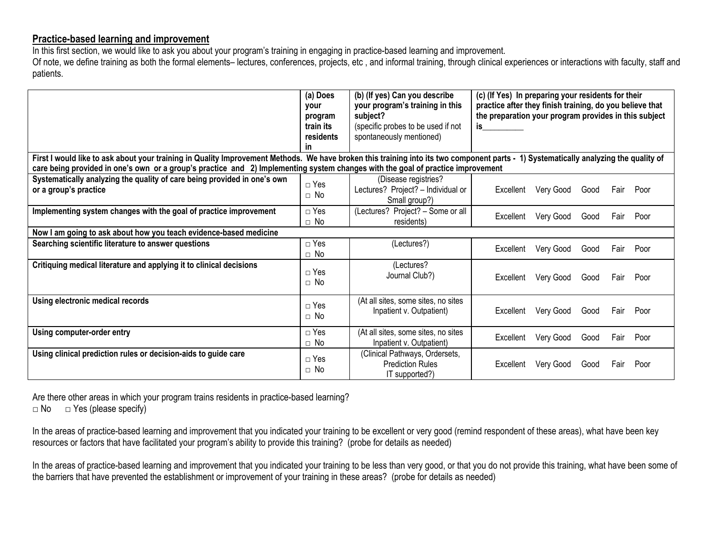# **Practice-based learning and improvement**

In this first section, we would like to ask you about your program's training in engaging in practice-based learning and improvement.

Of note, we define training as both the formal elements– lectures, conferences, projects, etc , and informal training, through clinical experiences or interactions with faculty, staff and patients.

|                                                                                                                                                                                                                                                                                                                         | (a) Does<br>vour<br>program<br>train its<br>residents<br><b>in</b> | (b) (If yes) Can you describe<br>your program's training in this<br>subject?<br>(specific probes to be used if not<br>spontaneously mentioned) | (c) (If Yes) In preparing your residents for their<br>practice after they finish training, do you believe that<br>the preparation your program provides in this subject<br>is |      |      |           |  |  |
|-------------------------------------------------------------------------------------------------------------------------------------------------------------------------------------------------------------------------------------------------------------------------------------------------------------------------|--------------------------------------------------------------------|------------------------------------------------------------------------------------------------------------------------------------------------|-------------------------------------------------------------------------------------------------------------------------------------------------------------------------------|------|------|-----------|--|--|
| First I would like to ask about your training in Quality Improvement Methods. We have broken this training into its two component parts - 1) Systematically analyzing the quality of<br>care being provided in one's own or a group's practice and 2) Implementing system changes with the goal of practice improvement |                                                                    |                                                                                                                                                |                                                                                                                                                                               |      |      |           |  |  |
| Systematically analyzing the quality of care being provided in one's own<br>or a group's practice                                                                                                                                                                                                                       | $\Box$ Yes<br>$\Box$ No                                            | (Disease registries?<br>Lectures? Project? - Individual or<br>Small group?)                                                                    | Very Good<br>Excellent                                                                                                                                                        | Good |      | Fair Poor |  |  |
| Implementing system changes with the goal of practice improvement                                                                                                                                                                                                                                                       | $\Box$ Yes<br>$\Box$ No                                            | (Lectures? Project? - Some or all<br>residents)                                                                                                | Very Good<br>Excellent                                                                                                                                                        | Good | Fair | Poor      |  |  |
| Now I am going to ask about how you teach evidence-based medicine                                                                                                                                                                                                                                                       |                                                                    |                                                                                                                                                |                                                                                                                                                                               |      |      |           |  |  |
| Searching scientific literature to answer questions                                                                                                                                                                                                                                                                     | $\Box$ Yes<br>$\Box$ No                                            | (Lectures?)                                                                                                                                    | Very Good<br>Excellent                                                                                                                                                        | Good |      | Fair Poor |  |  |
| Critiquing medical literature and applying it to clinical decisions                                                                                                                                                                                                                                                     | $\sqcap$ Yes<br>$\Box$ No                                          | (Lectures?<br>Journal Club?)                                                                                                                   | Very Good<br>Excellent                                                                                                                                                        | Good | Fair | Poor      |  |  |
| Using electronic medical records                                                                                                                                                                                                                                                                                        | $\Box$ Yes<br>$\sqcap$ No                                          | (At all sites, some sites, no sites<br>Inpatient v. Outpatient)                                                                                | Very Good<br>Excellent                                                                                                                                                        | Good |      | Fair Poor |  |  |
| Using computer-order entry                                                                                                                                                                                                                                                                                              | $\Box$ Yes<br>$\Box$ No                                            | (At all sites, some sites, no sites<br>Inpatient v. Outpatient)                                                                                | Very Good<br>Excellent                                                                                                                                                        | Good | Fair | Poor      |  |  |
| Using clinical prediction rules or decision-aids to guide care                                                                                                                                                                                                                                                          | $\Box$ Yes<br>$\Box$ No                                            | (Clinical Pathways, Ordersets,<br>Prediction Rules<br>IT supported?)                                                                           | Very Good<br>Excellent                                                                                                                                                        | Good | Fair | Poor      |  |  |

Are there other areas in which your program trains residents in practice-based learning?  $\Box$  No  $\Box$  Yes (please specify)

In the areas of practice-based learning and improvement that you indicated your training to be excellent or very good (remind respondent of these areas), what have been key resources or factors that have facilitated your program's ability to provide this training? (probe for details as needed)

In the areas of practice-based learning and improvement that you indicated your training to be less than very good, or that you do not provide this training, what have been some of the barriers that have prevented the establishment or improvement of your training in these areas? (probe for details as needed)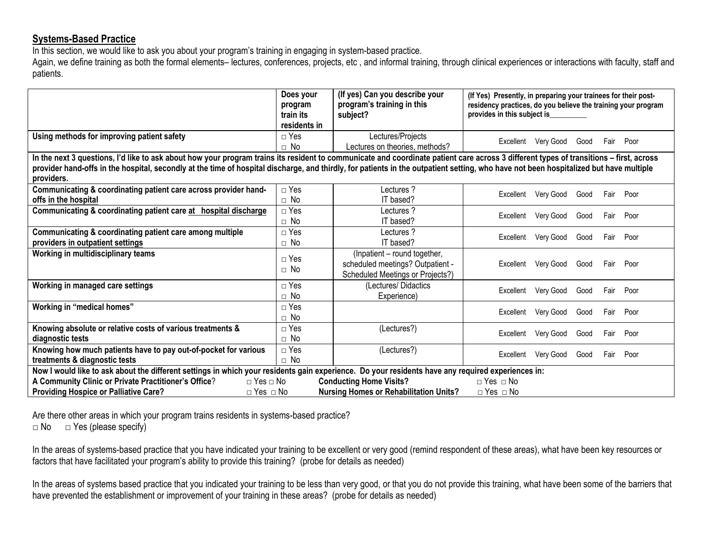# **Systems-Based Practice**

In this section, we would like to ask you about your program's training in engaging in system-based practice.

Again, we define training as both the formal elements– lectures, conferences, projects, etc, and informal training, through clinical experiences or interactions with faculty, staff and patients.

|                                                                                                                                                                                                                                                                                                                                                                                               | Does your<br>program<br>train its<br>residents in | (If yes) Can you describe your<br>program's training in this<br>subject?                             | (If Yes) Presently, in preparing your trainees for their post-<br>residency practices, do you believe the training your program<br>provides in this subject is |  |  |  |  |  |  |  |
|-----------------------------------------------------------------------------------------------------------------------------------------------------------------------------------------------------------------------------------------------------------------------------------------------------------------------------------------------------------------------------------------------|---------------------------------------------------|------------------------------------------------------------------------------------------------------|----------------------------------------------------------------------------------------------------------------------------------------------------------------|--|--|--|--|--|--|--|
| Using methods for improving patient safety                                                                                                                                                                                                                                                                                                                                                    | $\Box$ Yes                                        | Lectures/Projects                                                                                    | Very Good<br>Poor<br>Excellent<br>Good<br>Fair                                                                                                                 |  |  |  |  |  |  |  |
|                                                                                                                                                                                                                                                                                                                                                                                               | $\Box$ No                                         | Lectures on theories, methods?                                                                       |                                                                                                                                                                |  |  |  |  |  |  |  |
| In the next 3 questions, I'd like to ask about how your program trains its resident to communicate and coordinate patient care across 3 different types of transitions - first, across<br>provider hand-offs in the hospital, secondly at the time of hospital discharge, and thirdly, for patients in the outpatient setting, who have not been hospitalized but have multiple<br>providers. |                                                   |                                                                                                      |                                                                                                                                                                |  |  |  |  |  |  |  |
| Communicating & coordinating patient care across provider hand-                                                                                                                                                                                                                                                                                                                               | $\Box$ Yes                                        | 2 Lectures                                                                                           |                                                                                                                                                                |  |  |  |  |  |  |  |
| offs in the hospital                                                                                                                                                                                                                                                                                                                                                                          | $\Box$ No                                         | IT based?                                                                                            | Very Good<br>Excellent<br>Poor<br>Good<br>Fair                                                                                                                 |  |  |  |  |  |  |  |
| Communicating & coordinating patient care at hospital discharge                                                                                                                                                                                                                                                                                                                               | $\Box$ Yes<br>$\Box$ No                           | Lectures?<br>IT based?                                                                               | Excellent<br>Very Good<br>Poor<br>Good<br>Fair                                                                                                                 |  |  |  |  |  |  |  |
| Communicating & coordinating patient care among multiple                                                                                                                                                                                                                                                                                                                                      | $\Box$ Yes                                        | Lectures?<br>IT based?                                                                               | Excellent<br>Very Good<br>Good<br>Poor<br>Fair                                                                                                                 |  |  |  |  |  |  |  |
| providers in outpatient settings<br>Working in multidisciplinary teams                                                                                                                                                                                                                                                                                                                        | $\Box$ No<br>$\sqcap$ Yes<br>$\sqcap$ No          | (Inpatient - round together,<br>scheduled meetings? Outpatient -<br>Scheduled Meetings or Projects?) | Very Good<br>Excellent<br>Good<br>Fair<br>Poor                                                                                                                 |  |  |  |  |  |  |  |
| Working in managed care settings                                                                                                                                                                                                                                                                                                                                                              | $\sqcap$ Yes<br>$\Box$ No                         | (Lectures/Didactics)<br>Experience)                                                                  | Very Good<br>Excellent<br>Poor<br>Good<br>Fair                                                                                                                 |  |  |  |  |  |  |  |
| Working in "medical homes"                                                                                                                                                                                                                                                                                                                                                                    | $\sqcap$ Yes<br>$\sqcap$ No                       |                                                                                                      | Very Good<br>Excellent<br>Good<br>Poor<br>Fair                                                                                                                 |  |  |  |  |  |  |  |
| Knowing absolute or relative costs of various treatments &<br>diagnostic tests                                                                                                                                                                                                                                                                                                                | $\Box$ Yes<br>$\Box$ No                           | (Lectures?)                                                                                          | Very Good<br>Excellent<br>Poor<br>Good<br>Fair                                                                                                                 |  |  |  |  |  |  |  |
| Knowing how much patients have to pay out-of-pocket for various<br>treatments & diagnostic tests                                                                                                                                                                                                                                                                                              | $\Box$ Yes<br>$\Box$ No                           | (Lectures?)                                                                                          | Very Good<br>Excellent<br>Good<br>Poor<br>Fair                                                                                                                 |  |  |  |  |  |  |  |
| Now I would like to ask about the different settings in which your residents gain experience. Do your residents have any required experiences in:                                                                                                                                                                                                                                             |                                                   |                                                                                                      |                                                                                                                                                                |  |  |  |  |  |  |  |
| A Community Clinic or Private Practitioner's Office?<br>$\sqcap$ Yes $\sqcap$ No<br><b>Providing Hospice or Palliative Care?</b><br>$\Box$ Yes $\Box$ No                                                                                                                                                                                                                                      |                                                   | <b>Conducting Home Visits?</b><br><b>Nursing Homes or Rehabilitation Units?</b>                      | $\Box$ Yes $\Box$ No<br>$\Box$ Yes $\Box$ No                                                                                                                   |  |  |  |  |  |  |  |

Are there other areas in which your program trains residents in systems-based practice?

 $\Box$  No  $\Box$  Yes (please specify)

In the areas of systems-based practice that you have indicated your training to be excellent or very good (remind respondent of these areas), what have been key resources or factors that have facilitated your program's ability to provide this training? (probe for details as needed)

In the areas of systems based practice that you indicated your training to be less than very good, or that you do not provide this training, what have been some of the barriers that have prevented the establishment or improvement of your training in these areas? (probe for details as needed)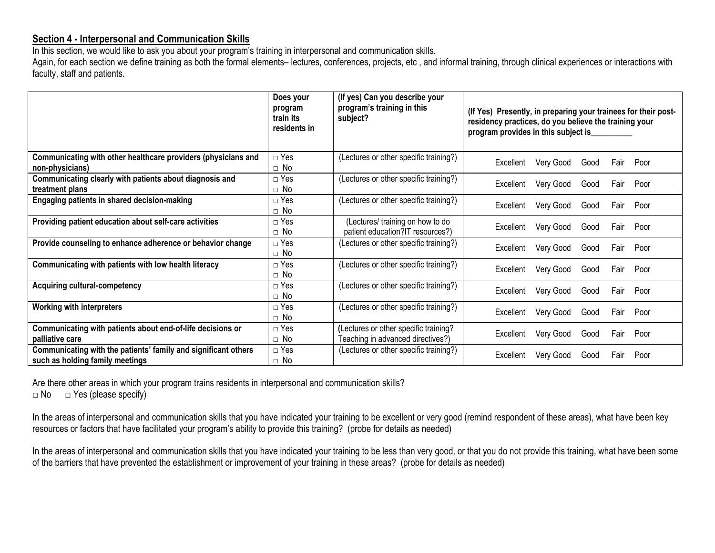# **Section 4 - Interpersonal and Communication Skills**

In this section, we would like to ask you about your program's training in interpersonal and communication skills.

Again, for each section we define training as both the formal elements- lectures, conferences, projects, etc, and informal training, through clinical experiences or interactions with faculty, staff and patients.

|                                                                                                   | Does your<br>program<br>train its<br>residents in | (If yes) Can you describe your<br>program's training in this<br>subject?   | (If Yes) Presently, in preparing your trainees for their post-<br>residency practices, do you believe the training your<br>program provides in this subject is |
|---------------------------------------------------------------------------------------------------|---------------------------------------------------|----------------------------------------------------------------------------|----------------------------------------------------------------------------------------------------------------------------------------------------------------|
| Communicating with other healthcare providers (physicians and<br>non-physicians)                  | $\Box$ Yes<br>$\Box$ No                           | (Lectures or other specific training?)                                     | Very Good<br>Good<br>Poor<br>Excellent<br>Fair                                                                                                                 |
| Communicating clearly with patients about diagnosis and<br>treatment plans                        | $\Box$ Yes<br>$\Box$ No                           | (Lectures or other specific training?)                                     | Very Good<br>Good<br>Poor<br>Excellent<br>Fair                                                                                                                 |
| Engaging patients in shared decision-making                                                       | $\Box$ Yes<br>$\Box$ No                           | (Lectures or other specific training?)                                     | Very Good<br>Good<br>Fair<br>Poor<br>Excellent                                                                                                                 |
| Providing patient education about self-care activities                                            | $\Box$ Yes<br>$\Box$ No                           | (Lectures/ training on how to do<br>patient education?IT resources?)       | Very Good<br>Good<br>Fair Poor<br>Excellent                                                                                                                    |
| Provide counseling to enhance adherence or behavior change                                        | $\Box$ Yes<br>$\Box$ No                           | (Lectures or other specific training?)                                     | Very Good<br>Good<br>Fair<br>Poor<br>Excellent                                                                                                                 |
| Communicating with patients with low health literacy                                              | $\Box$ Yes<br>$\Box$ No                           | (Lectures or other specific training?)                                     | Very Good<br>Poor<br>Excellent<br>Good<br>Fair                                                                                                                 |
| <b>Acquiring cultural-competency</b>                                                              | $\Box$ Yes<br>$\Box$ No                           | (Lectures or other specific training?)                                     | Very Good<br>Good<br>Poor<br>Fair<br>Excellent                                                                                                                 |
| <b>Working with interpreters</b>                                                                  | $\Box$ Yes<br>$\Box$ No                           | (Lectures or other specific training?)                                     | Very Good<br>Poor<br>Good<br>Fair<br>Excellent                                                                                                                 |
| Communicating with patients about end-of-life decisions or<br>palliative care                     | $\Box$ Yes<br>$\Box$ No                           | (Lectures or other specific training?<br>Teaching in advanced directives?) | Very Good<br>Good<br>Fair<br>Poor<br>Excellent                                                                                                                 |
| Communicating with the patients' family and significant others<br>such as holding family meetings | $\Box$ Yes<br>$\Box$ No                           | (Lectures or other specific training?)                                     | Very Good<br>Fair<br>Poor<br>Excellent<br>Good                                                                                                                 |

Are there other areas in which your program trains residents in interpersonal and communication skills?  $\Box$  No  $\Box$  Yes (please specify)

In the areas of interpersonal and communication skills that you have indicated your training to be excellent or very good (remind respondent of these areas), what have been key resources or factors that have facilitated your program's ability to provide this training? (probe for details as needed)

In the areas of interpersonal and communication skills that you have indicated your training to be less than very good, or that you do not provide this training, what have been some of the barriers that have prevented the establishment or improvement of your training in these areas? (probe for details as needed)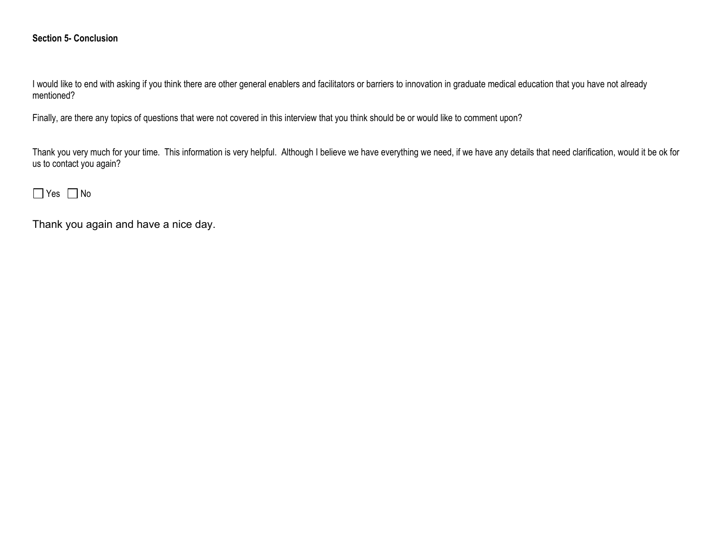# **Section 5- Conclusion**

I would like to end with asking if you think there are other general enablers and facilitators or barriers to innovation in graduate medical education that you have not already mentioned?

Finally, are there any topics of questions that were not covered in this interview that you think should be or would like to comment upon?

Thank you very much for your time. This information is very helpful. Although I believe we have everything we need, if we have any details that need clarification, would it be ok for us to contact you again?

# $Yes \Box No$

Thank you again and have a nice day.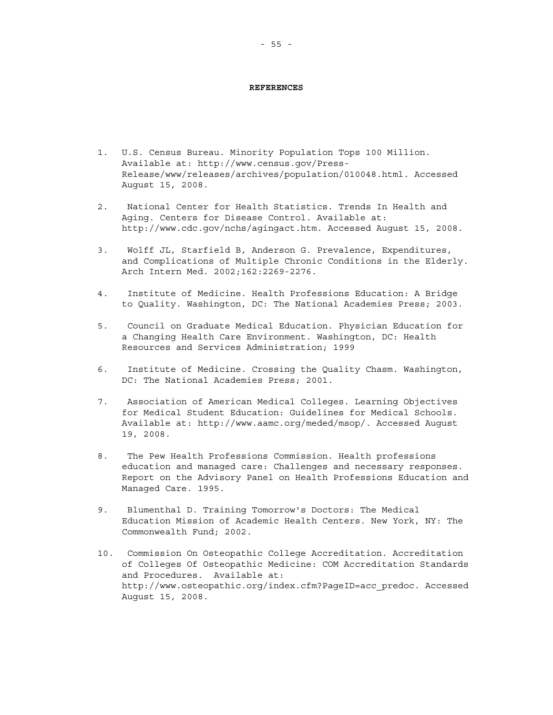### **REFERENCES**

- 1. U.S. Census Bureau. Minority Population Tops 100 Million. Available at: http://www.census.gov/Press-Release/www/releases/archives/population/010048.html. Accessed August 15, 2008.
- 2. National Center for Health Statistics. Trends In Health and Aging. Centers for Disease Control. Available at: http://www.cdc.gov/nchs/agingact.htm. Accessed August 15, 2008.
- 3. Wolff JL, Starfield B, Anderson G. Prevalence, Expenditures, and Complications of Multiple Chronic Conditions in the Elderly. Arch Intern Med. 2002;162:2269-2276.
- 4. Institute of Medicine. Health Professions Education: A Bridge to Quality. Washington, DC: The National Academies Press; 2003.
- 5. Council on Graduate Medical Education. Physician Education for a Changing Health Care Environment. Washington, DC: Health Resources and Services Administration; 1999
- 6. Institute of Medicine. Crossing the Quality Chasm. Washington, DC: The National Academies Press; 2001.
- 7. Association of American Medical Colleges. Learning Objectives for Medical Student Education: Guidelines for Medical Schools. Available at: http://www.aamc.org/meded/msop/. Accessed August 19, 2008.
- 8. The Pew Health Professions Commission. Health professions education and managed care: Challenges and necessary responses. Report on the Advisory Panel on Health Professions Education and Managed Care. 1995.
- 9. Blumenthal D. Training Tomorrow's Doctors: The Medical Education Mission of Academic Health Centers. New York, NY: The Commonwealth Fund; 2002.
- 10. Commission On Osteopathic College Accreditation. Accreditation of Colleges Of Osteopathic Medicine: COM Accreditation Standards and Procedures. Available at: http://www.osteopathic.org/index.cfm?PageID=acc\_predoc. Accessed August 15, 2008.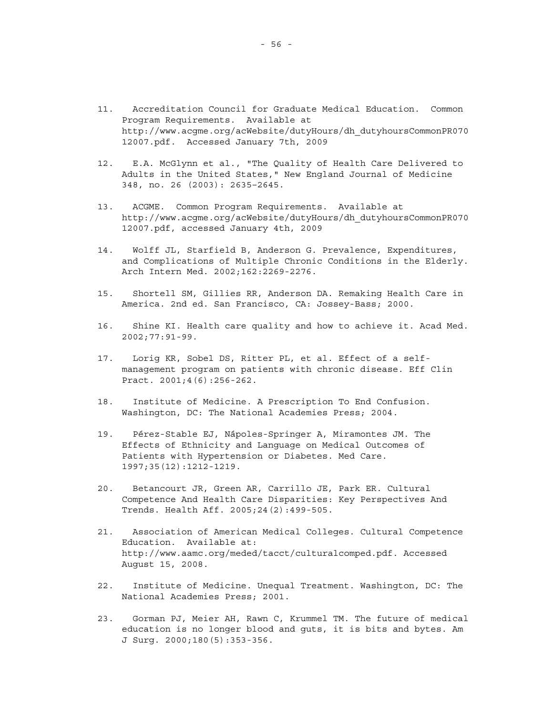- 11. Accreditation Council for Graduate Medical Education. Common Program Requirements. Available at http://www.acgme.org/acWebsite/dutyHours/dh\_dutyhoursCommonPR070 12007.pdf. Accessed January 7th, 2009
- 12. E.A. McGlynn et al., "The Quality of Health Care Delivered to Adults in the United States," New England Journal of Medicine 348, no. 26 (2003): 2635–2645.
- 13. ACGME. Common Program Requirements. Available at http://www.acgme.org/acWebsite/dutyHours/dh\_dutyhoursCommonPR070 12007.pdf, accessed January 4th, 2009
- 14. Wolff JL, Starfield B, Anderson G. Prevalence, Expenditures, and Complications of Multiple Chronic Conditions in the Elderly. Arch Intern Med. 2002;162:2269-2276.
- 15. Shortell SM, Gillies RR, Anderson DA. Remaking Health Care in America. 2nd ed. San Francisco, CA: Jossey-Bass; 2000.
- 16. Shine KI. Health care quality and how to achieve it. Acad Med. 2002;77:91-99.
- 17. Lorig KR, Sobel DS, Ritter PL, et al. Effect of a selfmanagement program on patients with chronic disease. Eff Clin Pract. 2001;4(6):256-262.
- 18. Institute of Medicine. A Prescription To End Confusion. Washington, DC: The National Academies Press; 2004.
- 19. Pérez-Stable EJ, Nápoles-Springer A, Miramontes JM. The Effects of Ethnicity and Language on Medical Outcomes of Patients with Hypertension or Diabetes. Med Care. 1997;35(12):1212-1219.
- 20. Betancourt JR, Green AR, Carrillo JE, Park ER. Cultural Competence And Health Care Disparities: Key Perspectives And Trends. Health Aff. 2005;24(2):499-505.
- 21. Association of American Medical Colleges. Cultural Competence Education. Available at: http://www.aamc.org/meded/tacct/culturalcomped.pdf. Accessed August 15, 2008.
- 22. Institute of Medicine. Unequal Treatment. Washington, DC: The National Academies Press; 2001.
- 23. Gorman PJ, Meier AH, Rawn C, Krummel TM. The future of medical education is no longer blood and guts, it is bits and bytes. Am J Surg. 2000;180(5):353-356.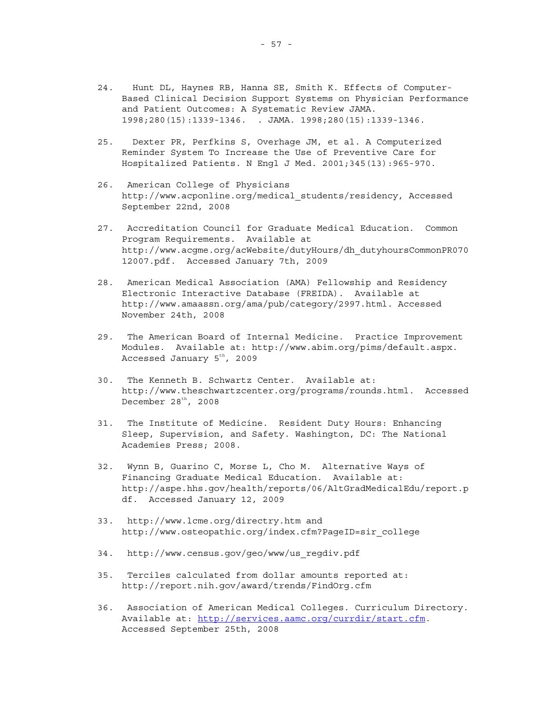- 24. Hunt DL, Haynes RB, Hanna SE, Smith K. Effects of Computer-Based Clinical Decision Support Systems on Physician Performance and Patient Outcomes: A Systematic Review JAMA. 1998;280(15):1339-1346. . JAMA. 1998;280(15):1339-1346.
- 25. Dexter PR, Perfkins S, Overhage JM, et al. A Computerized Reminder System To Increase the Use of Preventive Care for Hospitalized Patients. N Engl J Med. 2001;345(13):965-970.
- 26. American College of Physicians http://www.acponline.org/medical\_students/residency, Accessed September 22nd, 2008
- 27. Accreditation Council for Graduate Medical Education. Common Program Requirements. Available at http://www.acgme.org/acWebsite/dutyHours/dh\_dutyhoursCommonPR070 12007.pdf. Accessed January 7th, 2009
- 28. American Medical Association (AMA) Fellowship and Residency Electronic Interactive Database (FREIDA). Available at http://www.amaassn.org/ama/pub/category/2997.html. Accessed November 24th, 2008
- 29. The American Board of Internal Medicine. Practice Improvement Modules. Available at: http://www.abim.org/pims/default.aspx. Accessed January  $5<sup>th</sup>$ , 2009
- 30. The Kenneth B. Schwartz Center. Available at: http://www.theschwartzcenter.org/programs/rounds.html. Accessed December  $28<sup>th</sup>$ , 2008
- 31. The Institute of Medicine. Resident Duty Hours: Enhancing Sleep, Supervision, and Safety. Washington, DC: The National Academies Press; 2008.
- 32. Wynn B, Guarino C, Morse L, Cho M. Alternative Ways of Financing Graduate Medical Education. Available at: http://aspe.hhs.gov/health/reports/06/AltGradMedicalEdu/report.p df. Accessed January 12, 2009
- 33. http://www.lcme.org/directry.htm and http://www.osteopathic.org/index.cfm?PageID=sir\_college
- 34. http://www.census.gov/geo/www/us\_regdiv.pdf
- 35. Terciles calculated from dollar amounts reported at: http://report.nih.gov/award/trends/FindOrg.cfm
- 36. Association of American Medical Colleges. Curriculum Directory. Available at:<http://services.aamc.org/currdir/start.cfm>. Accessed September 25th, 2008